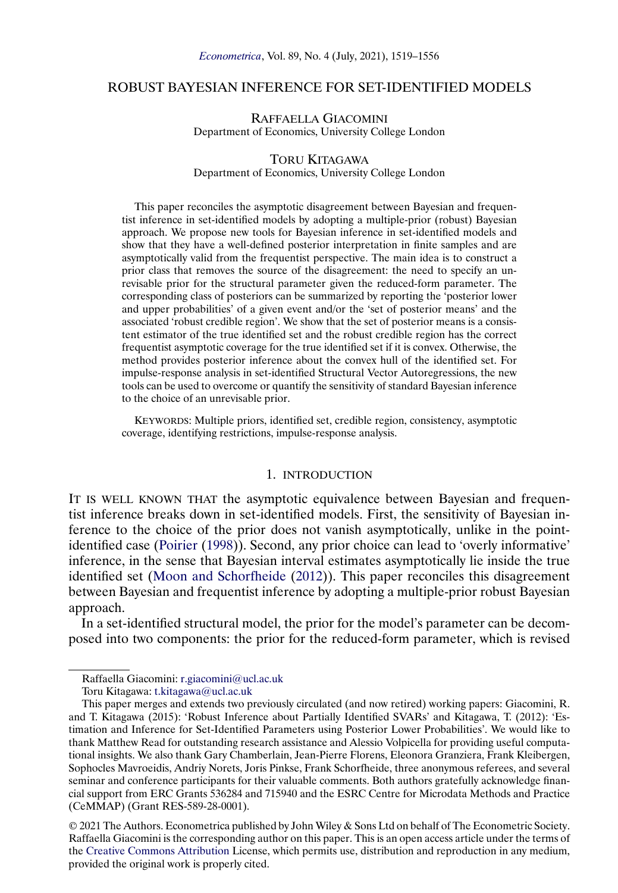# <span id="page-0-0"></span>ROBUST BAYESIAN INFERENCE FOR SET-IDENTIFIED MODELS

RAFFAELLA GIACOMINI Department of Economics, University College London

#### TORU KITAGAWA

Department of Economics, University College London

This paper reconciles the asymptotic disagreement between Bayesian and frequentist inference in set-identified models by adopting a multiple-prior (robust) Bayesian approach. We propose new tools for Bayesian inference in set-identified models and show that they have a well-defined posterior interpretation in finite samples and are asymptotically valid from the frequentist perspective. The main idea is to construct a prior class that removes the source of the disagreement: the need to specify an unrevisable prior for the structural parameter given the reduced-form parameter. The corresponding class of posteriors can be summarized by reporting the 'posterior lower and upper probabilities' of a given event and/or the 'set of posterior means' and the associated 'robust credible region'. We show that the set of posterior means is a consistent estimator of the true identified set and the robust credible region has the correct frequentist asymptotic coverage for the true identified set if it is convex. Otherwise, the method provides posterior inference about the convex hull of the identified set. For impulse-response analysis in set-identified Structural Vector Autoregressions, the new tools can be used to overcome or quantify the sensitivity of standard Bayesian inference to the choice of an unrevisable prior.

KEYWORDS: Multiple priors, identified set, credible region, consistency, asymptotic coverage, identifying restrictions, impulse-response analysis.

#### 1. INTRODUCTION

IT IS WELL KNOWN THAT the asymptotic equivalence between Bayesian and frequentist inference breaks down in set-identified models. First, the sensitivity of Bayesian inference to the choice of the prior does not vanish asymptotically, unlike in the pointidentified case [\(Poirier](#page-37-0) [\(1998\)](#page-37-0)). Second, any prior choice can lead to 'overly informative' inference, in the sense that Bayesian interval estimates asymptotically lie inside the true identified set [\(Moon and Schorfheide](#page-37-0) [\(2012\)](#page-37-0)). This paper reconciles this disagreement between Bayesian and frequentist inference by adopting a multiple-prior robust Bayesian approach.

In a set-identified structural model, the prior for the model's parameter can be decomposed into two components: the prior for the reduced-form parameter, which is revised

© 2021 The Authors. Econometrica published by John Wiley & Sons Ltd on behalf of The Econometric Society. Raffaella Giacomini is the corresponding author on this paper. This is an open access article under the terms of the [Creative Commons Attribution](https://creativecommons.org/licenses/by/4.0/) License, which permits use, distribution and reproduction in any medium, provided the original work is properly cited.

Raffaella Giacomini: [r.giacomini@ucl.ac.uk](mailto:r.giacomini@ucl.ac.uk)

Toru Kitagawa: [t.kitagawa@ucl.ac.uk](mailto:t.kitagawa@ucl.ac.uk)

This paper merges and extends two previously circulated (and now retired) working papers: Giacomini, R. and T. Kitagawa (2015): 'Robust Inference about Partially Identified SVARs' and Kitagawa, T. (2012): 'Estimation and Inference for Set-Identified Parameters using Posterior Lower Probabilities'. We would like to thank Matthew Read for outstanding research assistance and Alessio Volpicella for providing useful computational insights. We also thank Gary Chamberlain, Jean-Pierre Florens, Eleonora Granziera, Frank Kleibergen, Sophocles Mavroeidis, Andriy Norets, Joris Pinkse, Frank Schorfheide, three anonymous referees, and several seminar and conference participants for their valuable comments. Both authors gratefully acknowledge financial support from ERC Grants 536284 and 715940 and the ESRC Centre for Microdata Methods and Practice (CeMMAP) (Grant RES-589-28-0001).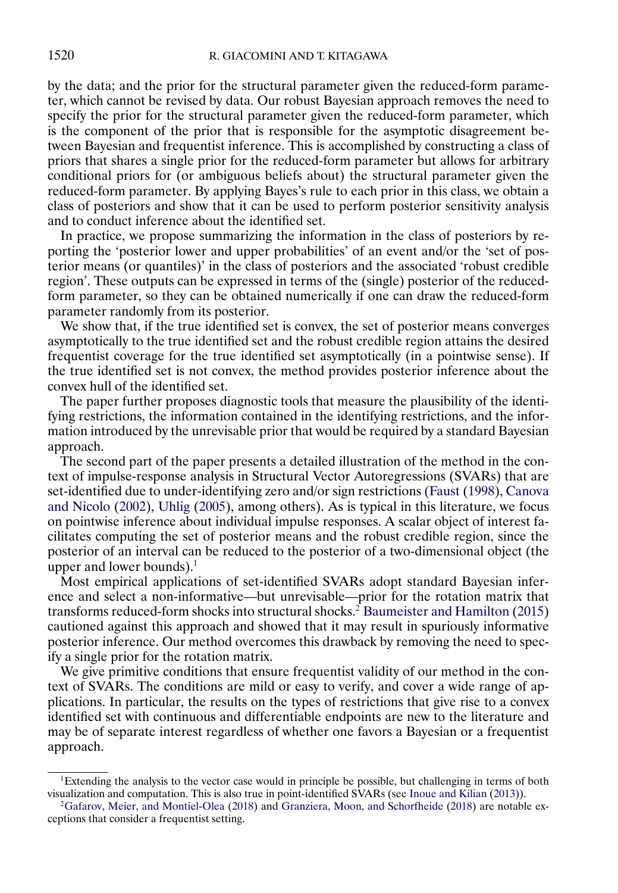<span id="page-1-0"></span>by the data; and the prior for the structural parameter given the reduced-form parameter, which cannot be revised by data. Our robust Bayesian approach removes the need to specify the prior for the structural parameter given the reduced-form parameter, which is the component of the prior that is responsible for the asymptotic disagreement between Bayesian and frequentist inference. This is accomplished by constructing a class of priors that shares a single prior for the reduced-form parameter but allows for arbitrary conditional priors for (or ambiguous beliefs about) the structural parameter given the reduced-form parameter. By applying Bayes's rule to each prior in this class, we obtain a class of posteriors and show that it can be used to perform posterior sensitivity analysis and to conduct inference about the identified set.

In practice, we propose summarizing the information in the class of posteriors by reporting the 'posterior lower and upper probabilities' of an event and/or the 'set of posterior means (or quantiles)' in the class of posteriors and the associated 'robust credible region'. These outputs can be expressed in terms of the (single) posterior of the reducedform parameter, so they can be obtained numerically if one can draw the reduced-form parameter randomly from its posterior.

We show that, if the true identified set is convex, the set of posterior means converges asymptotically to the true identified set and the robust credible region attains the desired frequentist coverage for the true identified set asymptotically (in a pointwise sense). If the true identified set is not convex, the method provides posterior inference about the convex hull of the identified set.

The paper further proposes diagnostic tools that measure the plausibility of the identifying restrictions, the information contained in the identifying restrictions, and the information introduced by the unrevisable prior that would be required by a standard Bayesian approach.

The second part of the paper presents a detailed illustration of the method in the context of impulse-response analysis in Structural Vector Autoregressions (SVARs) that are set-identified due to under-identifying zero and/or sign restrictions [\(Faust](#page-36-0) [\(1998\)](#page-36-0), [Canova](#page-36-0) [and Nicolo](#page-36-0) [\(2002\)](#page-36-0), [Uhlig](#page-37-0) [\(2005\)](#page-37-0), among others). As is typical in this literature, we focus on pointwise inference about individual impulse responses. A scalar object of interest facilitates computing the set of posterior means and the robust credible region, since the posterior of an interval can be reduced to the posterior of a two-dimensional object (the upper and lower bounds). $<sup>1</sup>$ </sup>

Most empirical applications of set-identified SVARs adopt standard Bayesian inference and select a non-informative—but unrevisable—prior for the rotation matrix that transforms reduced-form shocks into structural shocks.<sup>2</sup> [Baumeister and Hamilton](#page-36-0) [\(2015\)](#page-36-0) cautioned against this approach and showed that it may result in spuriously informative posterior inference. Our method overcomes this drawback by removing the need to specify a single prior for the rotation matrix.

We give primitive conditions that ensure frequentist validity of our method in the context of SVARs. The conditions are mild or easy to verify, and cover a wide range of applications. In particular, the results on the types of restrictions that give rise to a convex identified set with continuous and differentiable endpoints are new to the literature and may be of separate interest regardless of whether one favors a Bayesian or a frequentist approach.

<sup>&</sup>lt;sup>1</sup>Extending the analysis to the vector case would in principle be possible, but challenging in terms of both visualization and computation. This is also true in point-identified SVARs (see [Inoue and Kilian](#page-36-0) [\(2013\)](#page-36-0)).

[<sup>2</sup>Gafarov, Meier, and Montiel-Olea](#page-36-0) [\(2018\)](#page-36-0) and [Granziera, Moon, and Schorfheide](#page-36-0) [\(2018\)](#page-36-0) are notable exceptions that consider a frequentist setting.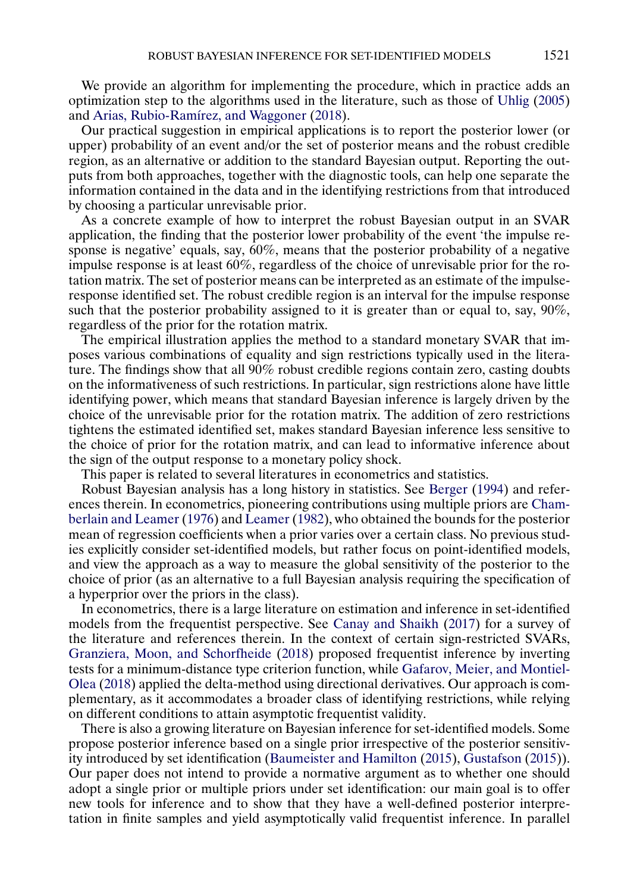<span id="page-2-0"></span>We provide an algorithm for implementing the procedure, which in practice adds an optimization step to the algorithms used in the literature, such as those of [Uhlig](#page-37-0) [\(2005\)](#page-37-0) and [Arias, Rubio-Ramírez, and Waggoner](#page-35-0) [\(2018\)](#page-35-0).

Our practical suggestion in empirical applications is to report the posterior lower (or upper) probability of an event and/or the set of posterior means and the robust credible region, as an alternative or addition to the standard Bayesian output. Reporting the outputs from both approaches, together with the diagnostic tools, can help one separate the information contained in the data and in the identifying restrictions from that introduced by choosing a particular unrevisable prior.

As a concrete example of how to interpret the robust Bayesian output in an SVAR application, the finding that the posterior lower probability of the event 'the impulse response is negative' equals, say, 60%, means that the posterior probability of a negative impulse response is at least 60%, regardless of the choice of unrevisable prior for the rotation matrix. The set of posterior means can be interpreted as an estimate of the impulseresponse identified set. The robust credible region is an interval for the impulse response such that the posterior probability assigned to it is greater than or equal to, say, 90%, regardless of the prior for the rotation matrix.

The empirical illustration applies the method to a standard monetary SVAR that imposes various combinations of equality and sign restrictions typically used in the literature. The findings show that all 90% robust credible regions contain zero, casting doubts on the informativeness of such restrictions. In particular, sign restrictions alone have little identifying power, which means that standard Bayesian inference is largely driven by the choice of the unrevisable prior for the rotation matrix. The addition of zero restrictions tightens the estimated identified set, makes standard Bayesian inference less sensitive to the choice of prior for the rotation matrix, and can lead to informative inference about the sign of the output response to a monetary policy shock.

This paper is related to several literatures in econometrics and statistics.

Robust Bayesian analysis has a long history in statistics. See [Berger](#page-36-0) [\(1994\)](#page-36-0) and references therein. In econometrics, pioneering contributions using multiple priors are [Cham](#page-36-0)[berlain and Leamer](#page-36-0) [\(1976\)](#page-36-0) and [Leamer](#page-37-0) [\(1982\)](#page-37-0), who obtained the bounds for the posterior mean of regression coefficients when a prior varies over a certain class. No previous studies explicitly consider set-identified models, but rather focus on point-identified models, and view the approach as a way to measure the global sensitivity of the posterior to the choice of prior (as an alternative to a full Bayesian analysis requiring the specification of a hyperprior over the priors in the class).

In econometrics, there is a large literature on estimation and inference in set-identified models from the frequentist perspective. See [Canay and Shaikh](#page-36-0) [\(2017\)](#page-36-0) for a survey of the literature and references therein. In the context of certain sign-restricted SVARs, [Granziera, Moon, and Schorfheide](#page-36-0) [\(2018\)](#page-36-0) proposed frequentist inference by inverting tests for a minimum-distance type criterion function, while [Gafarov, Meier, and Montiel-](#page-36-0)[Olea](#page-36-0) [\(2018\)](#page-36-0) applied the delta-method using directional derivatives. Our approach is complementary, as it accommodates a broader class of identifying restrictions, while relying on different conditions to attain asymptotic frequentist validity.

There is also a growing literature on Bayesian inference for set-identified models. Some propose posterior inference based on a single prior irrespective of the posterior sensitivity introduced by set identification [\(Baumeister and Hamilton](#page-36-0) [\(2015\)](#page-36-0), [Gustafson](#page-36-0) [\(2015\)](#page-36-0)). Our paper does not intend to provide a normative argument as to whether one should adopt a single prior or multiple priors under set identification: our main goal is to offer new tools for inference and to show that they have a well-defined posterior interpretation in finite samples and yield asymptotically valid frequentist inference. In parallel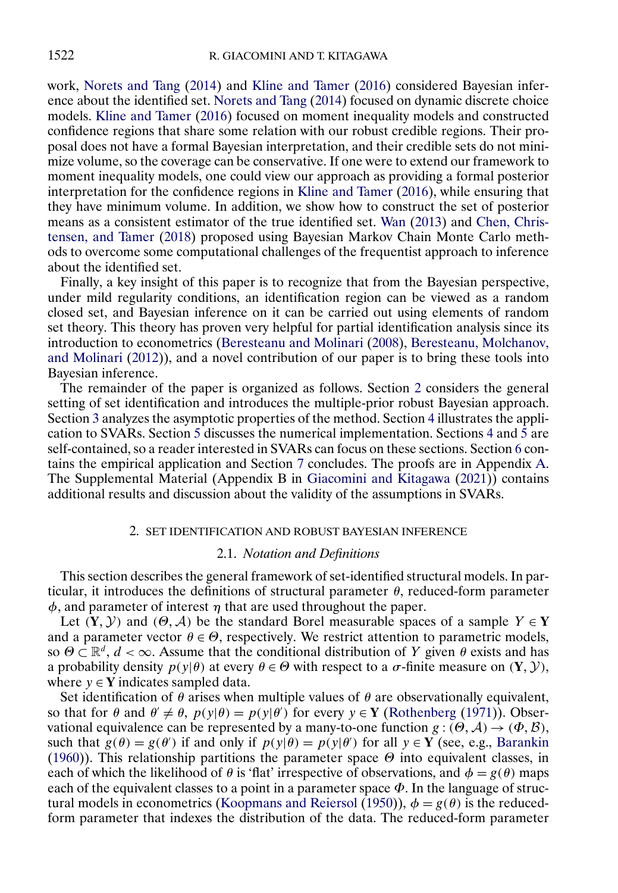<span id="page-3-0"></span>work, [Norets and Tang](#page-37-0) [\(2014\)](#page-37-0) and [Kline and Tamer](#page-37-0) [\(2016\)](#page-37-0) considered Bayesian inference about the identified set. [Norets and Tang](#page-37-0) [\(2014\)](#page-37-0) focused on dynamic discrete choice models. [Kline and Tamer](#page-37-0) [\(2016\)](#page-37-0) focused on moment inequality models and constructed confidence regions that share some relation with our robust credible regions. Their proposal does not have a formal Bayesian interpretation, and their credible sets do not minimize volume, so the coverage can be conservative. If one were to extend our framework to moment inequality models, one could view our approach as providing a formal posterior interpretation for the confidence regions in [Kline and Tamer](#page-37-0) [\(2016\)](#page-37-0), while ensuring that they have minimum volume. In addition, we show how to construct the set of posterior means as a consistent estimator of the true identified set. [Wan](#page-37-0) [\(2013\)](#page-37-0) and [Chen, Chris](#page-36-0)[tensen, and Tamer](#page-36-0) [\(2018\)](#page-36-0) proposed using Bayesian Markov Chain Monte Carlo methods to overcome some computational challenges of the frequentist approach to inference about the identified set.

Finally, a key insight of this paper is to recognize that from the Bayesian perspective, under mild regularity conditions, an identification region can be viewed as a random closed set, and Bayesian inference on it can be carried out using elements of random set theory. This theory has proven very helpful for partial identification analysis since its introduction to econometrics [\(Beresteanu and Molinari](#page-36-0) [\(2008\)](#page-36-0), [Beresteanu, Molchanov,](#page-36-0) [and Molinari](#page-36-0) [\(2012\)](#page-36-0)), and a novel contribution of our paper is to bring these tools into Bayesian inference.

The remainder of the paper is organized as follows. Section 2 considers the general setting of set identification and introduces the multiple-prior robust Bayesian approach. Section [3](#page-10-0) analyzes the asymptotic properties of the method. Section [4](#page-15-0) illustrates the appli-cation to SVARs. Section [5](#page-20-0) discusses the numerical implementation. Sections [4](#page-15-0) and  $\bar{5}$  are self-contained, so a reader interested in SVARs can focus on these sections. Section [6](#page-22-0) contains the empirical application and Section [7](#page-27-0) concludes. The proofs are in Appendix [A.](#page-28-0) The Supplemental Material (Appendix B in [Giacomini and Kitagawa](#page-36-0) [\(2021\)](#page-36-0)) contains additional results and discussion about the validity of the assumptions in SVARs.

# 2. SET IDENTIFICATION AND ROBUST BAYESIAN INFERENCE

# 2.1. *Notation and Definitions*

This section describes the general framework of set-identified structural models. In particular, it introduces the definitions of structural parameter  $\theta$ , reduced-form parameter  $\phi$ , and parameter of interest  $\eta$  that are used throughout the paper.

Let  $(Y, Y)$  and  $(\Theta, \mathcal{A})$  be the standard Borel measurable spaces of a sample  $Y \in Y$ and a parameter vector  $\theta \in \Theta$ , respectively. We restrict attention to parametric models, so  $\Theta \subset \mathbb{R}^d$ ,  $d < \infty$ . Assume that the conditional distribution of Y given  $\theta$  exists and has a probability density  $p(y|\theta)$  at every  $\theta \in \Theta$  with respect to a  $\sigma$ -finite measure on  $(Y, Y)$ , where  $y \in Y$  indicates sampled data.

Set identification of  $\theta$  arises when multiple values of  $\theta$  are observationally equivalent, so that for  $\theta$  and  $\theta' \neq \theta$ ,  $p(y|\theta) = p(y|\theta')$  for every  $y \in Y$  [\(Rothenberg](#page-37-0) [\(1971\)](#page-37-0)). Observational equivalence can be represented by a many-to-one function  $g : (\theta, \mathcal{A}) \to (\phi, \mathcal{B})$ , such that  $g(\theta) = g(\theta')$  if and only if  $p(y|\theta) = p(y|\theta')$  for all  $y \in Y$  (see, e.g., [Barankin](#page-36-0) [\(1960\)](#page-36-0)). This relationship partitions the parameter space  $\Theta$  into equivalent classes, in each of which the likelihood of  $\theta$  is 'flat' irrespective of observations, and  $\phi = g(\theta)$  maps each of the equivalent classes to a point in a parameter space  $\Phi$ . In the language of struc-tural models in econometrics [\(Koopmans and Reiersol](#page-37-0) [\(1950\)](#page-37-0)),  $\phi = g(\theta)$  is the reducedform parameter that indexes the distribution of the data. The reduced-form parameter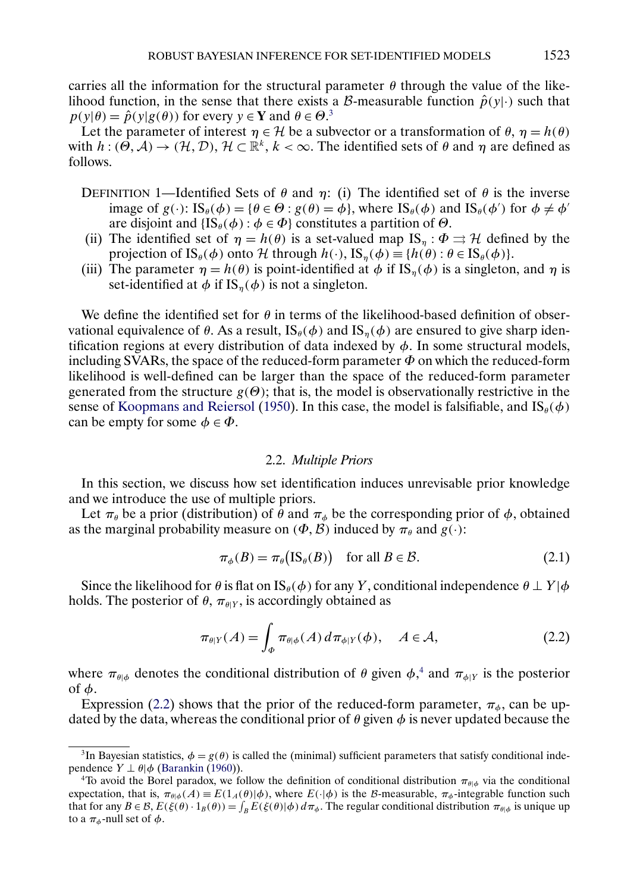<span id="page-4-0"></span>carries all the information for the structural parameter  $\theta$  through the value of the likelihood function, in the sense that there exists a B-measurable function  $\hat{p}(y|\cdot)$  such that  $p(y|\theta) = \hat{p}(y|g(\theta))$  for every  $y \in \mathbf{Y}$  and  $\theta \in \Theta$ <sup>3</sup>.

Let the parameter of interest  $\eta \in \mathcal{H}$  be a subvector or a transformation of  $\theta$ ,  $\eta = h(\theta)$ with  $h: (\Theta, \mathcal{A}) \to (\mathcal{H}, \mathcal{D}), \mathcal{H} \subset \mathbb{R}^k, k < \infty$ . The identified sets of  $\theta$  and  $\eta$  are defined as follows.

- DEFINITION 1—Identified Sets of  $\theta$  and  $\eta$ : (i) The identified set of  $\theta$  is the inverse image of  $g(\cdot)$ :  $\text{IS}_{\theta}(\phi) = {\theta \in \Theta : g(\theta) = \phi}$ , where  $\text{IS}_{\theta}(\phi)$  and  $\text{IS}_{\theta}(\phi')$  for  $\phi \neq \phi'$ are disjoint and  $\{IS_{\theta}(\phi) : \phi \in \Phi\}$  constitutes a partition of  $\Theta$ .
- (ii) The identified set of  $\eta = h(\theta)$  is a set-valued map IS<sub>n</sub> :  $\Phi \rightrightarrows H$  defined by the projection of  $\text{IS}_{\theta}(\phi)$  onto  $\mathcal{H}$  through  $h(\cdot)$ ,  $\text{IS}_{\eta}(\phi) \equiv \{h(\theta) : \theta \in \text{IS}_{\theta}(\phi)\}.$
- (iii) The parameter  $\eta = h(\theta)$  is point-identified at  $\phi$  if IS<sub>n</sub>( $\phi$ ) is a singleton, and  $\eta$  is set-identified at  $\phi$  if IS<sub>n</sub>( $\phi$ ) is not a singleton.

We define the identified set for  $\theta$  in terms of the likelihood-based definition of observational equivalence of  $\theta$ . As a result,  $IS_{\theta}(\phi)$  and  $IS_{\eta}(\phi)$  are ensured to give sharp identification regions at every distribution of data indexed by  $\phi$ . In some structural models, including SVARs, the space of the reduced-form parameter  $\Phi$  on which the reduced-form likelihood is well-defined can be larger than the space of the reduced-form parameter generated from the structure  $g(\Theta)$ ; that is, the model is observationally restrictive in the sense of [Koopmans and Reiersol](#page-37-0) [\(1950\)](#page-37-0). In this case, the model is falsifiable, and  $\text{IS}_{\theta}(\phi)$ can be empty for some  $\phi \in \Phi$ .

# 2.2. *Multiple Priors*

In this section, we discuss how set identification induces unrevisable prior knowledge and we introduce the use of multiple priors.

Let  $\pi_{\theta}$  be a prior (distribution) of  $\hat{\theta}$  and  $\pi_{\phi}$  be the corresponding prior of  $\phi$ , obtained as the marginal probability measure on  $(\Phi, \mathcal{B})$  induced by  $\pi_{\theta}$  and  $g(\cdot)$ :

$$
\pi_{\phi}(B) = \pi_{\theta}(\text{IS}_{\theta}(B)) \quad \text{for all } B \in \mathcal{B}.
$$
 (2.1)

Since the likelihood for  $\theta$  is flat on IS<sub> $\theta$ </sub>( $\phi$ ) for any Y, conditional independence  $\theta \perp Y|\phi$ holds. The posterior of  $\theta$ ,  $\pi_{\theta|Y}$ , is accordingly obtained as

$$
\pi_{\theta|Y}(A) = \int_{\Phi} \pi_{\theta|\phi}(A) d\pi_{\phi|Y}(\phi), \quad A \in \mathcal{A}, \tag{2.2}
$$

where  $\pi_{\theta|\phi}$  denotes the conditional distribution of  $\theta$  given  $\phi$ ,<sup>4</sup> and  $\pi_{\phi|Y}$  is the posterior of  $\phi$ .

Expression (2.2) shows that the prior of the reduced-form parameter,  $\pi_{\phi}$ , can be updated by the data, whereas the conditional prior of  $\theta$  given  $\phi$  is never updated because the

<sup>&</sup>lt;sup>3</sup>In Bayesian statistics,  $\phi = g(\theta)$  is called the (minimal) sufficient parameters that satisfy conditional independence  $Y \perp \theta | \phi$  [\(Barankin](#page-36-0) [\(1960\)](#page-36-0)).

<sup>&</sup>lt;sup>4</sup>To avoid the Borel paradox, we follow the definition of conditional distribution  $\pi_{\theta|\phi}$  via the conditional expectation, that is,  $\pi_{\theta|\phi}(A) \equiv E(1_A(\theta)|\phi)$ , where  $E(\cdot|\phi)$  is the B-measurable,  $\pi_{\phi}$ -integrable function such that for any  $B \in \mathcal{B}$ ,  $E(\xi(\theta) \cdot 1_B(\theta)) = \int_B E(\xi(\theta)|\phi) d\pi_{\phi}$ . The regular conditional distribution  $\pi_{\theta|\phi}$  is unique up to a  $\pi_{\phi}$ -null set of  $\phi$ .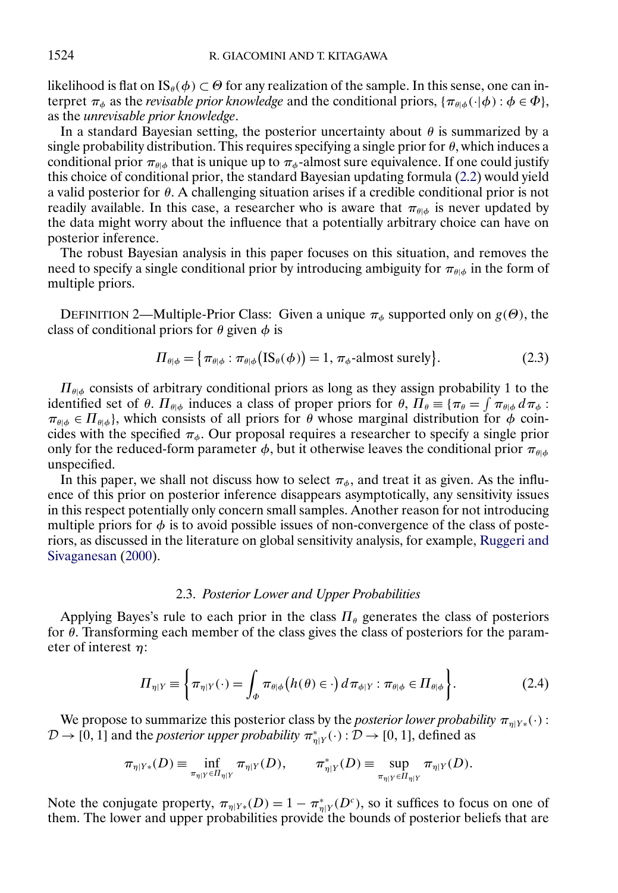<span id="page-5-0"></span>likelihood is flat on  $\text{IS}_{\theta}(\phi) \subset \Theta$  for any realization of the sample. In this sense, one can interpret  $\pi_{\phi}$  as the *revisable prior knowledge* and the conditional priors,  $\{\pi_{\theta|\phi}(\cdot|\phi) : \phi \in \Phi\}$ , as the *unrevisable prior knowledge*.

In a standard Bayesian setting, the posterior uncertainty about  $\theta$  is summarized by a single probability distribution. This requires specifying a single prior for  $\theta$ , which induces a conditional prior  $\pi_{\theta|\phi}$  that is unique up to  $\pi_{\phi}$ -almost sure equivalence. If one could justify this choice of conditional prior, the standard Bayesian updating formula [\(2.2\)](#page-4-0) would yield a valid posterior for  $\theta$ . A challenging situation arises if a credible conditional prior is not readily available. In this case, a researcher who is aware that  $\pi_{\theta| \phi}$  is never updated by the data might worry about the influence that a potentially arbitrary choice can have on posterior inference.

The robust Bayesian analysis in this paper focuses on this situation, and removes the need to specify a single conditional prior by introducing ambiguity for  $\pi_{\theta|\phi}$  in the form of multiple priors.

DEFINITION 2—Multiple-Prior Class: Given a unique  $\pi_{\phi}$  supported only on  $g(\Theta)$ , the class of conditional priors for  $\theta$  given  $\phi$  is

$$
\Pi_{\theta|\phi} = \left\{ \pi_{\theta|\phi} : \pi_{\theta|\phi} \left( \text{IS}_{\theta}(\phi) \right) = 1, \pi_{\phi} \text{-almost surely} \right\}. \tag{2.3}
$$

 $\Pi_{\theta|\phi}$  consists of arbitrary conditional priors as long as they assign probability 1 to the identified set of  $\theta$ .  $\Pi_{\theta|\phi}$  induces a class of proper priors for  $\theta$ ,  $\Pi_{\theta} \equiv {\pi_{\theta} = \int \pi_{\theta|\phi} d\pi_{\phi}}$ :  $\pi_{\theta|\phi} \in \Pi_{\theta|\phi}$ , which consists of all priors for  $\theta$  whose marginal distribution for  $\phi$  coincides with the specified  $\pi_{\phi}$ . Our proposal requires a researcher to specify a single prior only for the reduced-form parameter  $\phi$ , but it otherwise leaves the conditional prior  $\pi_{\theta|\phi}$ unspecified.

In this paper, we shall not discuss how to select  $\pi_{\phi}$ , and treat it as given. As the influence of this prior on posterior inference disappears asymptotically, any sensitivity issues in this respect potentially only concern small samples. Another reason for not introducing multiple priors for  $\phi$  is to avoid possible issues of non-convergence of the class of posteriors, as discussed in the literature on global sensitivity analysis, for example, [Ruggeri and](#page-37-0) [Sivaganesan](#page-37-0) [\(2000\)](#page-37-0).

# 2.3. *Posterior Lower and Upper Probabilities*

Applying Bayes's rule to each prior in the class  $\Pi_{\theta}$  generates the class of posteriors for  $\theta$ . Transforming each member of the class gives the class of posteriors for the parameter of interest  $\eta$ :

$$
\Pi_{\eta|Y} \equiv \left\{ \pi_{\eta|Y}(\cdot) = \int_{\Phi} \pi_{\theta|\phi} \big( h(\theta) \in \cdot \big) d\pi_{\phi|Y} : \pi_{\theta|\phi} \in \Pi_{\theta|\phi} \right\}.
$$
 (2.4)

We propose to summarize this posterior class by the *posterior lower probability*  $\pi_{\eta|Y*}(\cdot)$ :  $D \to [0, 1]$  and the *posterior upper probability*  $\pi^*_{\eta|Y}(\cdot) : D \to [0, 1]$ , defined as

$$
\pi_{\eta|Y*}(D) \equiv \inf_{\pi_{\eta|Y} \in \Pi_{\eta|Y}} \pi_{\eta|Y}(D), \qquad \pi_{\eta|Y}^*(D) \equiv \sup_{\pi_{\eta|Y} \in \Pi_{\eta|Y}} \pi_{\eta|Y}(D).
$$

Note the conjugate property,  $\pi_{\eta|Y*}(D) = 1 - \pi_{\eta|Y}^*(D^c)$ , so it suffices to focus on one of them. The lower and upper probabilities provide the bounds of posterior beliefs that are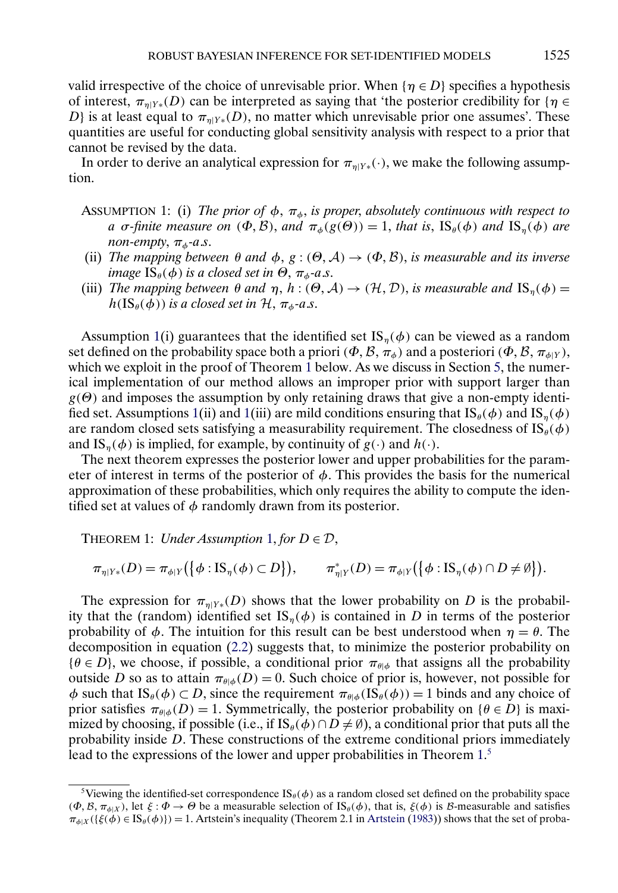<span id="page-6-0"></span>valid irrespective of the choice of unrevisable prior. When  $\{\eta \in D\}$  specifies a hypothesis of interest,  $\pi_{n|Y*}(D)$  can be interpreted as saying that 'the posterior credibility for { $\eta \in$ D} is at least equal to  $\pi_{n|Y*}(D)$ , no matter which unrevisable prior one assumes'. These quantities are useful for conducting global sensitivity analysis with respect to a prior that cannot be revised by the data.

In order to derive an analytical expression for  $\pi_{n|Y*}(\cdot)$ , we make the following assumption.

- ASSUMPTION 1: (i) *The prior of*  $\phi$ ,  $\pi_{\phi}$ , *is proper*, *absolutely continuous with respect to a* σ-finite measure on  $(\Phi, \mathcal{B})$ , and  $\pi_{\phi}(g(\Theta)) = 1$ , that is,  $\text{IS}_{\theta}(\phi)$  and  $\text{IS}_{n}(\phi)$  are *non-empty*,  $\pi_{\phi}$ -*a.s.*
- (ii) *The mapping between*  $\theta$  *and*  $\phi$ ,  $g$ :  $(\Theta, \mathcal{A}) \rightarrow (\Phi, \mathcal{B})$ , *is measurable and its inverse image*  $\text{IS}_{\theta}(\phi)$  *is a closed set in*  $\Theta$ ,  $\pi_{\phi}$ -*a.s.*
- (iii) *The mapping between*  $\theta$  *and*  $\eta$ ,  $h : (\Theta, \mathcal{A}) \to (\mathcal{H}, \mathcal{D})$ , *is measurable and*  $IS_{\eta}(\phi) =$  $h(\text{IS}_{\theta}(\phi))$  *is a closed set in*  $\mathcal{H}, \pi_{\phi}$ -*a.s.*

Assumption 1(i) guarantees that the identified set IS<sub>n</sub>( $\phi$ ) can be viewed as a random set defined on the probability space both a priori ( $\Phi$ ,  $\mathcal{B}$ ,  $\pi_{\phi}$ ) and a posteriori ( $\Phi$ ,  $\mathcal{B}$ ,  $\pi_{\phi|Y}$ ), which we exploit in the proof of Theorem 1 below. As we discuss in Section [5,](#page-20-0) the numerical implementation of our method allows an improper prior with support larger than  $g(\Theta)$  and imposes the assumption by only retaining draws that give a non-empty identified set. Assumptions 1(ii) and 1(iii) are mild conditions ensuring that  $\text{IS}_{\theta}(\phi)$  and  $\text{IS}_{n}(\phi)$ are random closed sets satisfying a measurability requirement. The closedness of  $\text{IS}_{\theta}(\phi)$ and IS<sub>n</sub>( $\phi$ ) is implied, for example, by continuity of  $g(\cdot)$  and  $h(\cdot)$ .

The next theorem expresses the posterior lower and upper probabilities for the parameter of interest in terms of the posterior of  $\phi$ . This provides the basis for the numerical approximation of these probabilities, which only requires the ability to compute the identified set at values of  $\phi$  randomly drawn from its posterior.

THEOREM 1: *Under Assumption*  $1$ *, for*  $D \in \mathcal{D}$ *,* 

$$
\pi_{\eta|Y*}(D) = \pi_{\phi|Y}\big(\big\{\phi: \text{IS}_{\eta}(\phi) \subset D\big\}\big), \qquad \pi_{\eta|Y}^*(D) = \pi_{\phi|Y}\big(\big\{\phi: \text{IS}_{\eta}(\phi) \cap D \neq \emptyset\big\}\big).
$$

The expression for  $\pi_{\eta|Y*}(D)$  shows that the lower probability on D is the probability that the (random) identified set  $IS_n(\phi)$  is contained in D in terms of the posterior probability of  $\phi$ . The intuition for this result can be best understood when  $\eta = \theta$ . The decomposition in equation [\(2.2\)](#page-4-0) suggests that, to minimize the posterior probability on  $\{\theta \in D\}$ , we choose, if possible, a conditional prior  $\pi_{\theta|\phi}$  that assigns all the probability outside D so as to attain  $\pi_{\theta|\phi}(D) = 0$ . Such choice of prior is, however, not possible for  $\phi$  such that IS<sub>θ</sub>( $\phi$ )  $\subset D$ , since the requirement  $\pi_{\theta|\phi}(\text{IS}_{\theta}(\phi)) = 1$  binds and any choice of prior satisfies  $\pi_{\theta|\phi}(D) = 1$ . Symmetrically, the posterior probability on  $\{\theta \in D\}$  is maximized by choosing, if possible (i.e., if IS<sub>θ</sub>( $\phi$ ) ∩ D  $\neq$  Ø), a conditional prior that puts all the probability inside D. These constructions of the extreme conditional priors immediately lead to the expressions of the lower and upper probabilities in Theorem 1.<sup>5</sup>

<sup>&</sup>lt;sup>5</sup>Viewing the identified-set correspondence  $\text{IS}_{\theta}(\phi)$  as a random closed set defined on the probability space  $(\Phi, \mathcal{B}, \pi_{\phi|\mathcal{X}})$ , let  $\xi : \Phi \to \Theta$  be a measurable selection of IS<sub>θ</sub>( $\phi$ ), that is,  $\xi(\phi)$  is B-measurable and satisfies  $\pi_{\phi|X}(\{\xi(\phi) \in \text{IS}_{\theta}(\phi)\}) = 1$ . [Artstein](#page-36-0)'s inequality (Theorem 2.1 in Artstein [\(1983\)](#page-36-0)) shows that the set of proba-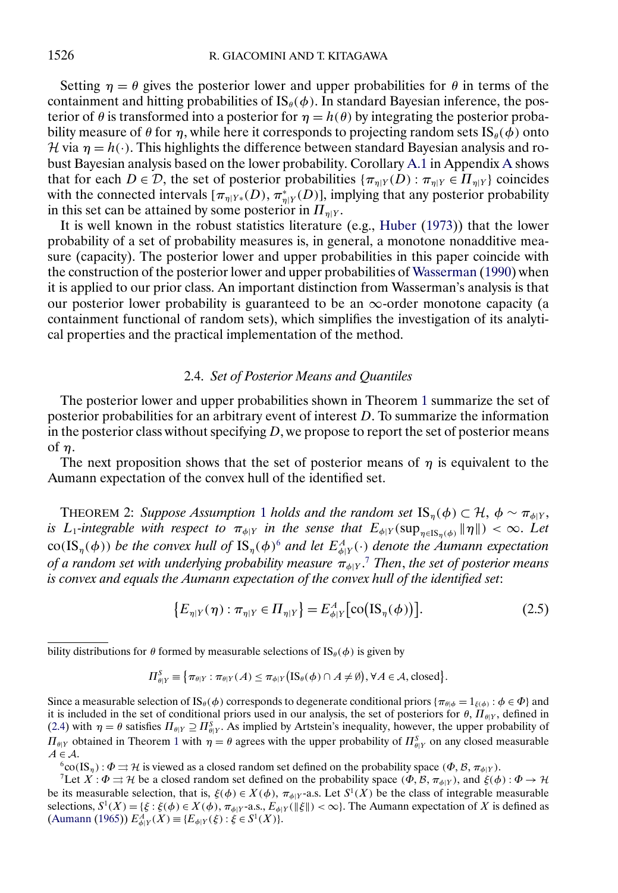<span id="page-7-0"></span>Setting  $\eta = \theta$  gives the posterior lower and upper probabilities for  $\theta$  in terms of the containment and hitting probabilities of  $\text{IS}_{\theta}(\phi)$ . In standard Bayesian inference, the posterior of  $\theta$  is transformed into a posterior for  $\eta = h(\theta)$  by integrating the posterior probability measure of  $\theta$  for  $\eta$ , while here it corresponds to projecting random sets  $\text{IS}_{\theta}(\phi)$  onto H via  $\eta = h(\cdot)$ . This highlights the difference between standard Bayesian analysis and robust Bayesian analysis based on the lower probability. Corollary [A.1](#page-30-0) in Appendix [A](#page-28-0) shows that for each  $D \in \mathcal{D}$ , the set of posterior probabilities  $\{\pi_{\eta|Y}(D) : \pi_{\eta|Y} \in \Pi_{\eta|Y}\}\$ coincides with the connected intervals  $[\pi_{\eta|Y*}(D), \pi_{\eta|Y}^*(D)]$ , implying that any posterior probability in this set can be attained by some posterior in  $\Pi_{n|Y}$ .

It is well known in the robust statistics literature (e.g., [Huber](#page-36-0) [\(1973\)](#page-36-0)) that the lower probability of a set of probability measures is, in general, a monotone nonadditive measure (capacity). The posterior lower and upper probabilities in this paper coincide with the construction of the posterior lower and upper probabilities of [Wasserman](#page-37-0) [\(1990\)](#page-37-0) when it is applied to our prior class. An important distinction from Wasserman's analysis is that our posterior lower probability is guaranteed to be an  $\infty$ -order monotone capacity (a containment functional of random sets), which simplifies the investigation of its analytical properties and the practical implementation of the method.

# 2.4. *Set of Posterior Means and Quantiles*

The posterior lower and upper probabilities shown in Theorem [1](#page-6-0) summarize the set of posterior probabilities for an arbitrary event of interest D. To summarize the information in the posterior class without specifying  $D$ , we propose to report the set of posterior means of η.

The next proposition shows that the set of posterior means of  $\eta$  is equivalent to the Aumann expectation of the convex hull of the identified set.

THEOREM 2: *Suppose Assumption* [1](#page-6-0) *holds and the random set*  $IS_n(\phi) \subset \mathcal{H}, \phi \sim \pi_{\phi|Y}$ , *is* L<sub>1</sub>-integrable with respect to  $\pi_{\phi|Y}$  in the sense that  $E_{\phi|Y}(\sup_{\eta\in\text{IS}_{\eta}(\phi)}\|\eta\|)<\infty$ . Let  $\cot(\mathrm{IS}_{\eta}(\phi))$  be the convex hull of  $\mathrm{IS}_{\eta}(\phi)^6$  and let  $E_{\phi|Y}^A(\cdot)$  denote the Aumann expectation *of a random set with underlying probability measure* πφ<sup>|</sup><sup>Y</sup> . <sup>7</sup> *Then*, *the set of posterior means is convex and equals the Aumann expectation of the convex hull of the identified set*:

$$
\{E_{\eta|Y}(\eta) : \pi_{\eta|Y} \in \Pi_{\eta|Y}\} = E_{\phi|Y}^A [\text{co}\big(\text{IS}_{\eta}(\phi)\big)\big].\tag{2.5}
$$

bility distributions for  $\theta$  formed by measurable selections of IS<sub> $\theta$ </sub>( $\phi$ ) is given by

$$
\Pi_{\theta|Y}^S \equiv \big\{ \pi_{\theta|Y} : \pi_{\theta|Y}(A) \leq \pi_{\phi|Y} \big( \mathop{\mathrm{IS}}\nolimits_\theta(\phi) \cap A \neq \emptyset \big), \forall A \in \mathcal{A}, \text{closed} \big\}.
$$

Since a measurable selection of IS<sub>θ</sub>( $\phi$ ) corresponds to degenerate conditional priors { $\pi_{\theta|\phi} = 1_{\xi(\phi)}$ :  $\phi \in \Phi$ } and it is included in the set of conditional priors used in our analysis, the set of posteriors for  $\theta$ ,  $\Pi_{\theta|Y}$ , defined in [\(2.4\)](#page-5-0) with  $\eta = \theta$  satisfies  $\Pi_{\theta|Y} \supseteq \Pi_{\theta|Y}^S$ . As implied by Artstein's inequality, however, the upper probability of  $\Pi_{\theta|Y}$  obtained in Theorem [1](#page-6-0) with  $\eta = \theta$  agrees with the upper probability of  $\Pi_{\theta|Y}^S$  on any closed measurable  $A \in \mathcal{A}$ .<br><sup>6</sup>co(IS<sub>η</sub>) :  $\Phi \rightrightarrows \mathcal{H}$  is viewed as a closed random set defined on the probability space ( $\Phi$ ,  $\mathcal{B}$ ,  $\pi_{\phi|Y}$ ).<br><sup>7</sup>Let  $X : \Phi \rightrightarrows \mathcal{H}$  be a closed random set defined on the probability spac

be its measurable selection, that is,  $\xi(\phi) \in X(\phi)$ ,  $\pi_{\phi|Y}$ -a.s. Let  $S^1(X)$  be the class of integrable measurable selections,  $S^1(X) = \{\xi : \xi(\phi) \in X(\phi), \pi_{\phi|Y}$ -a.s.,  $E_{\phi|Y}(\|\xi\|) < \infty\}$ . The Aumann expectation of X is defined as  $(Aumann (1965)) E_{\phi|Y}^A(X) \equiv \{E_{\phi|Y}(\xi) : \xi \in S^1(X)\}.$  $(Aumann (1965)) E_{\phi|Y}^A(X) \equiv \{E_{\phi|Y}(\xi) : \xi \in S^1(X)\}.$  $(Aumann (1965)) E_{\phi|Y}^A(X) \equiv \{E_{\phi|Y}(\xi) : \xi \in S^1(X)\}.$  $(Aumann (1965)) E_{\phi|Y}^A(X) \equiv \{E_{\phi|Y}(\xi) : \xi \in S^1(X)\}.$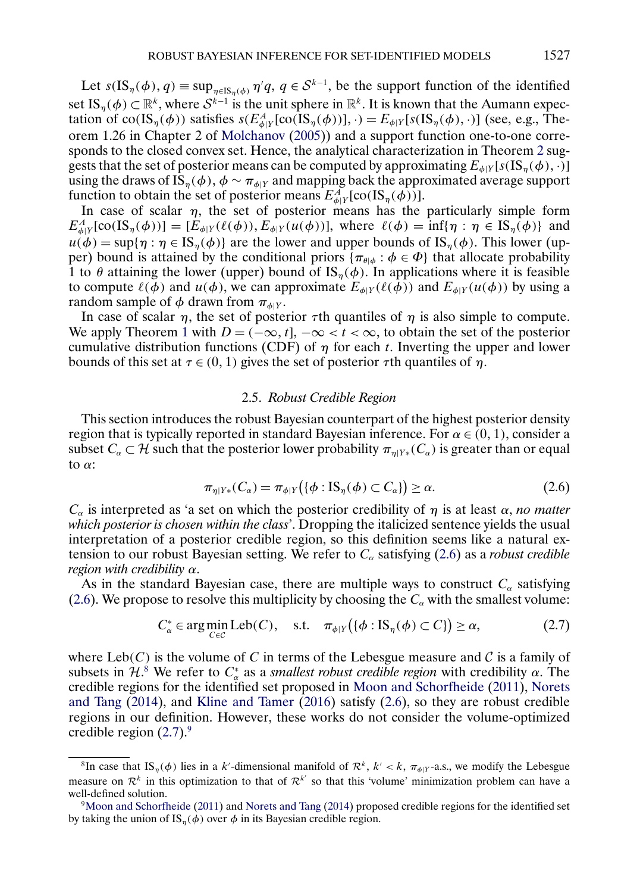<span id="page-8-0"></span>Let  $s(IS_{\eta}(\phi), q) \equiv \sup_{\eta \in IS_{\eta}(\phi)} \eta'q, q \in S^{k-1}$ , be the support function of the identified set IS<sub>η</sub>( $\phi$ )  $\subset \mathbb{R}^k$ , where  $S^{k-1}$  is the unit sphere in  $\mathbb{R}^k$ . It is known that the Aumann expectation of co(IS<sub>η</sub>( $\phi$ )) satisfies  $s(E_{\phi|Y}^A[\text{co}(IS_{\eta}(\phi))], \cdot) = E_{\phi|Y}[s(IS_{\eta}(\phi), \cdot)]$  (see, e.g., Theorem 1.26 in Chapter 2 of [Molchanov](#page-37-0) [\(2005\)](#page-37-0)) and a support function one-to-one corresponds to the closed convex set. Hence, the analytical characterization in Theorem [2](#page-7-0) suggests that the set of posterior means can be computed by approximating  $E_{\phi|Y}[s(\text{IS}_{n}(\phi),\cdot)]$ using the draws of  $\overline{IS}_\eta(\phi)$ ,  $\phi \sim \pi_{\phi|Y}$  and mapping back the approximated average support function to obtain the set of posterior means  $E_{\phi|Y}^A$ [co(IS<sub>η</sub>( $\phi$ ))].

In case of scalar  $\eta$ , the set of posterior means has the particularly simple form  $E_{\phi|Y}^A[\text{co}(\text{IS}_{\eta}(\phi))] = [E_{\phi|Y}(\ell(\phi)), E_{\phi|Y}(u(\phi))],$  where  $\ell(\phi) = \inf{\{\eta : \eta \in \text{IS}_{\eta}(\phi)\}}$  and  $u(\phi) = \sup\{\eta : \eta \in \text{IS}_n(\phi)\}\$ are the lower and upper bounds of  $\text{IS}_n(\phi)$ . This lower (upper) bound is attained by the conditional priors { $\pi_{\theta|\phi}$  :  $\phi \in \Phi$ } that allocate probability 1 to  $\theta$  attaining the lower (upper) bound of  $\text{IS}_n(\phi)$ . In applications where it is feasible to compute  $\ell(\phi)$  and  $u(\phi)$ , we can approximate  $E_{\phi|Y}(\ell(\phi))$  and  $E_{\phi|Y}(u(\phi))$  by using a random sample of  $\phi$  drawn from  $\pi_{\phi|Y}$ .

In case of scalar  $\eta$ , the set of posterior  $\tau$ th quantiles of  $\eta$  is also simple to compute. We apply Theorem [1](#page-6-0) with  $D = (-\infty, t]$ ,  $-\infty < t < \infty$ , to obtain the set of the posterior cumulative distribution functions (CDF) of  $\eta$  for each t. Inverting the upper and lower bounds of this set at  $\tau \in (0, 1)$  gives the set of posterior  $\tau$ th quantiles of  $\eta$ .

#### 2.5. *Robust Credible Region*

This section introduces the robust Bayesian counterpart of the highest posterior density region that is typically reported in standard Bayesian inference. For  $\alpha \in (0, 1)$ , consider a subset  $C_\alpha \subset \mathcal{H}$  such that the posterior lower probability  $\pi_{\eta|Y*}(C_\alpha)$  is greater than or equal to  $\alpha$ :

$$
\pi_{\eta|Y*}(C_{\alpha}) = \pi_{\phi|Y}(\{\phi : \text{IS}_{\eta}(\phi) \subset C_{\alpha}\}) \ge \alpha.
$$
\n(2.6)

 $C_{\alpha}$  is interpreted as 'a set on which the posterior credibility of  $\eta$  is at least  $\alpha$ , *no matter which posterior is chosen within the class*'. Dropping the italicized sentence yields the usual interpretation of a posterior credible region, so this definition seems like a natural extension to our robust Bayesian setting. We refer to  $C_{\alpha}$  satisfying (2.6) as a *robust credible region with credibility* α.

As in the standard Bayesian case, there are multiple ways to construct  $C_{\alpha}$  satisfying (2.6). We propose to resolve this multiplicity by choosing the  $C_{\alpha}$  with the smallest volume:

$$
C_{\alpha}^* \in \arg\min_{C \in \mathcal{C}} \text{Leb}(C), \quad \text{s.t.} \quad \pi_{\phi|Y}(\{\phi : \text{IS}_{\eta}(\phi) \subset C\}) \ge \alpha, \tag{2.7}
$$

where  $Leb(C)$  is the volume of C in terms of the Lebesgue measure and C is a family of subsets in  $\mathcal{H}$ <sup>8</sup>. We refer to  $C^*_{\alpha}$  as a *smallest robust credible region* with credibility  $\alpha$ . The credible regions for the identified set proposed in [Moon and Schorfheide](#page-37-0) [\(2011\)](#page-37-0), [Norets](#page-37-0) [and Tang](#page-37-0) [\(2014\)](#page-37-0), and [Kline and Tamer](#page-37-0) [\(2016\)](#page-37-0) satisfy (2.6), so they are robust credible regions in our definition. However, these works do not consider the volume-optimized credible region  $(2.7)$ .<sup>9</sup>

<sup>&</sup>lt;sup>8</sup>In case that IS<sub>η</sub>( $\phi$ ) lies in a k'-dimensional manifold of  $\mathcal{R}^k$ ,  $k' < k$ ,  $\pi_{\phi|Y}$ -a.s., we modify the Lebesgue measure on  $\mathcal{R}^k$  in this optimization to that of  $\mathcal{R}^{k'}$  so that this 'volume' minimization problem can have a well-defined solution.

[<sup>9</sup>Moon and Schorfheide](#page-37-0) [\(2011\)](#page-37-0) and [Norets and Tang](#page-37-0) [\(2014\)](#page-37-0) proposed credible regions for the identified set by taking the union of  $IS_{\eta}(\phi)$  over  $\phi$  in its Bayesian credible region.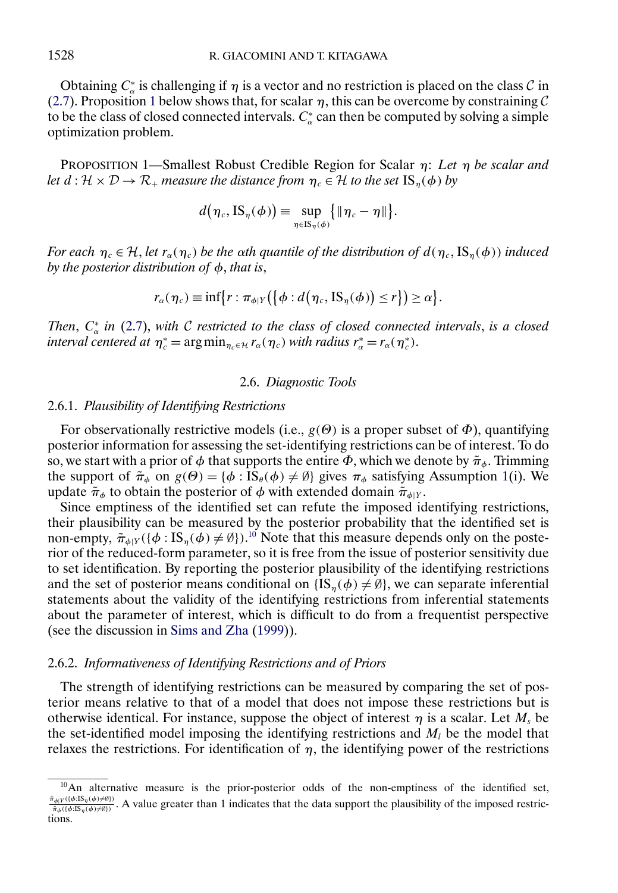<span id="page-9-0"></span>Obtaining  $C^*_{\alpha}$  is challenging if  $\eta$  is a vector and no restriction is placed on the class  $\mathcal{C}$  in [\(2.7\)](#page-8-0). Proposition 1 below shows that, for scalar  $\eta$ , this can be overcome by constraining C to be the class of closed connected intervals.  $C^*_{\alpha}$  can then be computed by solving a simple optimization problem.

PROPOSITION 1—Smallest Robust Credible Region for Scalar η: *Let* η *be scalar and let*  $d : \mathcal{H} \times \mathcal{D} \to \mathcal{R}_+$  *measure the distance from*  $\eta_c \in \mathcal{H}$  *to the set*  $\text{IS}_n(\phi)$  *by* 

$$
d(\eta_c, \text{IS}_{\eta}(\phi)) \equiv \sup_{\eta \in \text{IS}_{\eta}(\phi)} \{ \|\eta_c - \eta\| \}.
$$

*For each*  $\eta_c \in H$ , *let*  $r_\alpha(\eta_c)$  *be the oth quantile of the distribution of*  $d(\eta_c, IS_\eta(\phi))$  *induced by the posterior distribution of* φ, *that is*,

$$
r_{\alpha}(\eta_c) \equiv \inf \{ r : \pi_{\phi|Y} (\{\phi : d(\eta_c, \text{IS}_{\eta}(\phi)) \leq r \}) \geq \alpha \}.
$$

*Then*,  $C^*_{\alpha}$  *in* [\(2.7\)](#page-8-0), *with C restricted to the class of closed connected intervals, is a closed interval centered at*  $\eta_c^* = \arg \min_{\eta_c \in \mathcal{H}} r_\alpha(\eta_c)$  *with radius*  $r_\alpha^* = r_\alpha(\eta_c^*)$ .

# 2.6. *Diagnostic Tools*

## 2.6.1. *Plausibility of Identifying Restrictions*

For observationally restrictive models (i.e.,  $g(\theta)$ ) is a proper subset of  $\Phi$ ), quantifying posterior information for assessing the set-identifying restrictions can be of interest. To do so, we start with a prior of  $\phi$  that supports the entire  $\Phi$ , which we denote by  $\tilde{\pi}_\phi$ . Trimming the support of  $\tilde{\pi}_{\phi}$  on  $g(\Theta) = {\phi : \text{IS}_{\theta}(\phi) \neq \emptyset}$  gives  $\pi_{\phi}$  satisfying Assumption [1\(](#page-6-0)i). We update  $\tilde{\pi}_{\phi}$  to obtain the posterior of  $\phi$  with extended domain  $\tilde{\pi}_{\phi|Y}$ .

Since emptiness of the identified set can refute the imposed identifying restrictions, their plausibility can be measured by the posterior probability that the identified set is non-empty,  $\tilde{\pi}_{\phi|Y}(\{\phi : IS_{\eta}(\phi) \neq \emptyset\})$ .<sup>10</sup> Note that this measure depends only on the posterior of the reduced-form parameter, so it is free from the issue of posterior sensitivity due to set identification. By reporting the posterior plausibility of the identifying restrictions and the set of posterior means conditional on  $\{IS_n(\phi) \neq \emptyset\}$ , we can separate inferential statements about the validity of the identifying restrictions from inferential statements about the parameter of interest, which is difficult to do from a frequentist perspective (see the discussion in [Sims and Zha](#page-37-0) [\(1999\)](#page-37-0)).

#### 2.6.2. *Informativeness of Identifying Restrictions and of Priors*

The strength of identifying restrictions can be measured by comparing the set of posterior means relative to that of a model that does not impose these restrictions but is otherwise identical. For instance, suppose the object of interest  $\eta$  is a scalar. Let  $M_s$  be the set-identified model imposing the identifying restrictions and  $M_l$  be the model that relaxes the restrictions. For identification of  $\eta$ , the identifying power of the restrictions

 $10$ An alternative measure is the prior-posterior odds of the non-emptiness of the identified set,  $\frac{\tilde{\pi}_{\phi|Y}(\{\phi:\mathrm{IS}_{\eta}(\phi)\neq\emptyset\})}{\tilde{\pi}_{\phi}(\{\phi:\mathrm{IS}_{\eta}(\phi)\neq\emptyset\})}$ . A value greater than 1 indicates that the data support the plausibility of the imposed restrictions.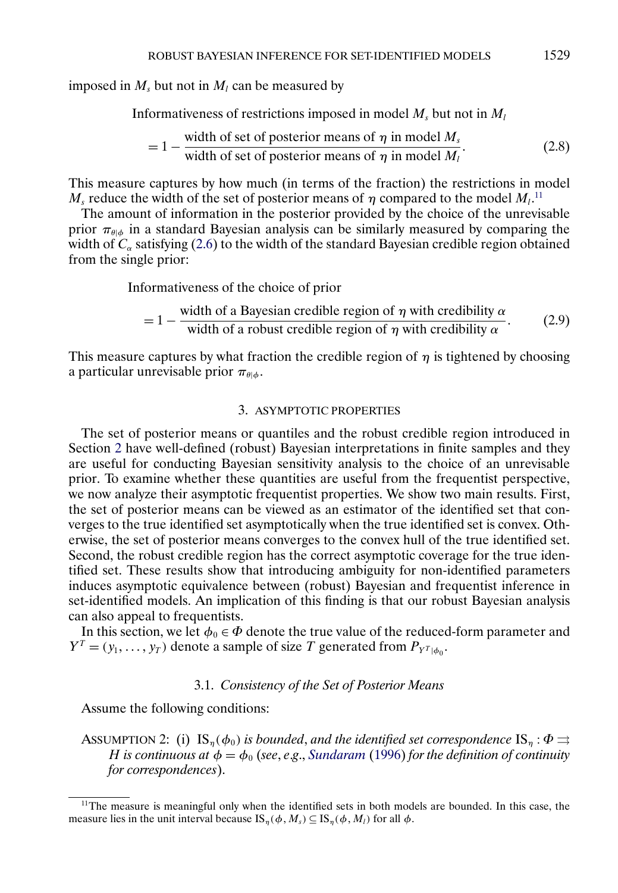<span id="page-10-0"></span>imposed in  $M_s$  but not in  $M_l$  can be measured by

Informativeness of restrictions imposed in model  $M_s$  but not in  $M_l$ 

$$
= 1 - \frac{\text{width of set of posterior means of } \eta \text{ in model } M_s}{\text{width of set of posterior means of } \eta \text{ in model } M_l}.
$$
 (2.8)

This measure captures by how much (in terms of the fraction) the restrictions in model  $M_s$  reduce the width of the set of posterior means of  $\eta$  compared to the model  $M_l$ .<sup>11</sup>

The amount of information in the posterior provided by the choice of the unrevisable prior  $\pi_{\theta|\phi}$  in a standard Bayesian analysis can be similarly measured by comparing the width of  $C_{\alpha}$  satisfying [\(2.6\)](#page-8-0) to the width of the standard Bayesian credible region obtained from the single prior:

Informativeness of the choice of prior

$$
= 1 - \frac{\text{width of a Bayesian credible region of } \eta \text{ with credibility } \alpha}{\text{width of a robust credible region of } \eta \text{ with credibility } \alpha}.
$$
 (2.9)

This measure captures by what fraction the credible region of  $\eta$  is tightened by choosing a particular unrevisable prior  $\pi_{\theta|\phi}$ .

## 3. ASYMPTOTIC PROPERTIES

The set of posterior means or quantiles and the robust credible region introduced in Section [2](#page-3-0) have well-defined (robust) Bayesian interpretations in finite samples and they are useful for conducting Bayesian sensitivity analysis to the choice of an unrevisable prior. To examine whether these quantities are useful from the frequentist perspective, we now analyze their asymptotic frequentist properties. We show two main results. First, the set of posterior means can be viewed as an estimator of the identified set that converges to the true identified set asymptotically when the true identified set is convex. Otherwise, the set of posterior means converges to the convex hull of the true identified set. Second, the robust credible region has the correct asymptotic coverage for the true identified set. These results show that introducing ambiguity for non-identified parameters induces asymptotic equivalence between (robust) Bayesian and frequentist inference in set-identified models. An implication of this finding is that our robust Bayesian analysis can also appeal to frequentists.

In this section, we let  $\phi_0 \in \Phi$  denote the true value of the reduced-form parameter and  $Y^T = (y_1, \dots, y_T)$  denote a sample of size T generated from  $P_{Y^T|\phi_0}$ .

# 3.1. *Consistency of the Set of Posterior Means*

Assume the following conditions:

ASSUMPTION 2: (i)  $\text{IS}_{\eta}(\phi_0)$  *is bounded, and the identified set correspondence*  $\text{IS}_{\eta}$ :  $\Phi \rightrightarrows$ H is continuous at  $\phi = \phi_0$  (see, e.g., [Sundaram](#page-37-0) [\(1996\)](#page-37-0) for the definition of continuity *for correspondences*).

<sup>&</sup>lt;sup>11</sup>The measure is meaningful only when the identified sets in both models are bounded. In this case, the measure lies in the unit interval because  $\text{IS}_{\eta}(\phi, M_s) \subseteq \text{IS}_{\eta}(\phi, M_l)$  for all  $\phi$ .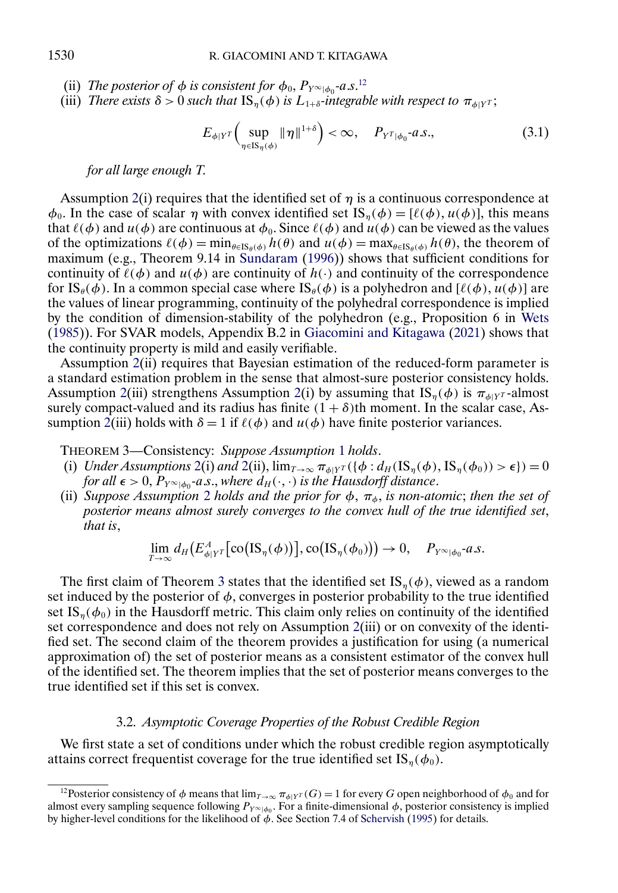- <span id="page-11-0"></span>(ii) *The posterior of*  $\phi$  *is consistent for*  $\phi_0$ ,  $P_{Y^{\infty}|\phi_0}$ -*a.s.*<sup>12</sup>
- (iii) *There exists*  $\delta > 0$  *such that*  $IS_n(\phi)$  *is*  $L_{1+\delta}$ *-integrable with respect to*  $\pi_{\phi|Y}$ *r*;

$$
E_{\phi|Y^T} \Big( \sup_{\eta \in \text{IS}_{\eta}(\phi)} \|\eta\|^{1+\delta} \Big) < \infty, \quad P_{Y^T|\phi_0} \text{-}a.s., \tag{3.1}
$$

#### *for all large enough T*.

Assumption [2\(](#page-10-0)i) requires that the identified set of  $\eta$  is a continuous correspondence at  $\phi_0$ . In the case of scalar  $\eta$  with convex identified set  $\text{IS}_n(\phi) = [\ell(\phi), \mu(\phi)]$ , this means that  $\ell(\phi)$  and  $u(\phi)$  are continuous at  $\phi_0$ . Since  $\ell(\phi)$  and  $u(\phi)$  can be viewed as the values of the optimizations  $\ell(\phi) = \min_{\theta \in \text{IS}_{\theta}(\phi)} h(\theta)$  and  $u(\phi) = \max_{\theta \in \text{IS}_{\theta}(\phi)} h(\theta)$ , the theorem of maximum (e.g., Theorem 9.14 in [Sundaram](#page-37-0) [\(1996\)](#page-37-0)) shows that sufficient conditions for continuity of  $\ell(\phi)$  and  $u(\phi)$  are continuity of  $h(\cdot)$  and continuity of the correspondence for  $\text{IS}_{\theta}(\phi)$ . In a common special case where  $\text{IS}_{\theta}(\phi)$  is a polyhedron and  $[\ell(\phi), u(\phi)]$  are the values of linear programming, continuity of the polyhedral correspondence is implied by the condition of dimension-stability of the polyhedron (e.g., Proposition 6 in [Wets](#page-37-0) [\(1985\)](#page-37-0)). For SVAR models, Appendix B.2 in [Giacomini and Kitagawa](#page-36-0) [\(2021\)](#page-36-0) shows that the continuity property is mild and easily verifiable.

Assumption [2\(](#page-10-0)ii) requires that Bayesian estimation of the reduced-form parameter is a standard estimation problem in the sense that almost-sure posterior consistency holds. Assumption [2\(](#page-10-0)iii) strengthens Assumption 2(i) by assuming that  $IS_n(\phi)$  is  $\pi_{\phi|Y^T}$ -almost surely compact-valued and its radius has finite  $(1 + \delta)$ th moment. In the scalar case, As-sumption [2\(](#page-10-0)iii) holds with  $\delta = 1$  if  $\ell(\phi)$  and  $u(\phi)$  have finite posterior variances.

THEOREM 3—Consistency: *Suppose Assumption* [1](#page-6-0) *holds*.

- (i) *Under Assumptions* [2\(](#page-10-0)i) *and* 2(ii),  $\lim_{T\to\infty} \pi_{\phi|Y^T}(\{\phi : d_H(\mathrm{IS}_{\eta}(\phi), \mathrm{IS}_{\eta}(\phi_0)) > \epsilon\}) = 0$ *for all*  $\epsilon > 0$ ,  $P_{Y^{\infty}|\phi_0}$ -*a.s.*, *where*  $d_H(\cdot, \cdot)$  *is the Hausdorff distance.*
- (ii) *Suppose Assumption* [2](#page-10-0) *holds and the prior for*  $\phi$ ,  $\pi_{\phi}$ , *is non-atomic*; *then the set of posterior means almost surely converges to the convex hull of the true identified set*, *that is*,

$$
\lim_{T\to\infty} d_H(E^A_{\phi|Y^T}[\text{co}\big(\text{IS}_{\eta}(\phi)\big)\big],\text{co}\big(\text{IS}_{\eta}(\phi_0)\big)\big)\to 0, \quad P_{Y^{\infty}|\phi_0}\text{-}a.s.
$$

The first claim of Theorem 3 states that the identified set  $IS_n(\phi)$ , viewed as a random set induced by the posterior of  $\phi$ , converges in posterior probability to the true identified set IS<sub>n</sub>( $\phi_0$ ) in the Hausdorff metric. This claim only relies on continuity of the identified set correspondence and does not rely on Assumption [2\(](#page-10-0)iii) or on convexity of the identified set. The second claim of the theorem provides a justification for using (a numerical approximation of) the set of posterior means as a consistent estimator of the convex hull of the identified set. The theorem implies that the set of posterior means converges to the true identified set if this set is convex.

# 3.2. *Asymptotic Coverage Properties of the Robust Credible Region*

We first state a set of conditions under which the robust credible region asymptotically attains correct frequentist coverage for the true identified set IS<sub>n</sub>( $\phi_0$ ).

<sup>&</sup>lt;sup>12</sup>Posterior consistency of φ means that  $\lim_{T\to\infty} \pi_{\phi|Y^T}(G) = 1$  for every G open neighborhood of  $\phi_0$  and for almost every sampling sequence following  $P_{Y^{\infty}|\phi_0}$ . For a finite-dimensional  $\phi$ , posterior consistency is implied by higher-level conditions for the likelihood of  $\phi$ . See Section 7.4 of [Schervish](#page-37-0) [\(1995\)](#page-37-0) for details.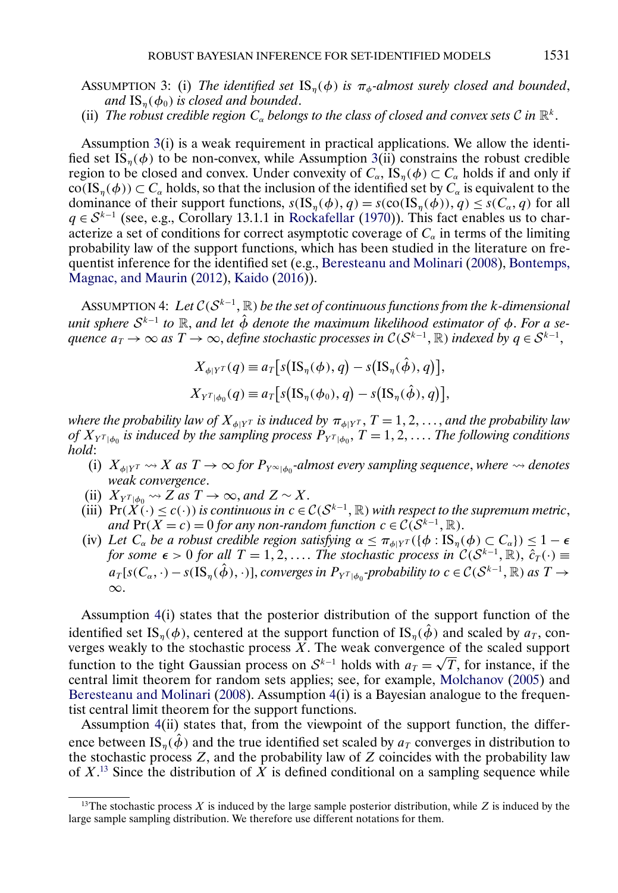<span id="page-12-0"></span>ASSUMPTION 3: (i) *The identified set*  $\text{IS}_n(\phi)$  *is*  $\pi_{\phi}$ -almost surely closed and bounded, *and*  $IS_n(\phi_0)$  *is closed and bounded.* 

(ii) *The robust credible region*  $C_{\alpha}$  *belongs to the class of closed and convex sets*  $\mathcal{C}$  *in*  $\mathbb{R}^{k}$ .

Assumption 3(i) is a weak requirement in practical applications. We allow the identified set  $IS_n(\phi)$  to be non-convex, while Assumption 3(ii) constrains the robust credible region to be closed and convex. Under convexity of  $C_{\alpha}$ , IS<sub>n</sub>( $\phi$ )  $\subset C_{\alpha}$  holds if and only if  $co(IS_n(\phi)) \subset C_\alpha$  holds, so that the inclusion of the identified set by  $C_\alpha$  is equivalent to the dominance of their support functions,  $s(IS_n(\phi), q) = s(\text{co}(IS_n(\phi)), q) \leq s(C_\alpha, q)$  for all  $q \in S^{k-1}$  (see, e.g., Corollary 13.1.1 in [Rockafellar](#page-37-0) [\(1970\)](#page-37-0)). This fact enables us to characterize a set of conditions for correct asymptotic coverage of  $C_{\alpha}$  in terms of the limiting probability law of the support functions, which has been studied in the literature on frequentist inference for the identified set (e.g., [Beresteanu and Molinari](#page-36-0) [\(2008\)](#page-36-0), [Bontemps,](#page-36-0) [Magnac, and Maurin](#page-36-0) [\(2012\)](#page-36-0), [Kaido](#page-36-0) [\(2016\)](#page-36-0)).

ASSUMPTION 4: Let  $C(S^{k-1}, \mathbb{R})$  be the set of continuous functions from the k-dimensional *unit sphere*  $S^{k-1}$  *to*  $\mathbb R$ *, and let*  $\hat{\phi}$  *denote the maximum likelihood estimator of*  $\phi$ *. For a sequence*  $a_T \to \infty$  *as*  $T \to \infty$ , *define stochastic processes in C*( $\mathcal{S}^{k-1}$ , ℝ) *indexed by*  $q \in \mathcal{S}^{k-1}$ ,

$$
X_{\phi|Y^T}(q) \equiv a_T \big[ s\big( \text{IS}_{\eta}(\phi), q \big) - s\big( \text{IS}_{\eta}(\hat{\phi}), q \big) \big],
$$
  

$$
X_{Y^T|\phi_0}(q) \equiv a_T \big[ s\big( \text{IS}_{\eta}(\phi_0), q \big) - s\big( \text{IS}_{\eta}(\hat{\phi}), q \big) \big],
$$

where the probability law of  $X_{\phi|Y^T}$  is induced by  $\pi_{\phi|Y^T}$ ,  $T=1,2,\ldots,$  and the probability law of  $X_{Y^T|\phi_0}$  is induced by the sampling process  $P_{Y^T|\phi_0}$ ,  $T = 1, 2, \ldots$ . The following conditions *hold*:

- (i)  $X_{\phi|Y^T} \rightsquigarrow X$  as  $T \rightarrow \infty$  *for*  $P_{Y^{\infty}|\phi_0}$ -almost every sampling sequence, where  $\rightsquigarrow$  denotes *weak convergence*.
- (ii)  $X_{Y^{T}|\phi_0} \rightarrow Z$  *as*  $T \rightarrow \infty$ *, and*  $Z \sim X$ .
- (iii)  $\Pr(X(\cdot) \leq c(\cdot))$  *is continuous in*  $c \in C(S^{k-1}, \mathbb{R})$  *with respect to the supremum metric*, *and*  $Pr(X = c) = 0$  *for any non-random function*  $c \in C(S^{k-1}, \mathbb{R})$ .
- (iv) Let  $C_\alpha$  be a robust credible region satisfying  $\alpha \leq \pi_{\phi|Y^T}(\{\phi : IS_\eta(\phi) \subset C_\alpha\}) \leq 1-\epsilon$ *for some*  $\epsilon > 0$  *for all*  $T = 1, 2, \ldots$  *The stochastic process in*  $\mathcal{C}(S^{k-1}, \mathbb{R})$ ,  $\overline{\hat{c}}_T(\cdot) \equiv$  $a_T[s(C_\alpha,\cdot)-s(\text{IS}_\eta(\hat{\phi}),\cdot)],$  *converges in*  $P_{Y^T|\phi_0}$ -probability to  $c \in C(S^{k-1}, \mathbb{R})$  *as*  $T \to$ ∞.

Assumption 4(i) states that the posterior distribution of the support function of the identified set IS<sub>η</sub>( $\phi$ ), centered at the support function of IS<sub>η</sub>( $\hat{\phi}$ ) and scaled by  $a_T$ , converges weakly to the stochastic process  $\overline{X}$ . The weak convergence of the scaled support function to the tight Gaussian process  $\Delta$ . The weak convergence of the scaled support function to the tight Gaussian process on  $S^{k-1}$  holds with  $a_T = \sqrt{T}$ , for instance, if the central limit theorem for random sets applies; see, for example, [Molchanov](#page-37-0) [\(2005\)](#page-37-0) and [Beresteanu and Molinari](#page-36-0) [\(2008\)](#page-36-0). Assumption  $4(i)$  is a Bayesian analogue to the frequentist central limit theorem for the support functions.

Assumption 4(ii) states that, from the viewpoint of the support function, the difference between IS<sub>n</sub>( $\dot{\phi}$ ) and the true identified set scaled by  $a_T$  converges in distribution to the stochastic process  $Z$ , and the probability law of  $Z$  coincides with the probability law of  $X<sup>13</sup>$  Since the distribution of X is defined conditional on a sampling sequence while

<sup>&</sup>lt;sup>13</sup>The stochastic process X is induced by the large sample posterior distribution, while Z is induced by the large sample sampling distribution. We therefore use different notations for them.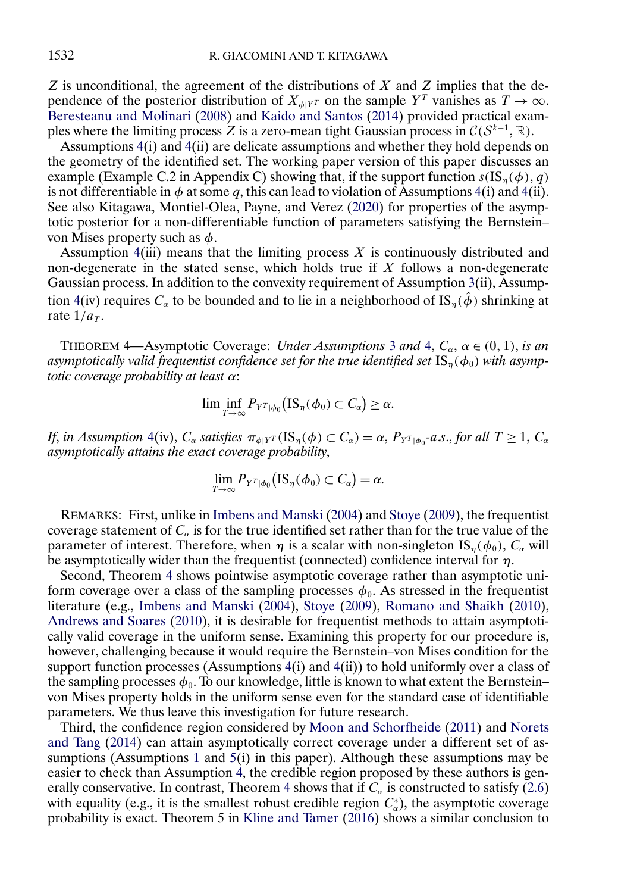<span id="page-13-0"></span> $Z$  is unconditional, the agreement of the distributions of  $X$  and  $Z$  implies that the dependence of the posterior distribution of  $X_{\phi|Y^T}$  on the sample  $Y^T$  vanishes as  $T \to \infty$ . [Beresteanu and Molinari](#page-36-0) [\(2008\)](#page-36-0) and [Kaido and Santos](#page-36-0) [\(2014\)](#page-36-0) provided practical examples where the limiting process Z is a zero-mean tight Gaussian process in  $\mathcal{C}(S^{k-1}, \mathbb{R})$ .

Assumptions [4\(](#page-12-0)i) and [4\(](#page-12-0)ii) are delicate assumptions and whether they hold depends on the geometry of the identified set. The working paper version of this paper discusses an example (Example C.2 in Appendix C) showing that, if the support function  $s(IS_n(\phi), q)$ is not differentiable in  $\phi$  at some q, this can lead to violation of Assumptions [4\(](#page-12-0)i) and 4(ii). See also Kitagawa, Montiel-Olea, Payne, and Verez [\(2020\)](#page-36-0) for properties of the asymptotic posterior for a non-differentiable function of parameters satisfying the Bernstein– von Mises property such as  $\phi$ .

Assumption  $4(iii)$  $4(iii)$  means that the limiting process X is continuously distributed and non-degenerate in the stated sense, which holds true if  $X$  follows a non-degenerate Gaussian process. In addition to the convexity requirement of Assumption  $3(ii)$  $3(ii)$ , Assump-tion [4\(](#page-12-0)iv) requires  $C_{\alpha}$  to be bounded and to lie in a neighborhood of IS<sub>n</sub>( $\hat{\phi}$ ) shrinking at rate  $1/a_T$ .

THEOREM 4—Asymptotic Coverage: *Under Assumptions* [3](#page-12-0) and [4,](#page-12-0)  $C_{\alpha}$ ,  $\alpha \in (0, 1)$ , *is an* asymptotically valid frequentist confidence set for the true identified set  $\text{IS}_n(\phi_0)$  with asymp*totic coverage probability at least* α:

$$
\lim \inf_{T\to\infty} P_{Y^T|\phi_0}(\text{IS}_{\eta}(\phi_0) \subset C_{\alpha}) \geq \alpha.
$$

*If*, *in Assumption* [4\(](#page-12-0)iv),  $C_{\alpha}$  *satisfies*  $\pi_{\phi|Y^T}(IS_{\eta}(\phi) \subset C_{\alpha}) = \alpha$ ,  $P_{Y^T|\phi_0}$ -a.s., *for all*  $T \ge 1$ ,  $C_{\alpha}$ *asymptotically attains the exact coverage probability*,

$$
\lim_{T\to\infty} P_{Y^T|\phi_0}(\text{IS}_{\eta}(\phi_0) \subset C_{\alpha}) = \alpha.
$$

REMARKS: First, unlike in [Imbens and Manski](#page-36-0) [\(2004\)](#page-36-0) and [Stoye](#page-37-0) [\(2009\)](#page-37-0), the frequentist coverage statement of  $C_{\alpha}$  is for the true identified set rather than for the true value of the parameter of interest. Therefore, when  $\eta$  is a scalar with non-singleton IS<sub>n</sub>( $\phi_0$ ),  $C_\alpha$  will be asymptotically wider than the frequentist (connected) confidence interval for  $\eta$ .

Second, Theorem 4 shows pointwise asymptotic coverage rather than asymptotic uniform coverage over a class of the sampling processes  $\phi_0$ . As stressed in the frequentist literature (e.g., [Imbens and Manski](#page-36-0) [\(2004\)](#page-36-0), [Stoye](#page-37-0) [\(2009\)](#page-37-0), [Romano and Shaikh](#page-37-0) [\(2010\)](#page-37-0), [Andrews and Soares](#page-35-0) [\(2010\)](#page-35-0), it is desirable for frequentist methods to attain asymptotically valid coverage in the uniform sense. Examining this property for our procedure is, however, challenging because it would require the Bernstein–von Mises condition for the support function processes (Assumptions  $4(i)$  $4(i)$  and  $4(ii)$ ) to hold uniformly over a class of the sampling processes  $\phi_0$ . To our knowledge, little is known to what extent the Bernstein– von Mises property holds in the uniform sense even for the standard case of identifiable parameters. We thus leave this investigation for future research.

Third, the confidence region considered by [Moon and Schorfheide](#page-37-0) [\(2011\)](#page-37-0) and [Norets](#page-37-0) [and Tang](#page-37-0) [\(2014\)](#page-37-0) can attain asymptotically correct coverage under a different set of as-sumptions (Assumptions [1](#page-6-0) and  $5(i)$  $5(i)$  in this paper). Although these assumptions may be easier to check than Assumption [4,](#page-12-0) the credible region proposed by these authors is generally conservative. In contrast, Theorem 4 shows that if  $C_{\alpha}$  is constructed to satisfy [\(2.6\)](#page-8-0) with equality (e.g., it is the smallest robust credible region  $C_{\alpha}^*$ ), the asymptotic coverage probability is exact. Theorem 5 in [Kline and Tamer](#page-37-0) [\(2016\)](#page-37-0) shows a similar conclusion to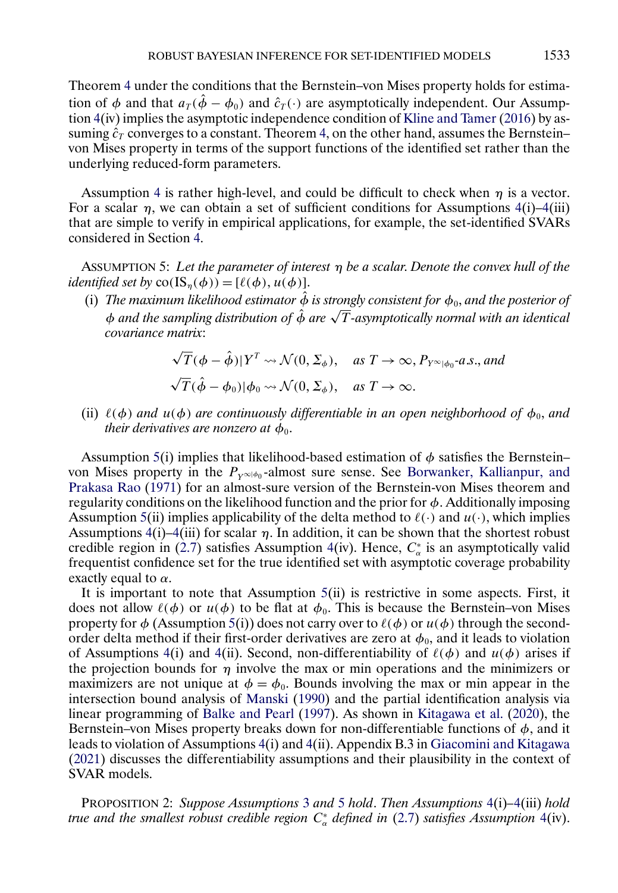<span id="page-14-0"></span>Theorem [4](#page-13-0) under the conditions that the Bernstein–von Mises property holds for estimation of  $\phi$  and that  $a_T(\hat{\phi} - \phi_0)$  and  $\hat{c}_T(\cdot)$  are asymptotically independent. Our Assumption [4\(](#page-12-0)iv) implies the asymptotic independence condition of [Kline and Tamer](#page-37-0) [\(2016\)](#page-37-0) by assuming  $\hat{c}_T$  converges to a constant. Theorem [4,](#page-13-0) on the other hand, assumes the Bernstein– von Mises property in terms of the support functions of the identified set rather than the underlying reduced-form parameters.

Assumption [4](#page-12-0) is rather high-level, and could be difficult to check when  $\eta$  is a vector. For a scalar  $\eta$ , we can obtain a set of sufficient conditions for Assumptions [4\(](#page-12-0)i)[–4\(](#page-12-0)iii) that are simple to verify in empirical applications, for example, the set-identified SVARs considered in Section [4.](#page-15-0)

ASSUMPTION 5: *Let the parameter of interest* η *be a scalar*. *Denote the convex hull of the identified set by*  $co(IS_n(\phi)) = [\ell(\phi), \mu(\phi)].$ 

(i) The maximum likelihood estimator  $\hat{\phi}$  is strongly consistent for  $\phi_0$ , and the posterior of *The maximum ukeunood esumator* φ is strongly consistent for φ<sub>0</sub>, and the posterior of<br>φ and the sampling distribution of φ are √T-asymptotically normal with an identical *covariance matrix*:

$$
\sqrt{T}(\phi - \hat{\phi}) | Y^T \leadsto \mathcal{N}(0, \Sigma_{\phi}), \quad \text{as } T \to \infty, P_{Y^{\infty}|\phi_0} \text{-}a.s., \text{and}
$$
  

$$
\sqrt{T}(\hat{\phi} - \phi_0) |\phi_0 \leadsto \mathcal{N}(0, \Sigma_{\phi}), \quad \text{as } T \to \infty.
$$

(ii)  $\ell(\phi)$  and  $u(\phi)$  are continuously differentiable in an open neighborhood of  $\phi_0$ , and *their derivatives are nonzero at*  $\phi_0$ *.* 

Assumption 5(i) implies that likelihood-based estimation of  $\phi$  satisfies the Bernstein– von Mises property in the  $P_{Y^{\infty}|\phi_0}$ -almost sure sense. See [Borwanker, Kallianpur, and](#page-36-0) [Prakasa Rao](#page-36-0) [\(1971\)](#page-36-0) for an almost-sure version of the Bernstein-von Mises theorem and regularity conditions on the likelihood function and the prior for  $\phi$ . Additionally imposing Assumption 5(ii) implies applicability of the delta method to  $\ell(\cdot)$  and  $u(\cdot)$ , which implies Assumptions [4\(](#page-12-0)i)[–4\(](#page-12-0)iii) for scalar  $\eta$ . In addition, it can be shown that the shortest robust credible region in [\(2.7\)](#page-8-0) satisfies Assumption [4\(](#page-12-0)iv). Hence,  $C^*_{\alpha}$  is an asymptotically valid frequentist confidence set for the true identified set with asymptotic coverage probability exactly equal to  $\alpha$ .

It is important to note that Assumption 5(ii) is restrictive in some aspects. First, it does not allow  $\ell(\phi)$  or  $u(\phi)$  to be flat at  $\phi_0$ . This is because the Bernstein–von Mises property for  $\phi$  (Assumption 5(i)) does not carry over to  $\ell(\phi)$  or  $u(\phi)$  through the secondorder delta method if their first-order derivatives are zero at  $\phi_0$ , and it leads to violation of Assumptions [4\(](#page-12-0)i) and 4(ii). Second, non-differentiability of  $\ell(\phi)$  and  $u(\phi)$  arises if the projection bounds for  $\eta$  involve the max or min operations and the minimizers or maximizers are not unique at  $\phi = \phi_0$ . Bounds involving the max or min appear in the intersection bound analysis of [Manski](#page-37-0) [\(1990\)](#page-37-0) and the partial identification analysis via linear programming of [Balke and Pearl](#page-36-0) [\(1997\)](#page-36-0). As shown in [Kitagawa et al.](#page-36-0) [\(2020\)](#page-36-0), the Bernstein–von Mises property breaks down for non-differentiable functions of  $\phi$ , and it leads to violation of Assumptions [4\(](#page-12-0)i) and [4\(](#page-12-0)ii). Appendix B.3 in [Giacomini and Kitagawa](#page-36-0) [\(2021\)](#page-36-0) discusses the differentiability assumptions and their plausibility in the context of SVAR models.

PROPOSITION 2: *Suppose Assumptions* [3](#page-12-0) *and* 5 *hold*. *Then Assumptions* [4\(](#page-12-0)i)*–*[4\(](#page-12-0)iii) *hold true and the smallest robust credible region* C<sup>∗</sup> <sup>α</sup> *defined in* [\(2.7\)](#page-8-0) *satisfies Assumption* [4\(](#page-12-0)iv).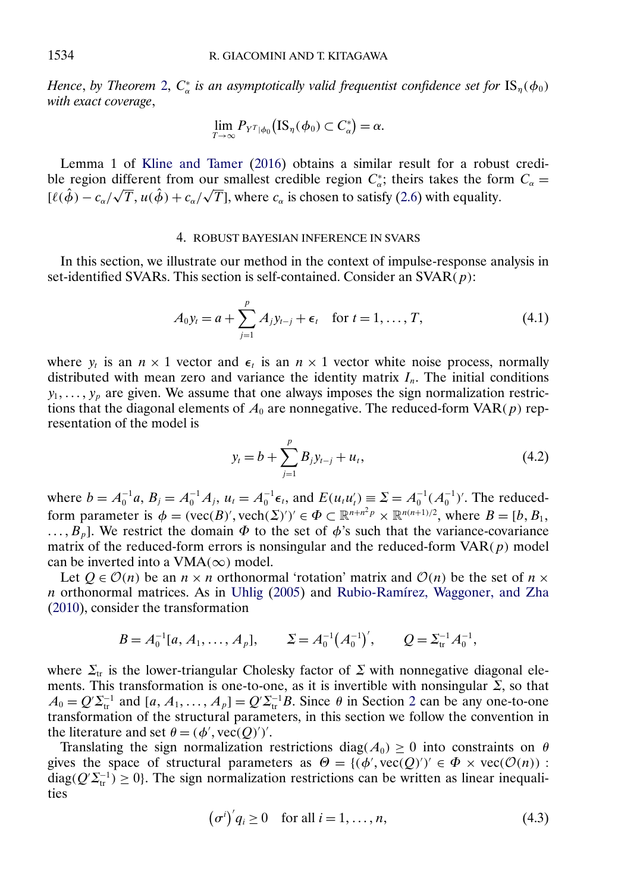<span id="page-15-0"></span>*Hence, by Theorem [2,](#page-7-0)*  $C^*_{\alpha}$  *is an asymptotically valid frequentist confidence set for*  $IS_{\eta}(\phi_0)$ *with exact coverage*,

$$
\lim_{T\to\infty} P_{Y^T|\phi_0}(\text{IS}_{\eta}(\phi_0) \subset C_{\alpha}^*) = \alpha.
$$

Lemma 1 of [Kline and Tamer](#page-37-0) [\(2016\)](#page-37-0) obtains a similar result for a robust credible region different from our smallest credible region  $C^*_{\alpha}$ ; theirs takes the form  $C_{\alpha} =$  $[\ell(\hat{\phi}) - c_{\alpha}/\sqrt{T}, u(\hat{\phi}) + c_{\alpha}/\sqrt{T}]$ , where  $c_{\alpha}$  is chosen to satisfy [\(2.6\)](#page-8-0) with equality.

### 4. ROBUST BAYESIAN INFERENCE IN SVARS

In this section, we illustrate our method in the context of impulse-response analysis in set-identified SVARs. This section is self-contained. Consider an  $\text{SVAR}(p)$ :

$$
A_0 y_t = a + \sum_{j=1}^p A_j y_{t-j} + \epsilon_t \quad \text{for } t = 1, ..., T,
$$
 (4.1)

where  $y_t$  is an  $n \times 1$  vector and  $\epsilon_t$  is an  $n \times 1$  vector white noise process, normally distributed with mean zero and variance the identity matrix  $I_n$ . The initial conditions  $y_1, \ldots, y_p$  are given. We assume that one always imposes the sign normalization restrictions that the diagonal elements of  $A_0$  are nonnegative. The reduced-form  $VAR(p)$  representation of the model is

$$
y_t = b + \sum_{j=1}^p B_j y_{t-j} + u_t, \qquad (4.2)
$$

where  $b = A_0^{-1}a$ ,  $B_j = A_0^{-1}A_j$ ,  $u_t = A_0^{-1} \epsilon_t$ , and  $E(u_t u_t') \equiv \Sigma = A_0^{-1} (A_0^{-1})'$ . The reducedform parameter is  $\phi = (vec(B)',vec(h(\Sigma))') \in \Phi \subset \mathbb{R}^{n+n^2p} \times \mathbb{R}^{n(n+1)/2}$ , where  $B = [b, B_1,$  $\ldots, B_p$ . We restrict the domain  $\Phi$  to the set of  $\phi$ 's such that the variance-covariance matrix of the reduced-form errors is nonsingular and the reduced-form  $VAR(p)$  model can be inverted into a VMA( $\infty$ ) model.

Let  $Q \in \mathcal{O}(n)$  be an  $n \times n$  orthonormal 'rotation' matrix and  $\mathcal{O}(n)$  be the set of  $n \times$ n orthonormal matrices. As in [Uhlig](#page-37-0) [\(2005\)](#page-37-0) and [Rubio-Ramírez, Waggoner, and Zha](#page-37-0) [\(2010\)](#page-37-0), consider the transformation

$$
B = A_0^{-1}[a, A_1, ..., A_p],
$$
  $\Sigma = A_0^{-1}(A_0^{-1})',$   $Q = \Sigma_{tr}^{-1}A_0^{-1},$ 

where  $\Sigma_{tr}$  is the lower-triangular Cholesky factor of  $\Sigma$  with nonnegative diagonal elements. This transformation is one-to-one, as it is invertible with nonsingular  $\Sigma$ , so that  $A_0 = Q' \Sigma_{tr}^{-1}$  and  $[a, A_1, \dots, A_p] = Q' \Sigma_{tr}^{-1} B$ . Since  $\theta$  in Section [2](#page-3-0) can be any one-to-one transformation of the structural parameters, in this section we follow the convention in the literature and set  $\theta = (\phi', \text{vec}(Q)')'.$ 

Translating the sign normalization restrictions diag( $A_0$ ) ≥ 0 into constraints on  $\theta$ gives the space of structural parameters as  $\Theta = \{(\phi', \text{vec}(Q)')' \in \Phi \times \text{vec}(\mathcal{O}(n)) :$ diag( $Q^{\prime}\Sigma_{tr}^{-1}$ ) ≥ 0}. The sign normalization restrictions can be written as linear inequalities

$$
(\sigma^i)'q_i \ge 0 \quad \text{for all } i = 1, \dots, n,
$$
\n
$$
(4.3)
$$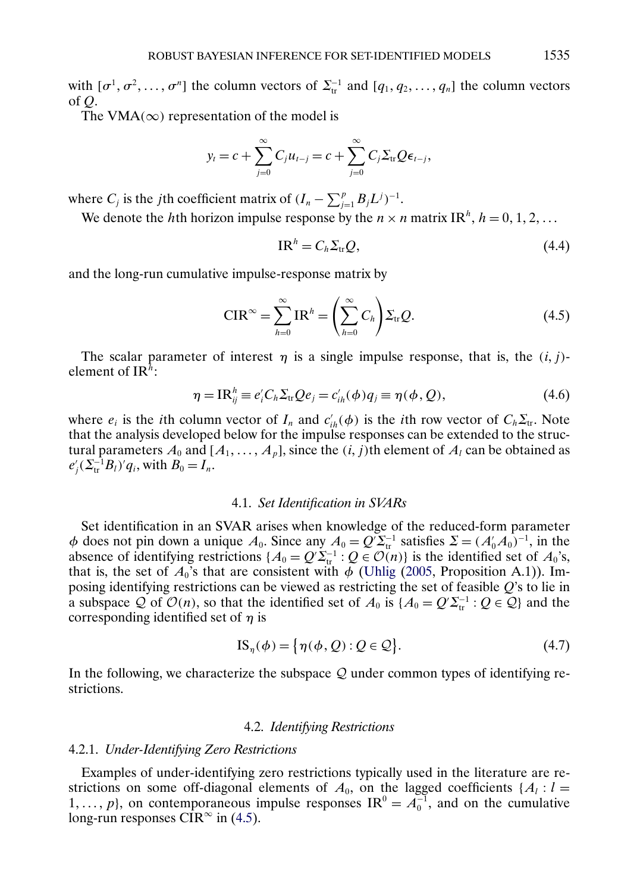<span id="page-16-0"></span>with  $[\sigma^1, \sigma^2, \dots, \sigma^n]$  the column vectors of  $\Sigma_{tr}^{-1}$  and  $[q_1, q_2, \dots, q_n]$  the column vectors of Q.

The VMA( $\infty$ ) representation of the model is

$$
y_t = c + \sum_{j=0}^{\infty} C_j u_{t-j} = c + \sum_{j=0}^{\infty} C_j \sum_{\text{tr}} Q \epsilon_{t-j},
$$

where  $C_j$  is the *j*th coefficient matrix of  $(I_n - \sum_{j=1}^p B_j L^j)^{-1}$ .

We denote the hth horizon impulse response by the  $n \times n$  matrix IR<sup>h</sup>,  $h = 0, 1, 2, ...$ 

$$
IR^h = C_h \Sigma_{tr} Q, \qquad (4.4)
$$

and the long-run cumulative impulse-response matrix by

$$
\text{CIR}^{\infty} = \sum_{h=0}^{\infty} \text{IR}^h = \left(\sum_{h=0}^{\infty} C_h\right) \Sigma_{\text{tr}} Q. \tag{4.5}
$$

The scalar parameter of interest  $\eta$  is a single impulse response, that is, the  $(i, j)$ element of IR<sup>h</sup>:

$$
\eta = IR_{ij}^h \equiv e_i'C_h\Sigma_{tr}Qe_j = c_{ih}'(\phi)q_j \equiv \eta(\phi, Q), \qquad (4.6)
$$

where  $e_i$  is the *i*th column vector of  $I_n$  and  $c'_{ih}(\phi)$  is the *i*th row vector of  $C_h \Sigma_{tr}$ . Note that the analysis developed below for the impulse responses can be extended to the structural parameters  $A_0$  and  $[A_1, \ldots, A_p]$ , since the  $(i, j)$ th element of  $A_l$  can be obtained as  $e'_{j}(\Sigma_{tr}^{-1}B_{l})'q_{i}$ , with  $B_{0}=I_{n}$ .

#### 4.1. *Set Identification in SVARs*

Set identification in an SVAR arises when knowledge of the reduced-form parameter  $\phi$  does not pin down a unique  $A_0$ . Since any  $A_0 = Q' \Sigma_{tr}^{-1}$  satisfies  $\Sigma = (A'_0 A_0)^{-1}$ , in the absence of identifying restrictions  $\{A_0 = Q' \Sigma_{tr}^{-1} : Q \in \mathcal{O}(n)\}$  is the identified set of  $A_0$ 's, that is, the set of  $A_0$ 's that are consistent with  $\phi$  [\(Uhlig](#page-37-0) [\(2005,](#page-37-0) Proposition A.1)). Imposing identifying restrictions can be viewed as restricting the set of feasible  $Q$ 's to lie in a subspace Q of  $O(n)$ , so that the identified set of  $A_0$  is  $\{A_0 = Q' \Sigma_{tr}^{-1} : Q \in \mathcal{Q}\}\$  and the corresponding identified set of  $\eta$  is

$$
IS_{\eta}(\phi) = {\eta(\phi, Q) : Q \in \mathcal{Q}}.
$$
 (4.7)

In the following, we characterize the subspace  $\mathcal Q$  under common types of identifying restrictions.

## 4.2. *Identifying Restrictions*

#### 4.2.1. *Under-Identifying Zero Restrictions*

Examples of under-identifying zero restrictions typically used in the literature are restrictions on some off-diagonal elements of  $A_0$ , on the lagged coefficients { $A<sub>l</sub>$  : l = 1, ..., p, on contemporaneous impulse responses  $IR^0 = A_0^{-1}$ , and on the cumulative long-run responses CIR<sup>∞</sup> in  $(4.5)$ .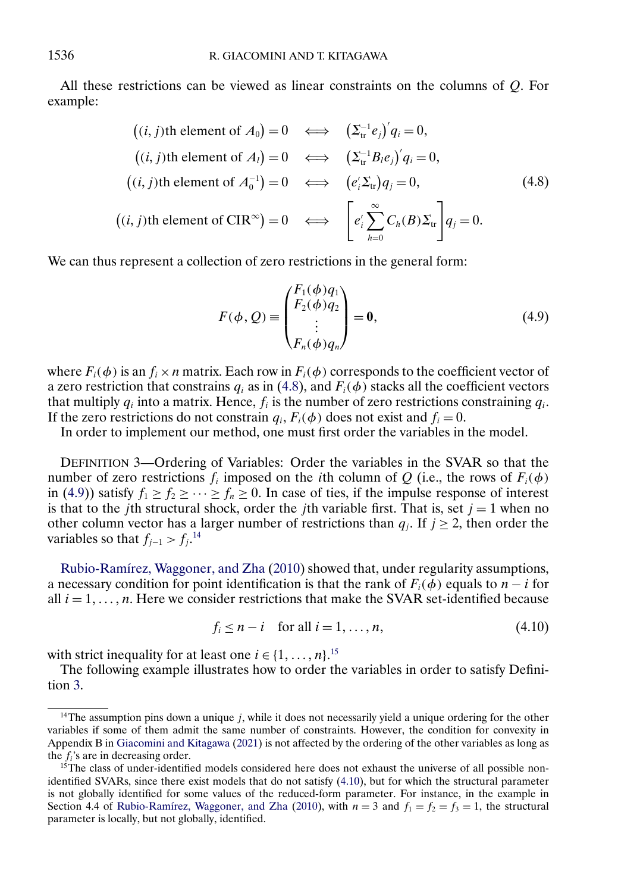<span id="page-17-0"></span>All these restrictions can be viewed as linear constraints on the columns of Q. For example:

$$
((i, j)th element of A_0) = 0 \iff ( \Sigma_{tr}^{-1} e_j)' q_i = 0,
$$
  
\n
$$
((i, j)th element of A_l) = 0 \iff ( \Sigma_{tr}^{-1} B_l e_j)' q_i = 0,
$$
  
\n
$$
((i, j)th element of A_0^{-1}) = 0 \iff (e_i' \Sigma_{tr}) q_j = 0,
$$
  
\n
$$
((i, j)th element of CIR^{\infty}) = 0 \iff [e_i' \sum_{h=0}^{\infty} C_h(B) \Sigma_{tr}] q_j = 0.
$$
\n
$$
(4.8)
$$

We can thus represent a collection of zero restrictions in the general form:

$$
F(\phi, Q) \equiv \begin{pmatrix} F_1(\phi)q_1 \\ F_2(\phi)q_2 \\ \vdots \\ F_n(\phi)q_n \end{pmatrix} = \mathbf{0},
$$
 (4.9)

where  $F_i(\phi)$  is an  $f_i \times n$  matrix. Each row in  $F_i(\phi)$  corresponds to the coefficient vector of a zero restriction that constrains  $q_i$  as in (4.8), and  $F_i(\phi)$  stacks all the coefficient vectors that multiply  $q_i$  into a matrix. Hence,  $f_i$  is the number of zero restrictions constraining  $q_i$ . If the zero restrictions do not constrain  $q_i$ ,  $F_i(\phi)$  does not exist and  $f_i = 0$ .

In order to implement our method, one must first order the variables in the model.

DEFINITION 3—Ordering of Variables: Order the variables in the SVAR so that the number of zero restrictions  $f_i$  imposed on the *i*th column of O (i.e., the rows of  $F_i(\phi)$ ) in (4.9)) satisfy  $f_1 \ge f_2 \ge \cdots \ge f_n \ge 0$ . In case of ties, if the impulse response of interest is that to the jth structural shock, order the jth variable first. That is, set  $j = 1$  when no other column vector has a larger number of restrictions than  $q_i$ . If  $j \ge 2$ , then order the variables so that  $f_{j-1} > f_j$ .<sup>14</sup>

[Rubio-Ramírez, Waggoner, and Zha](#page-37-0) [\(2010\)](#page-37-0) showed that, under regularity assumptions, a necessary condition for point identification is that the rank of  $F_i(\phi)$  equals to  $n - i$  for all  $i = 1, \ldots, n$ . Here we consider restrictions that make the SVAR set-identified because

$$
f_i \le n - i \quad \text{for all } i = 1, \dots, n,
$$
\n
$$
(4.10)
$$

with strict inequality for at least one  $i \in \{1, ..., n\}$ .<sup>15</sup>

The following example illustrates how to order the variables in order to satisfy Definition 3.

<sup>&</sup>lt;sup>14</sup>The assumption pins down a unique  $j$ , while it does not necessarily yield a unique ordering for the other variables if some of them admit the same number of constraints. However, the condition for convexity in Appendix B in [Giacomini and Kitagawa](#page-36-0) [\(2021\)](#page-36-0) is not affected by the ordering of the other variables as long as the  $f_i$ 's are in decreasing order.

 $15$ The class of under-identified models considered here does not exhaust the universe of all possible nonidentified SVARs, since there exist models that do not satisfy (4.10), but for which the structural parameter is not globally identified for some values of the reduced-form parameter. For instance, in the example in Section 4.4 of [Rubio-Ramírez, Waggoner, and Zha](#page-37-0) [\(2010\)](#page-37-0), with  $n = 3$  and  $f_1 = f_2 = f_3 = 1$ , the structural parameter is locally, but not globally, identified.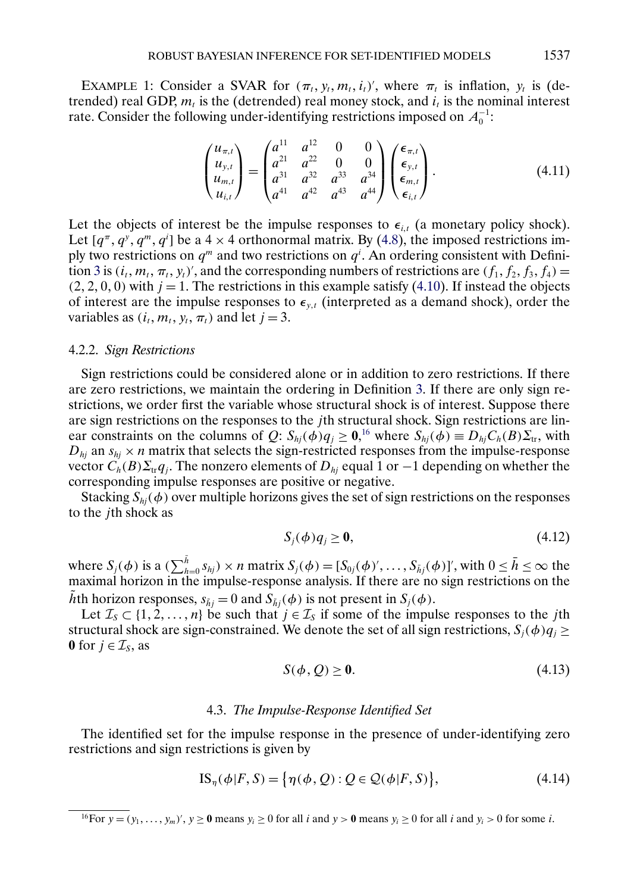<span id="page-18-0"></span>EXAMPLE 1: Consider a SVAR for  $(\pi_t, y_t, m_t, i_t)$ , where  $\pi_t$  is inflation,  $y_t$  is (detrended) real GDP,  $m_t$  is the (detrended) real money stock, and  $i_t$  is the nominal interest rate. Consider the following under-identifying restrictions imposed on  $A_0^{-1}$ :

$$
\begin{pmatrix} u_{\pi,t} \\ u_{y,t} \\ u_{m,t} \\ u_{i,t} \end{pmatrix} = \begin{pmatrix} a^{11} & a^{12} & 0 & 0 \\ a^{21} & a^{22} & 0 & 0 \\ a^{31} & a^{32} & a^{33} & a^{34} \\ a^{41} & a^{42} & a^{43} & a^{44} \end{pmatrix} \begin{pmatrix} \epsilon_{\pi,t} \\ \epsilon_{y,t} \\ \epsilon_{m,t} \\ \epsilon_{i,t} \end{pmatrix}.
$$
 (4.11)

Let the objects of interest be the impulse responses to  $\epsilon_{i,t}$  (a monetary policy shock). Let  $[q^{\pi}, q^{\gamma}, q^{\pi}, q^i]$  be a 4  $\times$  4 orthonormal matrix. By [\(4.8\)](#page-17-0), the imposed restrictions imply two restrictions on  $q^m$  and two restrictions on  $q^i$ . An ordering consistent with Defini-tion [3](#page-17-0) is  $(i_t, m_t, \pi_t, y_t)$ , and the corresponding numbers of restrictions are  $(f_1, f_2, f_3, f_4)$  =  $(2, 2, 0, 0)$  with  $j = 1$ . The restrictions in this example satisfy [\(4.10\)](#page-17-0). If instead the objects of interest are the impulse responses to  $\epsilon_{y,t}$  (interpreted as a demand shock), order the variables as  $(i_t, m_t, y_t, \pi_t)$  and let  $j = 3$ .

#### 4.2.2. *Sign Restrictions*

Sign restrictions could be considered alone or in addition to zero restrictions. If there are zero restrictions, we maintain the ordering in Definition [3.](#page-17-0) If there are only sign restrictions, we order first the variable whose structural shock is of interest. Suppose there are sign restrictions on the responses to the *j*th structural shock. Sign restrictions are linear constraints on the columns of Q:  $S_{hj}(\phi)q_j \ge 0$ ,<sup>16</sup> where  $S_{hj}(\phi) \equiv D_{hj}C_h(B)\Sigma_{tr}$ , with  $D_{hj}$  an  $s_{hj} \times n$  matrix that selects the sign-restricted responses from the impulse-response vector  $C_h(B)\Sigma_{\text{tr}}q_i$ . The nonzero elements of  $D_{hi}$  equal 1 or  $-1$  depending on whether the corresponding impulse responses are positive or negative.

Stacking  $S_{hi}(\phi)$  over multiple horizons gives the set of sign restrictions on the responses to the jth shock as

$$
S_j(\phi)q_j \ge \mathbf{0},\tag{4.12}
$$

where  $S_j(\phi)$  is a  $(\sum_{h=0}^{\tilde{h}} s_{hj}) \times n$  matrix  $S_j(\phi) = [S_{0j}(\phi)', \dots, S_{\tilde{h}j}(\phi)]'$ , with  $0 \le \tilde{h} \le \infty$  the maximal horizon in the impulse-response analysis. If there are no sign restrictions on the hth horizon responses,  $s_{\tilde{h}i} = 0$  and  $S_{\tilde{h}i}(\phi)$  is not present in  $S_i(\phi)$ .

Let  $\mathcal{I}_S \subset \{1, 2, ..., n\}$  be such that  $j \in \mathcal{I}_S$  if some of the impulse responses to the jth structural shock are sign-constrained. We denote the set of all sign restrictions,  $S_i(\phi)q_i \geq$ **0** for  $j \in \mathcal{I}_s$ , as

$$
S(\phi, Q) \ge 0. \tag{4.13}
$$

#### 4.3. *The Impulse-Response Identified Set*

The identified set for the impulse response in the presence of under-identifying zero restrictions and sign restrictions is given by

$$
IS_{\eta}(\phi|F, S) = \{ \eta(\phi, Q) : Q \in \mathcal{Q}(\phi|F, S) \},\tag{4.14}
$$

<sup>&</sup>lt;sup>16</sup>For  $y = (y_1, \ldots, y_m)'$ ,  $y \ge 0$  means  $y_i \ge 0$  for all i and  $y > 0$  means  $y_i \ge 0$  for all i and  $y_i > 0$  for some i.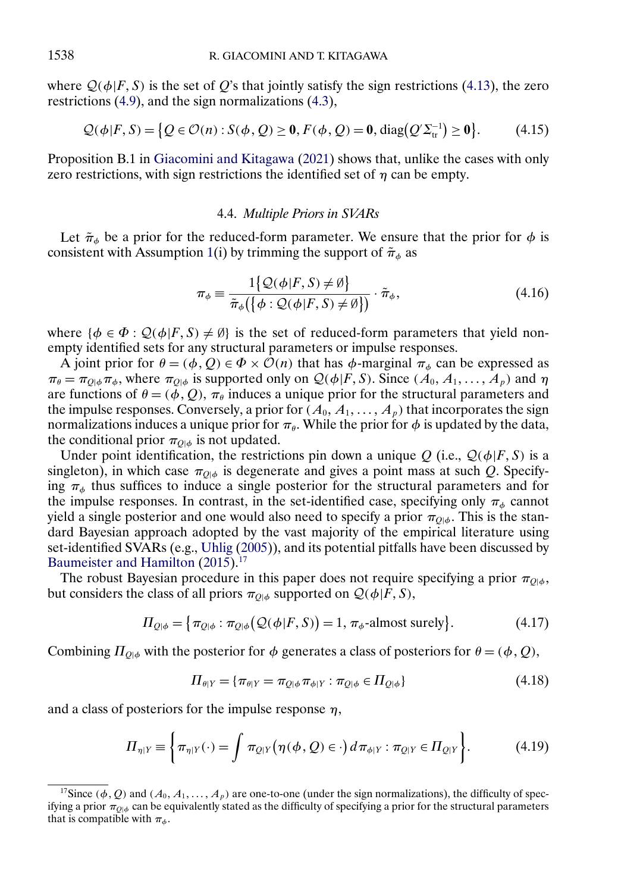where  $\mathcal{Q}(\phi|F, S)$  is the set of Q's that jointly satisfy the sign restrictions [\(4.13\)](#page-18-0), the zero restrictions [\(4.9\)](#page-17-0), and the sign normalizations [\(4.3\)](#page-15-0),

$$
Q(\phi|F, S) = \{ Q \in \mathcal{O}(n) : S(\phi, Q) \ge 0, F(\phi, Q) = 0, \text{diag}(Q' \Sigma_{tr}^{-1}) \ge 0 \}. \tag{4.15}
$$

Proposition B.1 in [Giacomini and Kitagawa](#page-36-0) [\(2021\)](#page-36-0) shows that, unlike the cases with only zero restrictions, with sign restrictions the identified set of  $\eta$  can be empty.

#### 4.4. *Multiple Priors in SVARs*

Let  $\tilde{\pi}_{\phi}$  be a prior for the reduced-form parameter. We ensure that the prior for  $\phi$  is consistent with Assumption [1\(](#page-6-0)i) by trimming the support of  $\tilde{\pi}_{\phi}$  as

$$
\pi_{\phi} \equiv \frac{1\{\mathcal{Q}(\phi|F, S) \neq \emptyset\}}{\tilde{\pi}_{\phi}(\{\phi:\mathcal{Q}(\phi|F, S) \neq \emptyset\})} \cdot \tilde{\pi}_{\phi},\tag{4.16}
$$

where  $\{\phi \in \Phi : \mathcal{Q}(\phi|F, S) \neq \emptyset\}$  is the set of reduced-form parameters that yield nonempty identified sets for any structural parameters or impulse responses.

A joint prior for  $\theta = (\phi, Q) \in \Phi \times \hat{\mathcal{O}}(n)$  that has  $\phi$ -marginal  $\pi_{\phi}$  can be expressed as  $\pi_{\theta} = \pi_{Q|\phi} \pi_{\phi}$ , where  $\pi_{Q|\phi}$  is supported only on  $Q(\phi|F, S)$ . Since  $(A_0, A_1, \dots, A_p)$  and  $\eta$ are functions of  $\theta = (\phi, Q)$ ,  $\pi_{\theta}$  induces a unique prior for the structural parameters and the impulse responses. Conversely, a prior for  $(A_0, A_1, \ldots, A_p)$  that incorporates the sign normalizations induces a unique prior for  $\pi_{\theta}$ . While the prior for  $\phi$  is updated by the data, the conditional prior  $\pi_{O| \phi}$  is not updated.

Under point identification, the restrictions pin down a unique Q (i.e.,  $Q(\phi|F, S)$  is a singleton), in which case  $\pi_{O|\phi}$  is degenerate and gives a point mass at such Q. Specifying  $\pi_{\phi}$  thus suffices to induce a single posterior for the structural parameters and for the impulse responses. In contrast, in the set-identified case, specifying only  $\pi_{\phi}$  cannot yield a single posterior and one would also need to specify a prior  $\pi_{\theta|\phi}$ . This is the standard Bayesian approach adopted by the vast majority of the empirical literature using set-identified SVARs (e.g., [Uhlig](#page-37-0) [\(2005\)](#page-37-0)), and its potential pitfalls have been discussed by [Baumeister and Hamilton](#page-36-0) [\(2015\)](#page-36-0).<sup>17</sup>

The robust Bayesian procedure in this paper does not require specifying a prior  $\pi_{O| \phi}$ , but considers the class of all priors  $\pi_{Q|\phi}$  supported on  $Q(\phi|F, S)$ ,

$$
\Pi_{Q|\phi} = \{ \pi_{Q|\phi} : \pi_{Q|\phi}(\mathcal{Q}(\phi|F, S)) = 1, \pi_{\phi}\text{-almost surely} \}. \tag{4.17}
$$

Combining  $\Pi_{Q|\phi}$  with the posterior for  $\phi$  generates a class of posteriors for  $\theta = (\phi, Q)$ ,

$$
\Pi_{\theta|Y} = \{\pi_{\theta|Y} = \pi_{Q|\phi} \pi_{\phi|Y} : \pi_{Q|\phi} \in \Pi_{Q|\phi}\}\tag{4.18}
$$

and a class of posteriors for the impulse response  $\eta$ ,

$$
\Pi_{\eta|Y} \equiv \left\{ \pi_{\eta|Y}(\cdot) = \int \pi_{Q|Y} (\eta(\phi, Q) \in \cdot) d\pi_{\phi|Y} : \pi_{Q|Y} \in \Pi_{Q|Y} \right\}.
$$
 (4.19)

<span id="page-19-0"></span>

<sup>&</sup>lt;sup>17</sup>Since ( $\phi$ , Q) and ( $A_0$ ,  $A_1$ , ...,  $A_p$ ) are one-to-one (under the sign normalizations), the difficulty of specifying a prior  $\pi_{Q|\phi}$  can be equivalently stated as the difficulty of specifying a prior for the structural parameters that is compatible with  $\pi_{\phi}$ .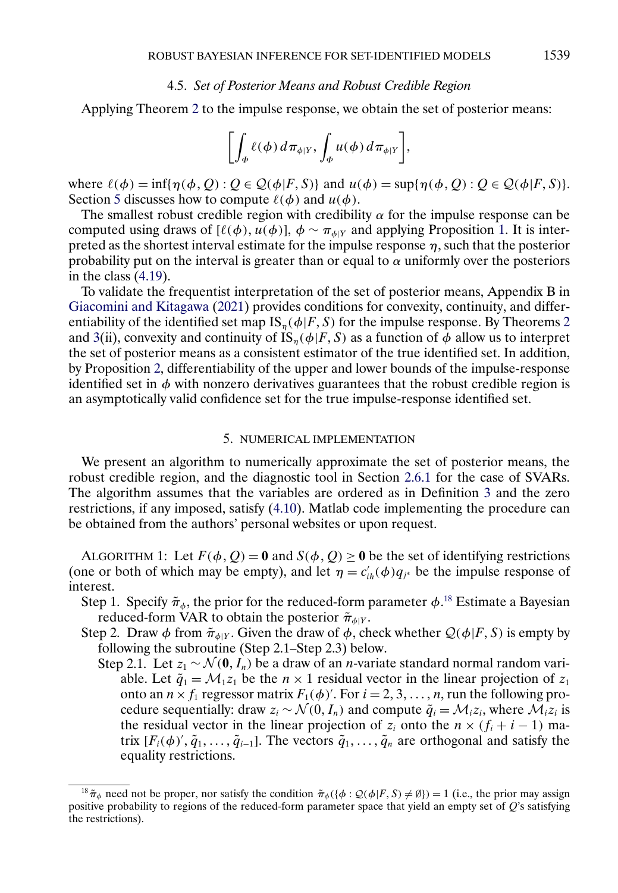#### 4.5. *Set of Posterior Means and Robust Credible Region*

<span id="page-20-0"></span>Applying Theorem [2](#page-7-0) to the impulse response, we obtain the set of posterior means:

$$
\left[\int_{\Phi} \ell(\phi) \, d\pi_{\phi|Y}, \int_{\Phi} u(\phi) \, d\pi_{\phi|Y}\right],
$$

where  $\ell(\phi) = \inf \{ \eta(\phi, Q) : Q \in \mathcal{Q}(\phi | F, S) \}$  and  $u(\phi) = \sup \{ \eta(\phi, Q) : Q \in \mathcal{Q}(\phi | F, S) \}$ . Section 5 discusses how to compute  $\ell(\phi)$  and  $u(\phi)$ .

The smallest robust credible region with credibility  $\alpha$  for the impulse response can be computed using draws of  $[\ell(\phi), u(\phi)]$ ,  $\phi \sim \pi_{\phi|Y}$  and applying Proposition [1.](#page-9-0) It is interpreted as the shortest interval estimate for the impulse response  $\eta$ , such that the posterior probability put on the interval is greater than or equal to  $\alpha$  uniformly over the posteriors in the class [\(4.19\)](#page-19-0).

To validate the frequentist interpretation of the set of posterior means, Appendix B in [Giacomini and Kitagawa](#page-36-0) [\(2021\)](#page-36-0) provides conditions for convexity, continuity, and differentiability of the identified set map  $IS_n(\phi|F, S)$  for the impulse response. By Theorems [2](#page-7-0) and [3\(](#page-11-0)ii), convexity and continuity of IS<sub>n</sub>( $\phi$ |F, S) as a function of  $\phi$  allow us to interpret the set of posterior means as a consistent estimator of the true identified set. In addition, by Proposition [2,](#page-14-0) differentiability of the upper and lower bounds of the impulse-response identified set in  $\phi$  with nonzero derivatives guarantees that the robust credible region is an asymptotically valid confidence set for the true impulse-response identified set.

## 5. NUMERICAL IMPLEMENTATION

We present an algorithm to numerically approximate the set of posterior means, the robust credible region, and the diagnostic tool in Section [2.6.1](#page-9-0) for the case of SVARs. The algorithm assumes that the variables are ordered as in Definition [3](#page-17-0) and the zero restrictions, if any imposed, satisfy [\(4.10\)](#page-17-0). Matlab code implementing the procedure can be obtained from the authors' personal websites or upon request.

ALGORITHM 1: Let  $F(\phi, Q) = 0$  and  $S(\phi, Q) \ge 0$  be the set of identifying restrictions (one or both of which may be empty), and let  $\eta = c'_{ih}(\phi)q_{j*}$  be the impulse response of interest.

Step 1. Specify  $\tilde{\pi}_{\phi}$ , the prior for the reduced-form parameter  $\phi$ .<sup>18</sup> Estimate a Bayesian reduced-form VAR to obtain the posterior  $\tilde{\pi}_{\phi|Y}$ .

- Step 2. Draw  $\phi$  from  $\tilde{\pi}_{\phi|Y}$ . Given the draw of  $\phi$ , check whether  $\mathcal{Q}(\phi|F, S)$  is empty by following the subroutine (Step 2.1–Step 2.3) below.
	- Step 2.1. Let  $z_1 \sim \mathcal{N}(\mathbf{0}, I_n)$  be a draw of an *n*-variate standard normal random variable. Let  $\tilde{q}_1 = \mathcal{M}_1 z_1$  be the  $n \times 1$  residual vector in the linear projection of  $z_1$ onto an  $n \times f_1$  regressor matrix  $F_1(\phi)$ . For  $i = 2, 3, ..., n$ , run the following procedure sequentially: draw  $z_i \sim \mathcal{N}(0, I_n)$  and compute  $\tilde{q}_i = \mathcal{M}_i z_i$ , where  $\mathcal{M}_i z_i$  is the residual vector in the linear projection of  $z_i$  onto the  $n \times (f_i + i - 1)$  matrix  $[F_i(\phi), \tilde{q}_1, \ldots, \tilde{q}_{i-1}]$ . The vectors  $\tilde{q}_1, \ldots, \tilde{q}_n$  are orthogonal and satisfy the equality restrictions.

<sup>&</sup>lt;sup>18</sup> $\tilde{\pi}_{\phi}$  need not be proper, nor satisfy the condition  $\tilde{\pi}_{\phi}(\{\phi : \mathcal{Q}(\phi|F, S) \neq \emptyset\}) = 1$  (i.e., the prior may assign positive probability to regions of the reduced-form parameter space that yield an empty set of Q's satisfying the restrictions).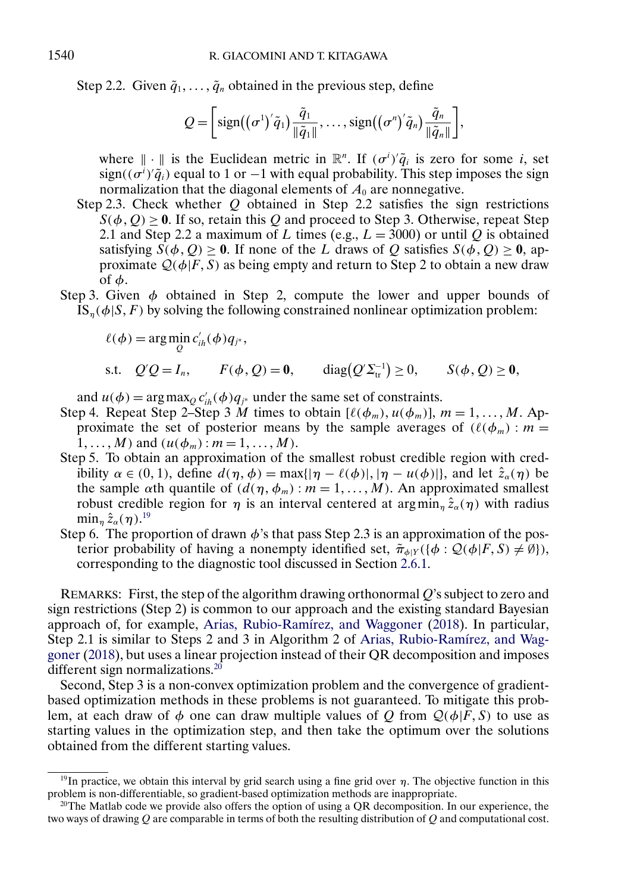<span id="page-21-0"></span>Step 2.2. Given  $\tilde{q}_1, \ldots, \tilde{q}_n$  obtained in the previous step, define

$$
Q = \left[ sign((\sigma^1)' \tilde{q}_1) \frac{\tilde{q}_1}{\|\tilde{q}_1\|}, \ldots, sign((\sigma^n)' \tilde{q}_n) \frac{\tilde{q}_n}{\|\tilde{q}_n\|} \right],
$$

where  $\|\cdot\|$  is the Euclidean metric in  $\mathbb{R}^n$ . If  $(\sigma^i)' \tilde{q}_i$  is zero for some *i*, set  $sign((\sigma^i)'\tilde{q}_i)$  equal to 1 or  $-1$  with equal probability. This step imposes the sign normalization that the diagonal elements of  $A_0$  are nonnegative.

- Step 2.3. Check whether  $Q$  obtained in Step 2.2 satisfies the sign restrictions  $S(\phi, Q) \geq 0$ . If so, retain this Q and proceed to Step 3. Otherwise, repeat Step 2.1 and Step 2.2 a maximum of L times (e.g.,  $L = 3000$ ) or until Q is obtained satisfying  $S(\phi, Q) \ge 0$ . If none of the L draws of Q satisfies  $S(\phi, Q) \ge 0$ , approximate  $Q(\phi|F,\overline{S})$  as being empty and return to Step 2 to obtain a new draw of  $\phi$ .
- Step 3. Given  $\phi$  obtained in Step 2, compute the lower and upper bounds of  $\overline{IS}_n(\phi|S, F)$  by solving the following constrained nonlinear optimization problem:

$$
\ell(\phi) = \arg\min_{Q} c'_{ih}(\phi) q_{j^*},
$$
  
s.t.  $Q'Q = I_n$ ,  $F(\phi, Q) = \mathbf{0}$ ,  $\text{diag}(Q'\Sigma_{tr}^{-1}) \ge 0$ ,  $S(\phi, Q) \ge \mathbf{0}$ ,

and  $u(\phi) = \arg \max_{Q} c'_{ih}(\phi) q_{j^*}$  under the same set of constraints.

- Step 4. Repeat Step 2–Step 3 M times to obtain  $[\ell(\phi_m), u(\phi_m)]$ ,  $m = 1, ..., M$ . Approximate the set of posterior means by the sample averages of  $(\ell(\phi_m): m =$  $1, \ldots, M$  and  $(u(\phi_m) : m = 1, \ldots, M)$ .
- Step 5. To obtain an approximation of the smallest robust credible region with credibility  $\alpha \in (0, 1)$ , define  $d(\eta, \phi) = \max\{|\eta - \ell(\phi)|, |\eta - u(\phi)|\}$ , and let  $\hat{z}_{\alpha}(\eta)$  be the sample  $\alpha$ th quantile of  $(d(\eta, \phi_m) : m = 1, ..., M)$ . An approximated smallest robust credible region for  $\eta$  is an interval centered at argmin<sub>n</sub>  $\hat{z}_{\alpha}(\eta)$  with radius  $\min_\eta \hat{z}_\alpha(\eta).^{19}$
- Step 6. The proportion of drawn  $\phi$ 's that pass Step 2.3 is an approximation of the posterior probability of having a nonempty identified set,  $\tilde{\pi}_{\phi|Y}(\{\phi : \mathcal{Q}(\phi|F,S) \neq \emptyset\}),$ corresponding to the diagnostic tool discussed in Section [2.6.1.](#page-9-0)

REMARKS: First, the step of the algorithm drawing orthonormal  $Q$ 's subject to zero and sign restrictions (Step 2) is common to our approach and the existing standard Bayesian approach of, for example, [Arias, Rubio-Ramírez, and Waggoner](#page-35-0) [\(2018\)](#page-35-0). In particular, Step 2.1 is similar to Steps 2 and 3 in Algorithm 2 of [Arias, Rubio-Ramírez, and Wag](#page-35-0)[goner](#page-35-0) [\(2018\)](#page-35-0), but uses a linear projection instead of their QR decomposition and imposes different sign normalizations.<sup>20</sup>

Second, Step 3 is a non-convex optimization problem and the convergence of gradientbased optimization methods in these problems is not guaranteed. To mitigate this problem, at each draw of  $\phi$  one can draw multiple values of Q from  $Q(\phi|\bar{F}, S)$  to use as starting values in the optimization step, and then take the optimum over the solutions obtained from the different starting values.

<sup>&</sup>lt;sup>19</sup>In practice, we obtain this interval by grid search using a fine grid over  $\eta$ . The objective function in this problem is non-differentiable, so gradient-based optimization methods are inappropriate.

<sup>&</sup>lt;sup>20</sup>The Matlab code we provide also offers the option of using a QR decomposition. In our experience, the two ways of drawing  $Q$  are comparable in terms of both the resulting distribution of  $Q$  and computational cost.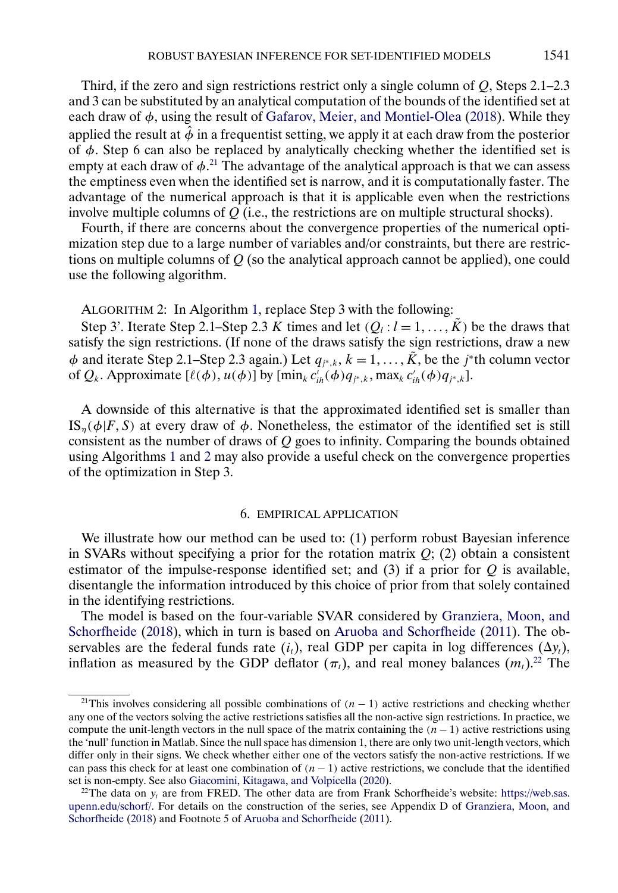<span id="page-22-0"></span>Third, if the zero and sign restrictions restrict only a single column of  $Q$ , Steps 2.1–2.3 and 3 can be substituted by an analytical computation of the bounds of the identified set at each draw of  $\phi$ , using the result of [Gafarov, Meier, and Montiel-Olea](#page-36-0) [\(2018\)](#page-36-0). While they applied the result at  $\hat{\phi}$  in a frequentist setting, we apply it at each draw from the posterior of φ. Step 6 can also be replaced by analytically checking whether the identified set is empty at each draw of  $\phi$ <sup>21</sup>. The advantage of the analytical approach is that we can assess the emptiness even when the identified set is narrow, and it is computationally faster. The advantage of the numerical approach is that it is applicable even when the restrictions involve multiple columns of  $\hat{Q}$  (i.e., the restrictions are on multiple structural shocks).

Fourth, if there are concerns about the convergence properties of the numerical optimization step due to a large number of variables and/or constraints, but there are restrictions on multiple columns of  $Q$  (so the analytical approach cannot be applied), one could use the following algorithm.

ALGORITHM 2: In Algorithm [1,](#page-20-0) replace Step 3 with the following:

Step 3'. Iterate Step 2.1–Step 2.3 K times and let  $(Q_l : l = 1, ..., K)$  be the draws that satisfy the sign restrictions. (If none of the draws satisfy the sign restrictions, draw a new  $\phi$  and iterate Step 2.1–Step 2.3 again.) Let  $q_{j^*,k}$ ,  $k = 1, ..., \tilde{K}$ , be the j\*th column vector of  $Q_k$ . Approximate  $[\ell(\phi), u(\phi)]$  by  $[\min_k c'_{ih}(\phi) q_{j^*,k}, \max_k c'_{ih}(\phi) q_{j^*,k}]$ .

A downside of this alternative is that the approximated identified set is smaller than IS<sub>n</sub>( $\phi$ |F, S) at every draw of  $\phi$ . Nonetheless, the estimator of the identified set is still consistent as the number of draws of  $Q$  goes to infinity. Comparing the bounds obtained using Algorithms [1](#page-20-0) and 2 may also provide a useful check on the convergence properties of the optimization in Step 3.

# 6. EMPIRICAL APPLICATION

We illustrate how our method can be used to: (1) perform robust Bayesian inference in SVARs without specifying a prior for the rotation matrix  $Q$ ; (2) obtain a consistent estimator of the impulse-response identified set; and  $(3)$  if a prior for Q is available, disentangle the information introduced by this choice of prior from that solely contained in the identifying restrictions.

The model is based on the four-variable SVAR considered by [Granziera, Moon, and](#page-36-0) [Schorfheide](#page-36-0) [\(2018\)](#page-36-0), which in turn is based on [Aruoba and Schorfheide](#page-36-0) [\(2011\)](#page-36-0). The observables are the federal funds rate  $(i_t)$ , real GDP per capita in log differences  $(\Delta y_t)$ , inflation as measured by the GDP deflator ( $\pi$ <sub>t</sub>), and real money balances ( $m$ <sub>t</sub>).<sup>22</sup> The

<sup>&</sup>lt;sup>21</sup>This involves considering all possible combinations of  $(n - 1)$  active restrictions and checking whether any one of the vectors solving the active restrictions satisfies all the non-active sign restrictions. In practice, we compute the unit-length vectors in the null space of the matrix containing the  $(n - 1)$  active restrictions using the 'null' function in Matlab. Since the null space has dimension 1, there are only two unit-length vectors, which differ only in their signs. We check whether either one of the vectors satisfy the non-active restrictions. If we can pass this check for at least one combination of  $(n - 1)$  active restrictions, we conclude that the identified set is non-empty. See also [Giacomini, Kitagawa, and Volpicella](#page-36-0) [\(2020\)](#page-36-0).

<sup>&</sup>lt;sup>22</sup>The data on  $v_t$  are from FRED. The other data are from Frank Schorfheide's website: [https://web.sas.](https://web.sas.upenn.edu/schorf/) [upenn.edu/schorf/](https://web.sas.upenn.edu/schorf/). For details on the construction of the series, see Appendix D of [Granziera, Moon, and](#page-36-0) [Schorfheide](#page-36-0) [\(2018\)](#page-36-0) and Footnote 5 of [Aruoba and Schorfheide](#page-36-0) [\(2011\)](#page-36-0).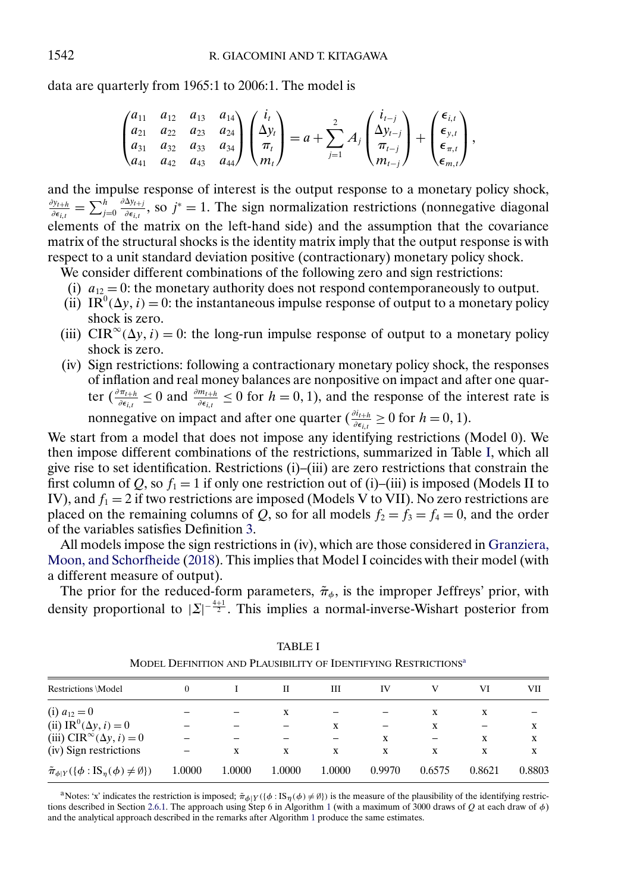<span id="page-23-0"></span>data are quarterly from 1965:1 to 2006:1. The model is

$$
\begin{pmatrix} a_{11} & a_{12} & a_{13} & a_{14} \ a_{21} & a_{22} & a_{23} & a_{24} \ a_{31} & a_{32} & a_{33} & a_{34} \ a_{41} & a_{42} & a_{43} & a_{44} \end{pmatrix} \begin{pmatrix} i_t \ \Delta y_t \ \pi_t \end{pmatrix} = a + \sum_{j=1}^2 A_j \begin{pmatrix} i_{t-j} \ \Delta y_{t-j} \ \pi_{t-j} \end{pmatrix} + \begin{pmatrix} \epsilon_{i,t} \ \epsilon_{y,t} \ \epsilon_{m,t} \end{pmatrix},
$$

and the impulse response of interest is the output response to a monetary policy shock,  $\frac{\partial y_{t+h}}{\partial \epsilon_{i,t}} = \sum_{j=0}^h \frac{\partial \Delta y_{t+j}}{\partial \epsilon_{i,t}}$ , so  $j^* = 1$ . The sign normalization restrictions (nonnegative diagonal elements of the matrix on the left-hand side) and the assumption that the covariance matrix of the structural shocks is the identity matrix imply that the output response is with respect to a unit standard deviation positive (contractionary) monetary policy shock.

We consider different combinations of the following zero and sign restrictions:

- (i)  $a_{12} = 0$ : the monetary authority does not respond contemporaneously to output.
- (ii) IR<sup>0</sup>( $\Delta y$ , *i*) = 0: the instantaneous impulse response of output to a monetary policy shock is zero.
- (iii) CIR<sup>∞</sup>( $\Delta y$ , *i*) = 0: the long-run impulse response of output to a monetary policy shock is zero.
- (iv) Sign restrictions: following a contractionary monetary policy shock, the responses of inflation and real money balances are nonpositive on impact and after one quarter  $\left(\frac{\partial \pi_{t+h}}{\partial \epsilon_{i,t}} \leq 0 \right)$  and  $\frac{\partial m_{t+h}}{\partial \epsilon_{i,t}} \leq 0$  for  $h = 0, 1$ ), and the response of the interest rate is nonnegative on impact and after one quarter ( $\frac{\partial i_{t+h}}{\partial \epsilon_{i,t}} \ge 0$  for  $h = 0, 1$ ).

We start from a model that does not impose any identifying restrictions (Model 0). We then impose different combinations of the restrictions, summarized in Table I, which all give rise to set identification. Restrictions (i)–(iii) are zero restrictions that constrain the first column of Q, so  $f_1 = 1$  if only one restriction out of (i)–(iii) is imposed (Models II to IV), and  $f_1 = 2$  if two restrictions are imposed (Models V to VII). No zero restrictions are placed on the remaining columns of Q, so for all models  $f_2 = f_3 = f_4 = 0$ , and the order of the variables satisfies Definition [3.](#page-17-0)

All models impose the sign restrictions in (iv), which are those considered in [Granziera,](#page-36-0) [Moon, and Schorfheide](#page-36-0) [\(2018\)](#page-36-0). This implies that Model I coincides with their model (with a different measure of output).

The prior for the reduced-form parameters,  $\tilde{\pi}_{\phi}$ , is the improper Jeffreys' prior, with density proportional to  $|\Sigma|^{-\frac{4+1}{2}}$ . This implies a normal-inverse-Wishart posterior from

| Restrictions \Model                                                 | 0      |        | Н      | Ш      | IV     |        | VI     | VII    |
|---------------------------------------------------------------------|--------|--------|--------|--------|--------|--------|--------|--------|
| (i) $a_{12} = 0$                                                    |        |        | X      |        |        | X      | X      |        |
| (ii) IR <sup>0</sup> ( $\Delta y$ , <i>i</i> ) = 0                  |        |        |        | x      |        | X      |        | x      |
| (iii) $CIR^{\infty}(\Delta y, i) = 0$                               |        |        |        |        | x      |        | X      | x      |
| (iv) Sign restrictions                                              |        | x      | X      | x      | x      | X      | x      | x      |
| $\tilde{\pi}_{\phi Y}(\{\phi : \text{IS}_n(\phi) \neq \emptyset\})$ | 1.0000 | 1.0000 | 1.0000 | 1.0000 | 0.9970 | 0.6575 | 0.8621 | 0.8803 |

TABLE I MODEL DEFINITION AND PLAUSIBILITY OF IDENTIFYING RESTRICTIONS<sup>a</sup>

<sup>a</sup>Notes: 'x' indicates the restriction is imposed;  $\pi_{\phi|Y}(\{\phi : \text{IS}_{\eta}(\phi) \neq \emptyset\})$  is the measure of the plausibility of the identifying restric-tions described in Section [2.6.1.](#page-9-0) The approach using Step 6 in Algorithm [1](#page-20-0) (with a maximum of 3000 draws of Q at each draw of  $\phi$ ) and the analytical approach described in the remarks after Algorithm [1](#page-20-0) produce the same estimates.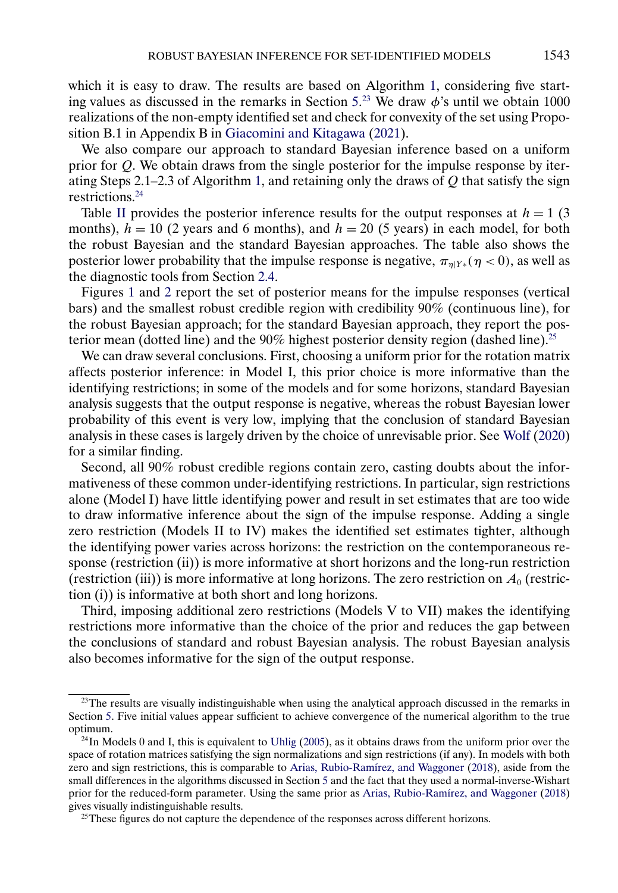<span id="page-24-0"></span>which it is easy to draw. The results are based on Algorithm [1,](#page-20-0) considering five start-ing values as discussed in the remarks in Section [5.](#page-20-0)<sup>23</sup> We draw  $\phi$ 's until we obtain 1000 realizations of the non-empty identified set and check for convexity of the set using Proposition B.1 in Appendix B in [Giacomini and Kitagawa](#page-36-0) [\(2021\)](#page-36-0).

We also compare our approach to standard Bayesian inference based on a uniform prior for Q. We obtain draws from the single posterior for the impulse response by iter-ating Steps 2.1–2.3 of Algorithm [1,](#page-20-0) and retaining only the draws of  $Q$  that satisfy the sign restrictions.24

Table [II](#page-25-0) provides the posterior inference results for the output responses at  $h = 1$  (3) months),  $h = 10$  (2 years and 6 months), and  $h = 20$  (5 years) in each model, for both the robust Bayesian and the standard Bayesian approaches. The table also shows the posterior lower probability that the impulse response is negative,  $\pi_{\eta|Y*}(\eta < 0)$ , as well as the diagnostic tools from Section [2.4.](#page-7-0)

Figures [1](#page-27-0) and [2](#page-28-0) report the set of posterior means for the impulse responses (vertical bars) and the smallest robust credible region with credibility 90% (continuous line), for the robust Bayesian approach; for the standard Bayesian approach, they report the posterior mean (dotted line) and the 90% highest posterior density region (dashed line).<sup>25</sup>

We can draw several conclusions. First, choosing a uniform prior for the rotation matrix affects posterior inference: in Model I, this prior choice is more informative than the identifying restrictions; in some of the models and for some horizons, standard Bayesian analysis suggests that the output response is negative, whereas the robust Bayesian lower probability of this event is very low, implying that the conclusion of standard Bayesian analysis in these cases is largely driven by the choice of unrevisable prior. See [Wolf](#page-37-0) [\(2020\)](#page-37-0) for a similar finding.

Second, all 90% robust credible regions contain zero, casting doubts about the informativeness of these common under-identifying restrictions. In particular, sign restrictions alone (Model I) have little identifying power and result in set estimates that are too wide to draw informative inference about the sign of the impulse response. Adding a single zero restriction (Models II to IV) makes the identified set estimates tighter, although the identifying power varies across horizons: the restriction on the contemporaneous response (restriction (ii)) is more informative at short horizons and the long-run restriction (restriction (iii)) is more informative at long horizons. The zero restriction on  $A_0$  (restriction (i)) is informative at both short and long horizons.

Third, imposing additional zero restrictions (Models V to VII) makes the identifying restrictions more informative than the choice of the prior and reduces the gap between the conclusions of standard and robust Bayesian analysis. The robust Bayesian analysis also becomes informative for the sign of the output response.

<sup>&</sup>lt;sup>23</sup>The results are visually indistinguishable when using the analytical approach discussed in the remarks in Section [5.](#page-20-0) Five initial values appear sufficient to achieve convergence of the numerical algorithm to the true optimum.

 $^{24}$ In Models 0 and I, this is equivalent to [Uhlig](#page-37-0) [\(2005\)](#page-37-0), as it obtains draws from the uniform prior over the space of rotation matrices satisfying the sign normalizations and sign restrictions (if any). In models with both zero and sign restrictions, this is comparable to [Arias, Rubio-Ramírez, and Waggoner](#page-35-0) [\(2018\)](#page-35-0), aside from the small differences in the algorithms discussed in Section [5](#page-20-0) and the fact that they used a normal-inverse-Wishart prior for the reduced-form parameter. Using the same prior as [Arias, Rubio-Ramírez, and Waggoner](#page-35-0) [\(2018\)](#page-35-0) gives visually indistinguishable results.

<sup>&</sup>lt;sup>25</sup>These figures do not capture the dependence of the responses across different horizons.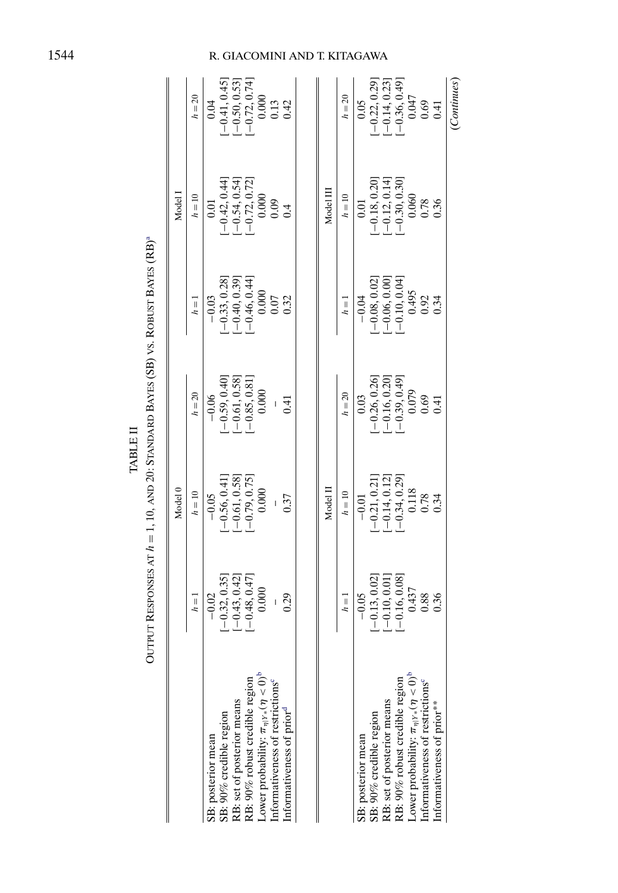|                                                                                                | Output Responses at $h=1,10,$ and 20: Standard Bayes (SB) vs. Robust Bayes (RB)ª            | Model 0                                                                    |                                                                                  |                                                                                                        | Model 1                                                                                                   |                                                                                         |
|------------------------------------------------------------------------------------------------|---------------------------------------------------------------------------------------------|----------------------------------------------------------------------------|----------------------------------------------------------------------------------|--------------------------------------------------------------------------------------------------------|-----------------------------------------------------------------------------------------------------------|-----------------------------------------------------------------------------------------|
|                                                                                                | $h=1$                                                                                       | $h = 10$                                                                   | $h = 20$                                                                         | $h=1$                                                                                                  | $h = 10$                                                                                                  | $h = 20$                                                                                |
|                                                                                                | $-0.02$                                                                                     | $-0.05$                                                                    | $-0.06$                                                                          | $-0.03$                                                                                                | 0.01                                                                                                      | 0.04                                                                                    |
| SB: posterior mean<br>SB: 90% credible region                                                  |                                                                                             |                                                                            |                                                                                  |                                                                                                        |                                                                                                           |                                                                                         |
|                                                                                                |                                                                                             |                                                                            |                                                                                  |                                                                                                        |                                                                                                           |                                                                                         |
| RB: set of posterior means<br>RB: 90% robust credible region                                   | $\begin{array}{ll}[-0.32, 0.35] \\[-0.43, 0.42] \\[-0.48, 0.47] \\[-0.40, 0.000\end{array}$ | $\begin{array}{c}[-0.56, 0.41] \\[-0.61, 0.58] \\[-0.79, 0.75]\end{array}$ |                                                                                  |                                                                                                        |                                                                                                           | $\begin{array}{l} [-0.41, 0.45] \\ [-0.50, 0.53] \\ [-0.72, 0.74] \\ 0.000 \end{array}$ |
| Lower probability: $\pi_{\eta Y*}(\eta < 0)^b$<br>Informativeness of restrictions <sup>e</sup> |                                                                                             | $0.000$                                                                    | $\begin{array}{ll}[-0.59, 0.40]\\[-0.61, 0.58]\\[-0.85, 0.81]\\0.000\end{array}$ | $\begin{array}{c}[-0.33, 0.28] \ -0.40, 0.39] \ \left[-0.46, 0.44\right] \ -0.600 \ 0.000 \end{array}$ | $\begin{array}{l}[-0.42, 0.44] \\[-0.54, 0.54] \\[-0.72, 0.72] \\[-0.72, 0.72] \\0.000 \\0.09\end{array}$ |                                                                                         |
|                                                                                                |                                                                                             |                                                                            |                                                                                  |                                                                                                        |                                                                                                           | 0.13                                                                                    |
| Informativeness of prior <sup>d</sup>                                                          | 0.29                                                                                        | 0.37                                                                       | 0.41                                                                             | 0.32                                                                                                   |                                                                                                           | 0.42                                                                                    |
|                                                                                                |                                                                                             |                                                                            |                                                                                  |                                                                                                        |                                                                                                           |                                                                                         |
|                                                                                                |                                                                                             | Model II                                                                   |                                                                                  |                                                                                                        | Model III                                                                                                 |                                                                                         |
|                                                                                                | $h=1$                                                                                       | $h = 10$                                                                   | $h = 20$                                                                         | $h=1$                                                                                                  | $h = 10$                                                                                                  | $h = 20$                                                                                |
| SB: posterior mean                                                                             | $-0.05$                                                                                     | $-0.01$                                                                    | 0.03                                                                             | $-0.04$                                                                                                | 0.01                                                                                                      | 0.05                                                                                    |
| SB: 90% credible region                                                                        |                                                                                             |                                                                            |                                                                                  |                                                                                                        |                                                                                                           |                                                                                         |
| RB: set of posterior means                                                                     |                                                                                             | $[-0.21, 0.21]$<br>$[-0.14, 0.12]$                                         |                                                                                  |                                                                                                        |                                                                                                           | $[-0.22, 0.29]$<br>$[-0.14, 0.23]$                                                      |
| RB: 90% robust credible region                                                                 | $\begin{array}{ll}[-0.13, 0.02]\\[-0.10, 0.01]\\[-0.16, 0.08]\\0.437\end{array}$            | $[-0.34, 0.29]$<br>0.118                                                   | $[-0.26, 0.26]$<br>$[-0.16, 0.20]$<br>$[-0.39, 0.49]$<br>$0.079$                 | $\begin{array}{ll}[-0.08, 0.02] \\[-0.06, 0.00] \\[-0.10, 0.04] \\[-0.10, 0.04]\end{array}$            | $\begin{array}{ll}[-0.18, 0.20] \\[-0.12, 0.14] \\[-0.30, 0.30] \\0.060\end{array}$                       | $[-0.36, 0.49]$<br>0.047                                                                |
| Lower probability: $\pi_{\eta Y*}(\eta < 0)^b$<br>Informativeness of restrictions <sup>o</sup> |                                                                                             |                                                                            |                                                                                  |                                                                                                        |                                                                                                           |                                                                                         |
|                                                                                                | 0.88                                                                                        | 0.78                                                                       | 0.69                                                                             | 0.92                                                                                                   | 0.78<br>0.36                                                                                              | 0.69                                                                                    |
| Informativeness of prior**                                                                     | 0.36                                                                                        | 0.34                                                                       | 0.41                                                                             | 0.34                                                                                                   |                                                                                                           | 0.41                                                                                    |
|                                                                                                |                                                                                             |                                                                            |                                                                                  |                                                                                                        |                                                                                                           | (Continues)                                                                             |

OUTPUT RESPONSES AT  $h = 1.10$ , AND 20: STANDARD BAYES (SB) VS. ROBUST BAYES (RB)<sup>a</sup>  $\begin{tabular}{ll} \bf{TABLE \, I} \end{tabular}$ TABLE II

# <span id="page-25-0"></span>R. GIACOMINI AND T. KITAGAWA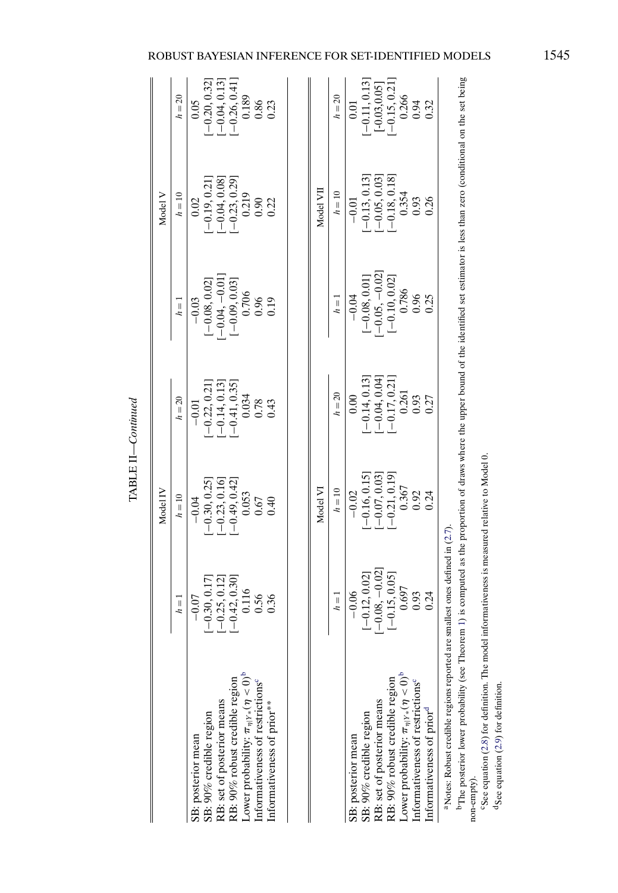|                                                                                                                                                                                                                                                          |                                                                                                                                                                                                                                                                                                                                   | Model IV                                                                                                      |                                                                                                                      |                                                                                                                                                                      | Model V                                                                                                         |                                                                                                                                     |
|----------------------------------------------------------------------------------------------------------------------------------------------------------------------------------------------------------------------------------------------------------|-----------------------------------------------------------------------------------------------------------------------------------------------------------------------------------------------------------------------------------------------------------------------------------------------------------------------------------|---------------------------------------------------------------------------------------------------------------|----------------------------------------------------------------------------------------------------------------------|----------------------------------------------------------------------------------------------------------------------------------------------------------------------|-----------------------------------------------------------------------------------------------------------------|-------------------------------------------------------------------------------------------------------------------------------------|
|                                                                                                                                                                                                                                                          | $h = 1$                                                                                                                                                                                                                                                                                                                           | $h = 10$                                                                                                      | $h = 20$                                                                                                             | $h = 1$                                                                                                                                                              | $h = 10$                                                                                                        | $h = 20$                                                                                                                            |
| Lower probability: $\pi_{\eta Y*}(\eta < 0)$ <sup>b</sup><br>RB: 90% robust credible region<br>Informativeness of restrictions <sup>c</sup><br>RB: set of posterior means<br>Informativeness of prior**<br>SB: 90% credible region<br>SB: posterior mean | $\begin{array}{l}[-0.30, 0.17] \\[-0.25, 0.12] \\[-0.25, 0.30] \\[-0.42, 0.30] \\[-0.116] \\[-0.56] \\[-0.56] \\[-0.56] \\[-0.56] \\[-0.56] \\[-0.56] \\[-0.56] \\[-0.56] \\[-0.56] \\[-0.56] \\[-0.56] \\[-0.56] \\[-0.56] \\[-0.56] \\[-0.56] \\[-0.56] \\[-0.56] \\[-0.56] \\[-0.56] \\[-0.56] \\[-0.56] \\[-0.56]$<br>$-0.07$ | $\begin{array}{l} [-0.30, 0.25] \\ [-0.23, 0.16] \\ [-0.49, 0.42] \\ 0.053 \\ 0.67 \end{array}$<br>$-0.04$    | $\begin{array}{r} -0.22, 0.21] \\ -0.14, 0.13] \\ -0.41, 0.35] \\ -0.034 \\ 0.034 \\ 0.78 \\ \end{array}$<br>$-0.01$ | $\begin{array}{r} -0.03 \\[-4pt] [-0.08, 0.02] \\[-4pt] [-0.04, -0.01] \\[-4pt] [-0.09, 0.03] \\[-4pt] 0.706 \\[-4pt] 0.706 \\[-4pt] 0.96 \\[-4pt] 0.96 \end{array}$ | $\begin{array}{c} 0.02 \\ [-0.19, 0.21] \\ [-0.04, 0.08] \\ [-0.23, 0.29] \\ 0.219 \\ 0.90 \\ 0.90 \end{array}$ | $\begin{bmatrix} -0.20 & 0.32 \\ 0.04 & 0.13 \\ -0.26 & 0.41 \\ 0.189 & 0.189 \\ 0.189 & 0.86 \\ 0.86 & 0.23 \end{bmatrix}$<br>0.05 |
|                                                                                                                                                                                                                                                          |                                                                                                                                                                                                                                                                                                                                   | Model V <sub>1</sub>                                                                                          |                                                                                                                      |                                                                                                                                                                      | Model VII                                                                                                       |                                                                                                                                     |
|                                                                                                                                                                                                                                                          | $h=1$                                                                                                                                                                                                                                                                                                                             | $h = 10$                                                                                                      | $h = 20$                                                                                                             | $h=1$                                                                                                                                                                | $h=10$                                                                                                          | $h=20$                                                                                                                              |
| Lower probability: $\pi_{\eta Y*}(\eta < 0)^b$<br>RB: 90% robust credible region<br>Informativeness of restrictions <sup>c</sup><br>RB: set of posterior means<br>Informativeness of prior <sup>a</sup><br>SB: 90% credible region<br>SB: posterior mean | $\begin{array}{r} -0.06 \\[-4pt] [-0.12, 0.02] \\[-4pt] [-0.08, -0.02] \\[-4pt] [-0.15, 0.05] \\[-4pt] 0.697 \\[-4pt] 0.93 \\[-4pt] 0.93 \end{array}$                                                                                                                                                                             | $\begin{array}{r} -0.02 \\ -0.16, 0.15] \\ -0.07, 0.03] \\ -0.07, 0.19] \\ 0.367 \\ 0.92 \\ 0.24 \end{array}$ | $\begin{array}{l}[-0.14, 0.13]\\[-0.04, 0.04]\\[-0.17, 0.21]\\0.261\\0.93\\0.93\end{array}$<br>0.00                  | $\begin{array}{c}[-0.08, 0.01]\\[-0.05, -0.02]\\[-0.10, 0.02]\\0.786\\0.96\end{array}$<br>$-0.04$                                                                    | $-0.01$<br>$[-0.13, 0.13]$<br>$[-0.05, 0.03]$<br>$[-0.18, 0.18]$<br>$0.354$<br>$0.93$<br>$0.26$                 | $[ -0.11, 0.13] \\ -0.03, 0.05] \\ -0.15, 0.21] \\ 0.266 \\ 0.94 \\ 0.94$<br>0.01                                                   |
| <sup>a</sup> Notes: Robust credible regions reported a<br><b>E</b><br>$\frac{1}{2}$                                                                                                                                                                      | re smallest ones defined in (2.7)                                                                                                                                                                                                                                                                                                 |                                                                                                               |                                                                                                                      |                                                                                                                                                                      |                                                                                                                 |                                                                                                                                     |

TABLE II-Continued TABLE II—*Continued*

<sup>D</sup>The posterior lower probability (see Theorem 1) is computed as the proportion of draws where the upper bound of the identified set estimator is less than zero (conditional on the set being <sup>b</sup>The posterior lower probability (see Theorem [1](#page-6-0)) is computed as the proportion of draws where the upper bound of the identified set estimator is less than zero (conditional on the set being non-empty). non-empty).

'See equation (2.8) for definition. The model informativeness is measured relative to Model 0. esee equation  $(2.8)$  $(2.8)$  $(2.8)$  for definition. The model informativeness is measured relative to Model 0.

 $d$  See equation (2.9) for definition. dSee equation [\(2.9](#page-10-0)) for definition.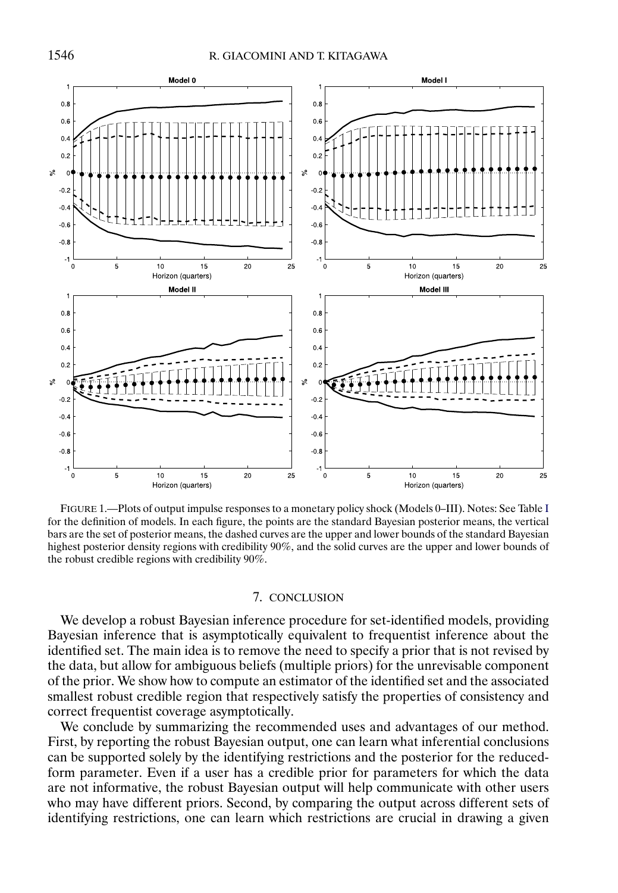<span id="page-27-0"></span>

FIGURE 1.—Plots of output impulse responses to a monetary policy shock (Models 0–III). Notes: See Table [I](#page-23-0) for the definition of models. In each figure, the points are the standard Bayesian posterior means, the vertical bars are the set of posterior means, the dashed curves are the upper and lower bounds of the standard Bayesian highest posterior density regions with credibility 90%, and the solid curves are the upper and lower bounds of the robust credible regions with credibility 90%.

# 7. CONCLUSION

We develop a robust Bayesian inference procedure for set-identified models, providing Bayesian inference that is asymptotically equivalent to frequentist inference about the identified set. The main idea is to remove the need to specify a prior that is not revised by the data, but allow for ambiguous beliefs (multiple priors) for the unrevisable component of the prior. We show how to compute an estimator of the identified set and the associated smallest robust credible region that respectively satisfy the properties of consistency and correct frequentist coverage asymptotically.

We conclude by summarizing the recommended uses and advantages of our method. First, by reporting the robust Bayesian output, one can learn what inferential conclusions can be supported solely by the identifying restrictions and the posterior for the reducedform parameter. Even if a user has a credible prior for parameters for which the data are not informative, the robust Bayesian output will help communicate with other users who may have different priors. Second, by comparing the output across different sets of identifying restrictions, one can learn which restrictions are crucial in drawing a given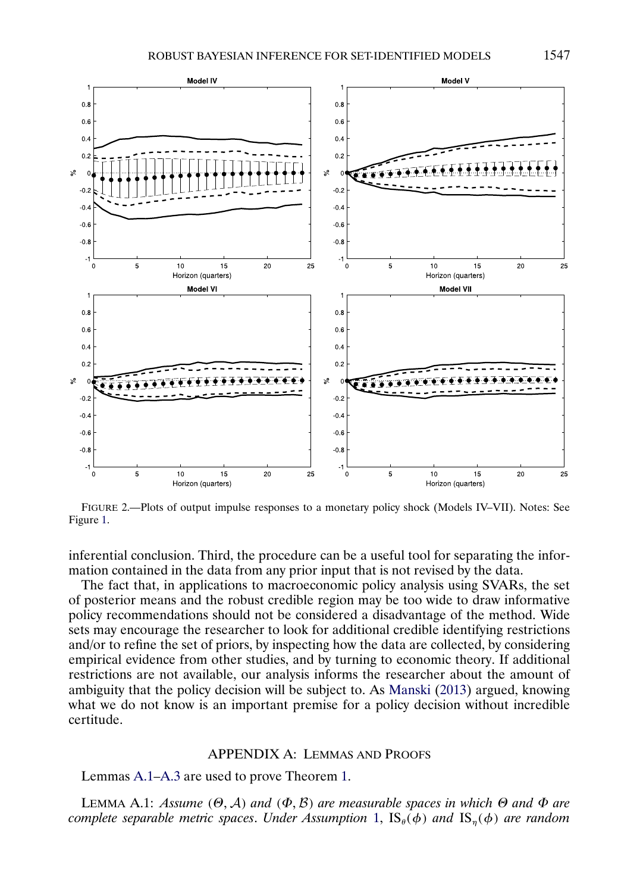Model IV

<span id="page-28-0"></span> $0.8$ 

 $0.6$ 

 $0<sub>4</sub>$ 

 $0.2$ 

 $s<sup>o</sup>$ 





FIGURE 2.—Plots of output impulse responses to a monetary policy shock (Models IV–VII). Notes: See Figure [1.](#page-27-0)

inferential conclusion. Third, the procedure can be a useful tool for separating the information contained in the data from any prior input that is not revised by the data.

The fact that, in applications to macroeconomic policy analysis using SVARs, the set of posterior means and the robust credible region may be too wide to draw informative policy recommendations should not be considered a disadvantage of the method. Wide sets may encourage the researcher to look for additional credible identifying restrictions and/or to refine the set of priors, by inspecting how the data are collected, by considering empirical evidence from other studies, and by turning to economic theory. If additional restrictions are not available, our analysis informs the researcher about the amount of ambiguity that the policy decision will be subject to. As [Manski](#page-37-0) [\(2013\)](#page-37-0) argued, knowing what we do not know is an important premise for a policy decision without incredible certitude.

#### APPENDIX A: LEMMAS AND PROOFS

Lemmas A.1[–A.3](#page-29-0) are used to prove Theorem [1.](#page-6-0)

**LEMMA A.1:** *Assume*  $(\Theta, \mathcal{A})$  *and*  $(\Phi, \mathcal{B})$  *are measurable spaces in which*  $\Theta$  *and*  $\Phi$  *are complete separable metric spaces. Under Assumption* [1,](#page-6-0)  $\text{IS}_{\theta}(\phi)$  *and*  $\text{IS}_{n}(\phi)$  *are random*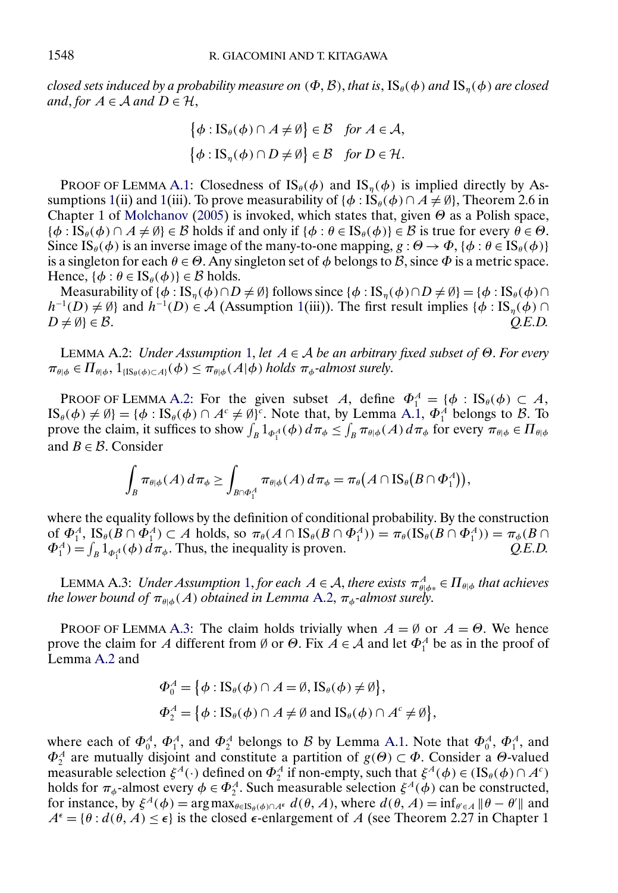<span id="page-29-0"></span>*closed sets induced by a probability measure on*  $(\Phi, \mathcal{B})$ , *that is*,  $IS_{\theta}(\phi)$  *and*  $IS_{\eta}(\phi)$  *are closed and*, *for*  $A \in \mathcal{A}$  *and*  $D \in \mathcal{H}$ ,

$$
\{\phi : IS_{\theta}(\phi) \cap A \neq \emptyset\} \in \mathcal{B} \quad \text{for } A \in \mathcal{A},
$$

$$
\{\phi : IS_{\eta}(\phi) \cap D \neq \emptyset\} \in \mathcal{B} \quad \text{for } D \in \mathcal{H}.
$$

PROOF OF LEMMA [A.1:](#page-28-0) Closedness of  $IS_{\theta}(\phi)$  and  $IS_{\eta}(\phi)$  is implied directly by As-sumptions [1\(](#page-6-0)ii) and 1(iii). To prove measurability of  $\{\phi : \text{IS}_{\theta}(\phi) \cap A \neq \emptyset\}$ , Theorem 2.6 in Chapter 1 of [Molchanov](#page-37-0) [\(2005\)](#page-37-0) is invoked, which states that, given  $\Theta$  as a Polish space,  $\{\phi : \text{IS}_{\theta}(\phi) \cap A \neq \emptyset\} \in \mathcal{B}$  holds if and only if  $\{\phi : \theta \in \text{IS}_{\theta}(\phi)\} \in \mathcal{B}$  is true for every  $\theta \in \Theta$ . Since  $IS_{\theta}(\phi)$  is an inverse image of the many-to-one mapping,  $g : \Theta \to \Phi$ ,  $\{\phi : \theta \in IS_{\theta}(\phi)\}$ is a singleton for each  $\theta \in \Theta$ . Any singleton set of  $\phi$  belongs to  $\beta$ , since  $\Phi$  is a metric space. Hence,  $\{\phi : \theta \in \text{IS}_{\theta}(\phi)\}\in \mathcal{B}$  holds.

Measurability of  $\{\phi : IS_n(\phi) \cap D \neq \emptyset\}$  follows since  $\{\phi : IS_n(\phi) \cap D \neq \emptyset\} = \{\phi : IS_\theta(\phi) \cap D_\theta\}$  $h^{-1}(D) \neq \emptyset$ } and  $h^{-1}(D) \in \mathcal{A}$  (Assumption [1\(](#page-6-0)iii)). The first result implies { $\phi : IS_{\eta}(\phi) \cap$  $D \neq \emptyset$ }  $\in \mathcal{B}$ .  $Q.E.D.$ 

LEMMA A.2: *Under Assumption* [1,](#page-6-0) *let* A ∈ A *be an arbitrary fixed subset of* Θ. *For every*  $\pi_{\theta|\phi} \in \Pi_{\theta|\phi}, 1_{\{\text{IS}_{\theta}(\phi) \subset A\}}(\phi) \leq \pi_{\theta|\phi}(A|\phi)$  *holds*  $\pi_{\phi}$ -almost surely.

PROOF OF LEMMA A.2: For the given subset A, define  $\Phi_1^A = {\phi : IS_{\theta}(\phi) \subset A}$ ,  $\text{IS}_{\theta}(\phi) \neq \emptyset$  = { $\phi$  :  $\text{IS}_{\theta}(\phi) \cap A^c \neq \emptyset$ }<sup>c</sup>. Note that, by Lemma [A.1,](#page-28-0)  $\Phi_1^A$  belongs to  $\emptyset$ . To prove the claim, it suffices to show  $\int_B 1_{\Phi_1^A}(\phi) d\pi_\phi \le \int_B \pi_{\theta|\phi}(A) d\pi_\phi$  for every  $\pi_{\theta|\phi} \in \Pi_{\theta|\phi}$ and  $B \in \mathcal{B}$ . Consider

$$
\int_B \pi_{\theta|\phi}(A) d\pi_{\phi} \geq \int_{B \cap \Phi_1^A} \pi_{\theta|\phi}(A) d\pi_{\phi} = \pi_{\theta}(A \cap \text{IS}_{\theta}(B \cap \Phi_1^A)),
$$

where the equality follows by the definition of conditional probability. By the construction of  $\Phi_1^A$ ,  $\text{IS}_{\theta}(B \cap \Phi_1^A) \subset A$  holds, so  $\pi_{\theta}(A \cap \text{IS}_{\theta}(B \cap \Phi_1^A)) = \pi_{\theta}(\text{IS}_{\theta}(B \cap \Phi_1^A)) = \pi_{\phi}(B \cap \Phi_1^A)$  $\Phi_1^A$ ) =  $\int_B 1_{\Phi_1^A}(\phi) d\pi_\phi$ . Thus, the inequality is proven. *Q.E.D.* 

LEMMA A.3: *Under Assumption* [1,](#page-6-0) *for each*  $A \in \mathcal{A}$ , *there exists*  $\pi_{\theta|\phi*}^A \in \Pi_{\theta|\phi}$  *that achieves the lower bound of*  $\pi_{\theta | \phi}(A)$  *obtained in Lemma* A.2,  $\pi_{\phi}$ -almost surely.

PROOF OF LEMMA A.3: The claim holds trivially when  $A = \emptyset$  or  $A = \Theta$ . We hence prove the claim for A different from  $\emptyset$  or  $\Theta$ . Fix  $A \in \mathcal{A}$  and let  $\Phi_1^A$  be as in the proof of Lemma A.2 and

$$
\Phi_0^A = \{ \phi : IS_{\theta}(\phi) \cap A = \emptyset, IS_{\theta}(\phi) \neq \emptyset \},\
$$
  

$$
\Phi_2^A = \{ \phi : IS_{\theta}(\phi) \cap A \neq \emptyset \text{ and } IS_{\theta}(\phi) \cap A^c \neq \emptyset \},\
$$

where each of  $\Phi_0^A$ ,  $\Phi_1^A$ , and  $\Phi_2^A$  belongs to B by Lemma [A.1.](#page-28-0) Note that  $\Phi_0^A$ ,  $\Phi_1^A$ , and  $\Phi_2^A$  are mutually disjoint and constitute a partition of  $g(\Theta) \subset \Phi$ . Consider a  $\Theta$ -valued measurable selection  $\xi^A(\cdot)$  defined on  $\Phi_2^A$  if non-empty, such that  $\xi^A(\phi) \in (IS_\theta(\phi) \cap A^c)$ holds for  $\pi_{\phi}$ -almost every  $\phi \in \Phi_2^A$ . Such measurable selection  $\xi^A(\phi)$  can be constructed, for instance, by  $\xi^A(\phi) = \arg \max_{\theta \in \text{IS}_{\theta}(\phi) \cap A^{\epsilon}} d(\theta, A)$ , where  $d(\theta, A) = \inf_{\theta' \in A} ||\theta - \theta'||$  and  $A^{\epsilon} = \{\theta : d(\theta, A) \leq \epsilon\}$  is the closed  $\epsilon$ -enlargement of A (see Theorem 2.27 in Chapter 1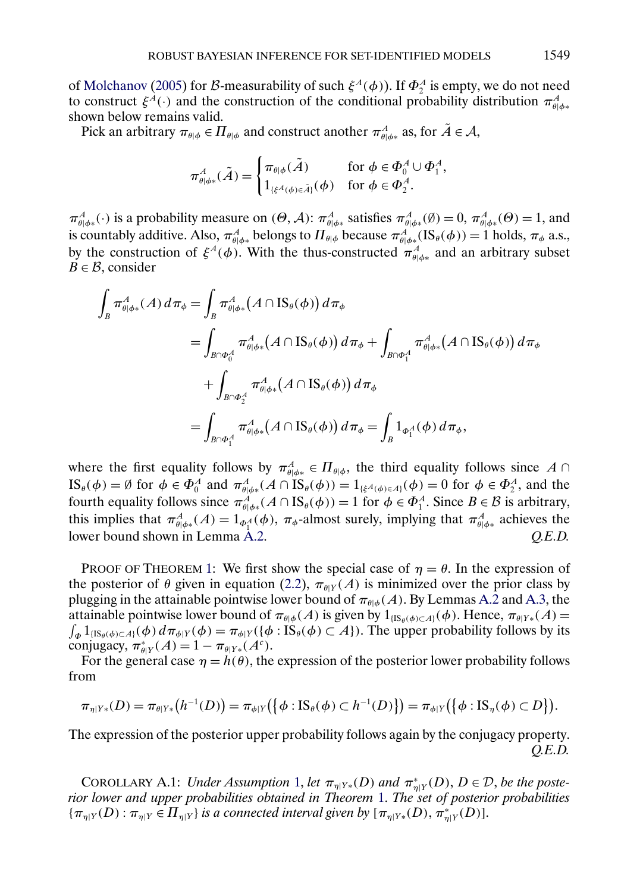<span id="page-30-0"></span>of [Molchanov](#page-37-0) [\(2005\)](#page-37-0) for B-measurability of such  $\xi^A(\phi)$ ). If  $\Phi_2^A$  is empty, we do not need to construct  $\xi^A(\cdot)$  and the construction of the conditional probability distribution  $\pi^A_{\theta|\phi^*}$ shown below remains valid.

Pick an arbitrary  $\pi_{\theta|\phi} \in \Pi_{\theta|\phi}$  and construct another  $\pi^A_{\theta|\phi*}$  as, for  $\tilde{A} \in \mathcal{A}$ ,

$$
\pi_{\theta|\phi*}^A(\tilde{A}) = \begin{cases} \pi_{\theta|\phi}(\tilde{A}) & \text{for } \phi \in \Phi_0^A \cup \Phi_1^A, \\ 1_{\{\xi^A(\phi) \in \tilde{A}\}}(\phi) & \text{for } \phi \in \Phi_2^A. \end{cases}
$$

 $\pi_{\theta|\phi^*}^A(\cdot)$  is a probability measure on  $(\Theta, \mathcal{A})$ :  $\pi_{\theta|\phi^*}^A$  satisfies  $\pi_{\theta|\phi^*}^A(\emptyset) = 0$ ,  $\pi_{\theta|\phi^*}^A(\Theta) = 1$ , and is countably additive. Also,  $\pi^A_{\theta|\phi*}$  belongs to  $\Pi_{\theta|\phi}$  because  $\pi^A_{\theta|\phi*}(\text{IS}_{\theta}(\phi)) = 1$  holds,  $\pi_{\phi}$  a.s., by the construction of  $\xi^A(\phi)$ . With the thus-constructed  $\pi^A_{\theta|\phi^*}$  and an arbitrary subset  $B \in \mathcal{B}$ , consider

$$
\int_{B} \pi_{\theta|\phi*}^{A}(A) d\pi_{\phi} = \int_{B} \pi_{\theta|\phi*}^{A}(A \cap IS_{\theta}(\phi)) d\pi_{\phi}
$$
\n
$$
= \int_{B \cap \Phi_{0}^{A}} \pi_{\theta|\phi*}^{A}(A \cap IS_{\theta}(\phi)) d\pi_{\phi} + \int_{B \cap \Phi_{1}^{A}} \pi_{\theta|\phi*}^{A}(A \cap IS_{\theta}(\phi)) d\pi_{\phi}
$$
\n
$$
+ \int_{B \cap \Phi_{2}^{A}} \pi_{\theta|\phi*}^{A}(A \cap IS_{\theta}(\phi)) d\pi_{\phi}
$$
\n
$$
= \int_{B \cap \Phi_{1}^{A}} \pi_{\theta|\phi*}^{A}(A \cap IS_{\theta}(\phi)) d\pi_{\phi} = \int_{B} 1_{\Phi_{1}^{A}}(\phi) d\pi_{\phi},
$$

where the first equality follows by  $\pi_{\theta|\phi*}^A \in \Pi_{\theta|\phi}$ , the third equality follows since  $A \cap$  $\text{IS}_{\theta}(\phi) = \emptyset$  for  $\phi \in \Phi_0^A$  and  $\pi^A_{\theta | \phi^*}(A \cap \text{IS}_{\theta}(\phi)) = 1_{\{\xi^A(\phi) \in A\}}(\phi) = 0$  for  $\phi \in \Phi_2^A$ , and the fourth equality follows since  $\pi_{\theta|\phi^*}^A(A \cap \text{IS}_{\theta}(\phi)) = 1$  for  $\phi \in \Phi_1^A$ . Since  $B \in \mathcal{B}$  is arbitrary, this implies that  $\pi^A_{\theta|\phi^*}(A) = 1_{\phi^A_1}(\phi)$ ,  $\pi_{\phi}$ -almost surely, implying that  $\pi^A_{\theta|\phi^*}$  achieves the lower bound shown in Lemma [A.2.](#page-29-0) *Q.E.D.*

PROOF OF THEOREM [1:](#page-6-0) We first show the special case of  $\eta = \theta$ . In the expression of the posterior of  $\theta$  given in equation [\(2.2\)](#page-4-0),  $\pi_{\theta|Y}(A)$  is minimized over the prior class by plugging in the attainable pointwise lower bound of  $\pi_{\theta|\phi}(A)$ . By Lemmas [A.2](#page-29-0) and [A.3,](#page-29-0) the attainable pointwise lower bound of  $\pi_{\theta|\phi}(A)$  is given by  $1_{\{IS_{\theta}(\phi)\subset A\}}(\phi)$ . Hence,  $\pi_{\theta|Y*}(A)$  =  $\int_{\Phi} 1_{\{IS_{\theta}(\phi) \subset A\}}(\phi) d\pi_{\phi|Y}(\phi) = \pi_{\phi|Y}(\{\phi : IS_{\theta}(\phi) \subset A\}).$  The upper probability follows by its conjugacy,  $\pi_{\theta|Y}^*(A) = 1 - \pi_{\theta|Y*}(A^c)$ .

For the general case  $\eta = h(\theta)$ , the expression of the posterior lower probability follows from

$$
\pi_{\eta|Y*}(D) = \pi_{\theta|Y*}(h^{-1}(D)) = \pi_{\phi|Y}\big(\big\{\phi: IS_{\theta}(\phi) \subset h^{-1}(D)\big\}\big) = \pi_{\phi|Y}\big(\big\{\phi: IS_{\eta}(\phi) \subset D\big\}\big).
$$

The expression of the posterior upper probability follows again by the conjugacy property. *Q.E.D.*

COROLLARY A.1: *Under Assumption* [1,](#page-6-0) *let*  $\pi_{\eta|Y^*}(D)$  *and*  $\pi_{\eta|Y}^*(D)$ ,  $D \in \mathcal{D}$ , *be the posterior lower and upper probabilities obtained in Theorem* [1.](#page-6-0) *The set of posterior probabilities*  ${\{\pi_{\eta|Y}(D) : \pi_{\eta|Y} \in \Pi_{\eta|Y}\}}$  *is a connected interval given by*  $[\pi_{\eta|Y*}(D), \pi_{\eta|Y}^{*}(D)]$ .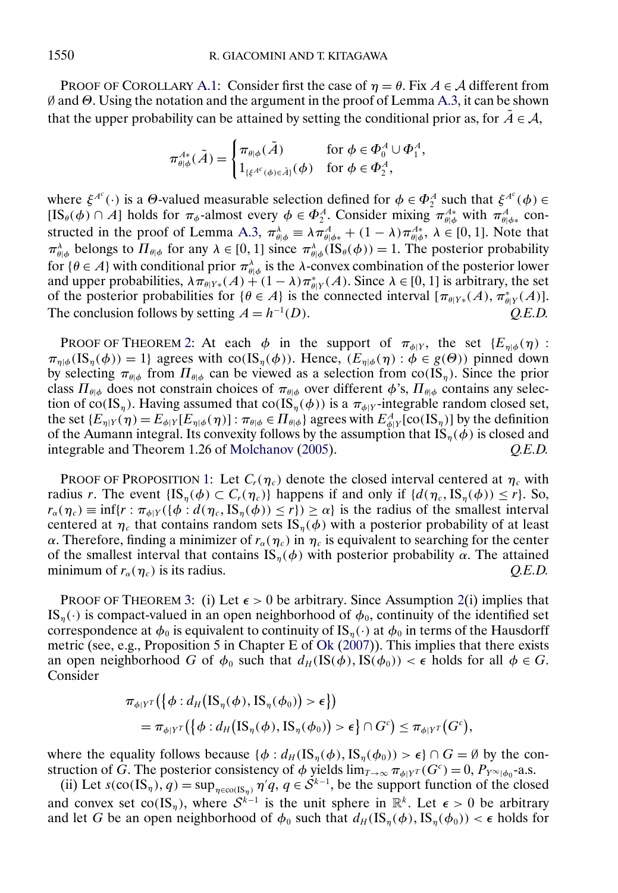<span id="page-31-0"></span>PROOF OF COROLLARY [A.1:](#page-30-0) Consider first the case of  $\eta = \theta$ . Fix  $A \in \mathcal{A}$  different from ∅ and Θ. Using the notation and the argument in the proof of Lemma [A.3,](#page-29-0) it can be shown that the upper probability can be attained by setting the conditional prior as, for  $\tilde{A} \in \mathcal{A}$ ,

$$
\pi^{A*}_{\theta|\phi}(\tilde{A}) = \begin{cases} \pi_{\theta|\phi}(\tilde{A}) & \text{for } \phi \in \Phi_0^A \cup \Phi_1^A, \\ 1_{\{\xi^{A^c}(\phi) \in \tilde{A}\}}(\phi) & \text{for } \phi \in \Phi_2^A, \end{cases}
$$

where  $\xi^{A^c}(\cdot)$  is a  $\Theta$ -valued measurable selection defined for  $\phi \in \Phi_2^A$  such that  $\xi^{A^c}(\phi) \in$  $[IS_{\theta}(\phi) \cap A]$  holds for  $\pi_{\phi}$ -almost every  $\phi \in \Phi_2^A$ . Consider mixing  $\pi_{\theta|\phi}^{A*}$  with  $\pi_{\theta|\phi*}^A$  con-structed in the proof of Lemma [A.3,](#page-29-0)  $\pi_{\theta|\phi}^{\lambda} \equiv \lambda \pi_{\theta|\phi^*}^A + (1 - \lambda) \pi_{\theta|\phi}^{A*}, \lambda \in [0, 1]$ . Note that  $\pi_{\theta|\phi}^{\lambda}$  belongs to  $\Pi_{\theta|\phi}$  for any  $\lambda \in [0, 1]$  since  $\pi_{\theta|\phi}^{\lambda}(\text{IS}_{\theta}(\phi)) = 1$ . The posterior probability for {θ ∈ A} with conditional prior  $π_{θ|φ}^λ$  is the  $λ$ -convex combination of the posterior lower and upper probabilities,  $\lambda \pi_{\theta|Y^*}(A) + (1 - \lambda) \pi_{\theta|Y}^*(A)$ . Since  $\lambda \in [0, 1]$  is arbitrary, the set of the posterior probabilities for  $\{\theta \in A\}$  is the connected interval  $[\pi_{\theta|Y*}(A), \pi_{\theta|Y}^*(A)].$ The conclusion follows by setting  $A = h^{-1}(D)$ . (D). *Q.E.D.*

PROOF OF THEOREM [2:](#page-7-0) At each  $\phi$  in the support of  $\pi_{\phi|Y}$ , the set  $\{E_{\eta|\phi}(\eta):$  $\pi_{n|{\phi}}(IS_n({\phi})) = 1$  agrees with co(IS<sub>η</sub>( $\phi$ )). Hence, ( $E_{n|{\phi}}(\eta) : \phi \in g(\Theta)$ ) pinned down by selecting  $\pi_{\theta|\phi}$  from  $\Pi_{\theta|\phi}$  can be viewed as a selection from co(IS<sub>η</sub>). Since the prior class  $\Pi_{\theta|\phi}$  does not constrain choices of  $\pi_{\theta|\phi}$  over different  $\phi$ 's,  $\Pi_{\theta|\phi}$  contains any selection of co(IS<sub>η</sub>). Having assumed that co(IS<sub>η</sub>( $\phi$ )) is a  $\pi_{\phi|Y}$ -integrable random closed set, the set  $\{E_{\eta|Y}(\eta) = E_{\phi|Y}[E_{\eta|\phi}(\eta)] : \pi_{\theta|\phi} \in \Pi_{\theta|\phi}\}$  agrees with  $E^A_{\phi|Y}[\text{co}(IS_\eta)]$  by the definition of the Aumann integral. Its convexity follows by the assumption that  $IS_n(\phi)$  is closed and integrable and Theorem 1.26 of [Molchanov](#page-37-0) [\(2005\)](#page-37-0). *Q.E.D.*

PROOF OF PROPOSITION [1:](#page-9-0) Let  $C_r(\eta_c)$  denote the closed interval centered at  $\eta_c$  with radius r. The event  $\{IS_n(\phi) \subset C_r(\eta_c)\}\$  happens if and only if  $\{d(\eta_c, IS_n(\phi)) \leq r\}$ . So,  $r_{\alpha}(\eta_c) \equiv \inf \{ r : \pi_{\phi|Y}(\{\phi : d(\eta_c, \text{IS}_{\eta}(\phi)) \leq r \}) \geq \alpha \}$  is the radius of the smallest interval centered at  $\eta_c$  that contains random sets IS<sub>n</sub>( $\phi$ ) with a posterior probability of at least α. Therefore, finding a minimizer of  $r_{\alpha}(\eta_c)$  in  $\eta_c$  is equivalent to searching for the center of the smallest interval that contains  $IS_n(\phi)$  with posterior probability  $\alpha$ . The attained minimum of  $r_{\alpha}(\eta_c)$  is its radius.  $Q.E.D.$ 

PROOF OF THEOREM [3:](#page-11-0) (i) Let  $\epsilon > 0$  be arbitrary. Since Assumption [2\(](#page-10-0)i) implies that IS<sub>n</sub>(·) is compact-valued in an open neighborhood of  $\phi_0$ , continuity of the identified set correspondence at  $\phi_0$  is equivalent to continuity of IS<sub>η</sub>(·) at  $\phi_0$  in terms of the Hausdorff metric (see, e.g., Proposition 5 in Chapter E of [Ok](#page-37-0) [\(2007\)](#page-37-0)). This implies that there exists an open neighborhood G of  $\phi_0$  such that  $d_H(\text{IS}(\phi), \text{IS}(\phi_0)) < \epsilon$  holds for all  $\phi \in G$ . Consider

$$
\pi_{\phi|Y^T}(\{\phi:d_H(\text{IS}_{\eta}(\phi),\text{IS}_{\eta}(\phi_0))>\epsilon\})
$$
  
=  $\pi_{\phi|Y^T}(\{\phi:d_H(\text{IS}_{\eta}(\phi),\text{IS}_{\eta}(\phi_0))>\epsilon\} \cap G^c) \leq \pi_{\phi|Y^T}(G^c),$ 

where the equality follows because  $\{\phi : d_H(\mathrm{IS}_n(\phi), \mathrm{IS}_n(\phi_0)) > \epsilon\} \cap G = \emptyset$  by the construction of G. The posterior consistency of  $\phi$  yields  $\lim_{T\to\infty} \pi_{\phi|Y^T}(G^c) = 0$ ,  $P_{Y^{\infty}|\phi_0}$ -a.s.

(ii) Let  $s(\text{co}(IS_{\eta}), q) = \sup_{\eta \in \text{co}(IS_{\eta})} \eta'q, q \in S^{k-1}$ , be the support function of the closed and convex set co(IS<sub>n</sub>), where  $S^{k-1}$  is the unit sphere in  $\mathbb{R}^k$ . Let  $\epsilon > 0$  be arbitrary and let G be an open neighborhood of  $\phi_0$  such that  $d_H(\mathrm{IS}_n(\phi), \mathrm{IS}_n(\phi_0)) < \epsilon$  holds for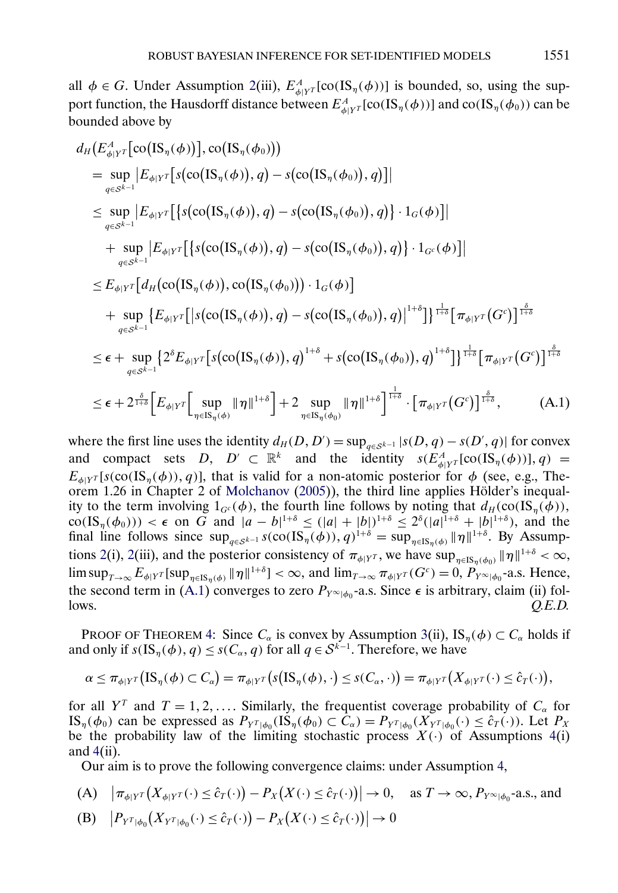<span id="page-32-0"></span>all  $\phi \in G$ . Under Assumption [2\(](#page-10-0)iii),  $E_{\phi|Y^T}^A[\text{co}(I\text{S}_{\eta}(\phi))]$  is bounded, so, using the support function, the Hausdorff distance between  $E^A_{\phi|Y^T}[\text{co(IS}_\eta(\phi))]$  and  $\text{co(IS}_\eta(\phi_0))$  can be bounded above by

$$
d_H(E_{\phi|Y}^A[\text{co}(\text{IS}_{\eta}(\phi))], \text{co}(\text{IS}_{\eta}(\phi_0)))
$$
\n
$$
= \sup_{q \in S^{k-1}} |E_{\phi|Y}^T[\text{s}(\text{co}(\text{IS}_{\eta}(\phi)), q) - \text{s}(\text{co}(\text{IS}_{\eta}(\phi_0)), q)]|
$$
\n
$$
\leq \sup_{q \in S^{k-1}} |E_{\phi|Y}^T[\{\text{s}(\text{co}(\text{IS}_{\eta}(\phi)), q) - \text{s}(\text{co}(\text{IS}_{\eta}(\phi_0)), q)\} \cdot 1_G(\phi)]|
$$
\n
$$
+ \sup_{q \in S^{k-1}} |E_{\phi|Y}^T[\{\text{s}(\text{co}(\text{IS}_{\eta}(\phi)), q) - \text{s}(\text{co}(\text{IS}_{\eta}(\phi_0)), q)\} \cdot 1_G(\phi)]|
$$
\n
$$
\leq E_{\phi|Y}^T[d_H(\text{co}(\text{IS}_{\eta}(\phi)), \text{co}(\text{IS}_{\eta}(\phi_0))) \cdot 1_G(\phi)]
$$
\n
$$
+ \sup_{q \in S^{k-1}} \{E_{\phi|Y}^T[\text{s}(\text{co}(\text{IS}_{\eta}(\phi)), q) - \text{s}(\text{co}(\text{IS}_{\eta}(\phi_0)), q)\}^{1+\delta}\}]^{\frac{1}{1+\delta}}[\pi_{\phi|Y}^T(G^c)]^{\frac{\delta}{1+\delta}}
$$
\n
$$
\leq \epsilon + \sup_{q \in S^{k-1}} \{2^{\delta}E_{\phi|Y}^T[\text{s}(\text{co}(\text{IS}_{\eta}(\phi)), q)^{1+\delta} + \text{s}(\text{co}(\text{IS}_{\eta}(\phi_0)), q)^{1+\delta}\}]^{\frac{1}{1+\delta}}[\pi_{\phi|Y}^T(G^c)]^{\frac{\delta}{1+\delta}}
$$
\n
$$
\leq \epsilon + 2^{\frac{\delta}{1+\delta}}\Big[E_{\phi|Y}^T[\sup_{\eta \in \text{IS}_{\eta}(\phi)} ||\eta||^{1+\delta}\Big] + 2 \sup_{\eta \in \text{IS}_{\eta}(\phi_0)} ||\eta||^{1+\delta}\Big]^{\frac{1}{1+\delta}} \cdot [\pi_{\phi|Y}^T(G^c)]^{\frac
$$

where the first line uses the identity  $d_H(D, D') = \sup_{q \in S^{k-1}} |s(D, q) - s(D', q)|$  for convex and compact sets  $D, D' \subset \mathbb{R}^k$  and the identity  $s(E^A_{\phi|Y^T}[\text{co}(IS_{\eta}(\phi))], q) =$  $E_{\phi|Y}$ [s(co(IS<sub>n</sub>( $\phi$ )), q)], that is valid for a non-atomic posterior for  $\phi$  (see, e.g., Theorem 1.26 in Chapter 2 of [Molchanov](#page-37-0) [\(2005\)](#page-37-0)), the third line applies Hölder's inequality to the term involving  $1_{G}(\phi)$ , the fourth line follows by noting that  $d_H(\text{co}(\text{IS}_n(\phi)),$  $\cot(\mathrm{IS}_{\eta}(\phi_0))) < \epsilon$  on G and  $|a-b|^{1+\delta} \leq (|a|+|b|)^{1+\delta} \leq 2^{\delta}(|a|^{1+\delta}+|b|^{1+\delta}),$  and the final line follows since  $\sup_{q\in\mathcal{S}^{k-1}} s(\text{co}(\text{IS}_{\eta}(\phi)), q)^{1+\delta} = \sup_{\eta\in\text{IS}_{\eta}(\phi)} ||\eta||^{1+\delta}$ . By Assump-tions [2\(](#page-10-0)i), 2(iii), and the posterior consistency of  $\pi_{\phi|Y^T}$ , we have  $\sup_{\eta \in IS_n(\phi_0)} ||\eta||^{1+\delta} < \infty$ ,  $\limsup_{T\to\infty} E_{\phi|Y}$  [sup<sub> $\eta \in \text{IS}_{\eta(\phi)}$ </sub>  $\|\eta\|^{1+\delta}] < \infty$ , and  $\lim_{T\to\infty} \pi_{\phi|Y}$   $\tau(G^c) = 0$ ,  $P_{Y^{\infty}|\phi_0}$ -a.s. Hence, the second term in (A.1) converges to zero  $P_{Y^{\infty}|\phi_0}$ -a.s. Since  $\epsilon$  is arbitrary, claim (ii) fol-<br>lows. *O.E.D.* lows. *Q.E.D.*

PROOF OF THEOREM [4:](#page-13-0) Since  $C_{\alpha}$  is convex by Assumption [3\(](#page-12-0)ii),  $\text{IS}_{\eta}(\phi) \subset C_{\alpha}$  holds if and only if  $s(IS_{\eta}(\phi), q) \leq s(C_{\alpha}, q)$  for all  $q \in S^{k-1}$ . Therefore, we have

$$
\alpha \leq \pi_{\phi|Y^T}(\text{IS}_{\eta}(\phi) \subset C_{\alpha}) = \pi_{\phi|Y^T}(s(\text{IS}_{\eta}(\phi), \cdot) \leq s(C_{\alpha}, \cdot)) = \pi_{\phi|Y^T}(X_{\phi|Y^T}(\cdot) \leq \hat{c}_T(\cdot)),
$$

for all Y<sup>T</sup> and  $T = 1, 2, \ldots$ . Similarly, the frequentist coverage probability of  $C_{\alpha}$  for IS<sub>η</sub>( $\phi_0$ ) can be expressed as  $P_{Y^T|\phi_0}(\text{IS}_{\eta}(\phi_0) \subset \bar{C}_{\alpha}) = P_{Y^T|\phi_0}(X_{Y^T|\phi_0}(\cdot) \leq \hat{c}_T(\cdot))$ . Let  $P_X$ be the probability law of the limiting stochastic process  $X(\cdot)$  of Assumptions [4\(](#page-12-0)i) and  $4(ii)$  $4(ii)$ .

Our aim is to prove the following convergence claims: under Assumption [4,](#page-12-0)

- (A)  $|\pi_{\phi|Y^T}(X_{\phi|Y^T}(\cdot) \leq \hat{c}_T(\cdot)) P_X(X(\cdot) \leq \hat{c}_T(\cdot))| \to 0$ , as  $T \to \infty$ ,  $P_{Y^{\infty}|\phi_0}$ -a.s., and
- (B)  $|P_{Y^T|\phi_0}(X_{Y^T|\phi_0}(\cdot) \leq \hat{c}_T(\cdot)) P_X(X(\cdot) \leq \hat{c}_T(\cdot))| \to 0$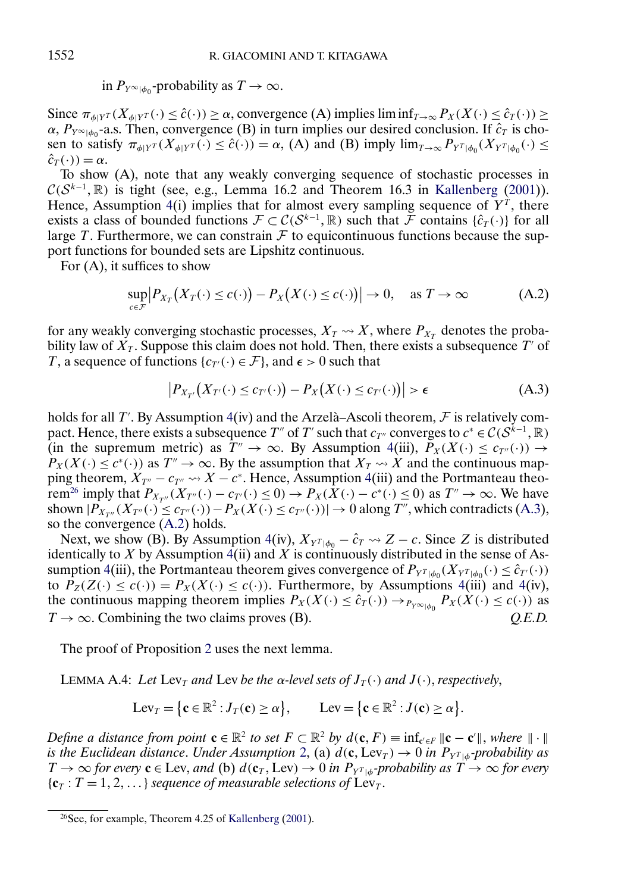in  $P_{Y^{\infty}|\phi_0}$ -probability as  $T \to \infty$ .

Since  $\pi_{\phi|Y^T}(X_{\phi|Y^T}(\cdot) \leq \hat{c}(\cdot)) \geq \alpha$ , convergence (A) implies lim inf $T_{\phi\phi}(X(\cdot) \leq \hat{c}_T(\cdot)) \geq$  $\alpha$ ,  $P_{Y^{\infty}|\phi_0}$ -a.s. Then, convergence (B) in turn implies our desired conclusion. If  $\hat{c}_T$  is chosen to satisfy  $\pi_{\phi|Y^T}(X_{\phi|Y^T}(\cdot) \leq \hat{c}(\cdot)) = \alpha$ , (A) and (B) imply  $\lim_{T \to \infty} P_{Y^T|\phi_0}(X_{Y^T|\phi_0}(\cdot) \leq$  $\hat{c}_T(\cdot) = \alpha$ .

To show (A), note that any weakly converging sequence of stochastic processes in  $\mathcal{C}(S^{k-1}, \mathbb{R})$  is tight (see, e.g., Lemma 16.2 and Theorem 16.3 in [Kallenberg](#page-36-0) [\(2001\)](#page-36-0)). Hence, Assumption [4\(](#page-12-0)i) implies that for almost every sampling sequence of  $Y^T$ , there exists a class of bounded functions  $\mathcal{F} \subset C(\mathcal{S}^{k-1}, \mathbb{R})$  such that  $\mathcal{\tilde{F}}$  contains  $\{\hat{c}_T(\cdot)\}$  for all large T. Furthermore, we can constrain  $\mathcal F$  to equicontinuous functions because the support functions for bounded sets are Lipshitz continuous.

For (A), it suffices to show

$$
\sup_{c \in \mathcal{F}} |P_{X_T}(X_T(\cdot) \le c(\cdot)) - P_X(X(\cdot) \le c(\cdot))| \to 0, \quad \text{as } T \to \infty \tag{A.2}
$$

for any weakly converging stochastic processes,  $X_T \rightarrow X$ , where  $P_{X_T}$  denotes the probability law of  $X_T$ . Suppose this claim does not hold. Then, there exists a subsequence T' of T, a sequence of functions  $\{c_{\tau\prime}(\cdot) \in \mathcal{F}\}\$ , and  $\epsilon > 0$  such that

$$
\left|P_{X_{T'}}\big(X_{T'}(\cdot) \leq c_{T'}(\cdot)\big) - P_X\big(X(\cdot) \leq c_{T'}(\cdot)\big)\right| > \epsilon \tag{A.3}
$$

holds for all T'. By Assumption [4\(](#page-12-0)iv) and the Arzelà–Ascoli theorem, F is relatively compact. Hence, there exists a subsequence T" of T' such that  $c_{T''}$  converges to  $c^* \in C(S^{k-1}, \mathbb{R})$ (in the supremum metric) as  $T'' \to \infty$ . By Assumption [4\(](#page-12-0)iii),  $P_X(X(\cdot) \leq c_{T''}(\cdot)) \to$  $P_X(X(\cdot) \leq c^*(\cdot))$  as  $T'' \to \infty$ . By the assumption that  $X_T \rightsquigarrow X$  and the continuous mapping theorem,  $X_{T''} - c_{T''} \rightarrow X - c^*$ . Hence, Assumption [4\(](#page-12-0)iii) and the Portmanteau theorem<sup>26</sup> imply that  $P_{X_{T''}}(X_{T''}(\cdot) - c_{T'}(\cdot) \leq 0) \rightarrow P_X(\overline{X}(\cdot) - c^*(\cdot) \leq 0)$  as  $T'' \rightarrow \infty$ . We have shown  $|P_{X_{T''}}(X_{T''}(\cdot)) \leq c_{T''}(\cdot)) - P_X(X(\cdot) \leq c_{T''}(\cdot))| \to 0$  along T'', which contradicts (A.3), so the convergence (A.2) holds.

Next, we show (B). By Assumption [4\(](#page-12-0)iv),  $X_{Y^{T}|\phi_0} - \hat{c}_T \rightarrow Z - c$ . Since Z is distributed identically to X by Assumption [4\(](#page-12-0)ii) and X is continuously distributed in the sense of As-sumption [4\(](#page-12-0)iii), the Portmanteau theorem gives convergence of  $P_{Y^{T}|\phi_0}(X_{Y^{T}|\phi_0}(\cdot) \leq \hat{c}_{T'}(\cdot))$ to  $P_Z(Z(\cdot) \leq c(\cdot)) = P_X(X(\cdot) \leq c(\cdot))$ . Furthermore, by Assumptions [4\(](#page-12-0)iii) and 4(iv), the continuous mapping theorem implies  $P_X(X(\cdot) \le \hat{c}_T(\cdot)) \to_{P_Y \infty_{|\phi_0}} P_X(X(\cdot) \le c(\cdot))$  as  $T \to \infty$ . Combining the two claims proves (B).  $Q.E.D.$  $T \rightarrow \infty$ . Combining the two claims proves (B).

The proof of Proposition [2](#page-14-0) uses the next lemma.

LEMMA A.4: Let Lev<sub>T</sub> and Lev be the  $\alpha$ -level sets of  $J_T(\cdot)$  and  $J(\cdot)$ , respectively,

$$
Lev_T = \{ \mathbf{c} \in \mathbb{R}^2 : J_T(\mathbf{c}) \ge \alpha \}, \qquad Lev = \{ \mathbf{c} \in \mathbb{R}^2 : J(\mathbf{c}) \ge \alpha \}.
$$

*Define a distance from point*  $\mathbf{c} \in \mathbb{R}^2$  *to set*  $F \subset \mathbb{R}^2$  *by*  $d(\mathbf{c}, F) \equiv \inf_{\mathbf{c}' \in F} ||\mathbf{c} - \mathbf{c}'||$ , where  $|| \cdot ||$ *is the Euclidean distance. Under Assumption* [2,](#page-10-0) (a)  $d(c, Lev_T) \rightarrow 0$  *in*  $P_{Y^T|\phi}$ -probability as  $T \to \infty$  *for every*  $c \in \text{Lev}$ , *and* (b)  $d(c_T, \text{Lev}) \to 0$  *in*  $P_{Y^T \mid d}$ *-probability as*  $T \to \infty$  *for every*  ${c_T : T = 1, 2, ...}$  *sequence of measurable selections of* Lev<sub>T</sub>.

<span id="page-33-0"></span>

 $26$ See, for example, Theorem 4.25 of [Kallenberg](#page-36-0) [\(2001\)](#page-36-0).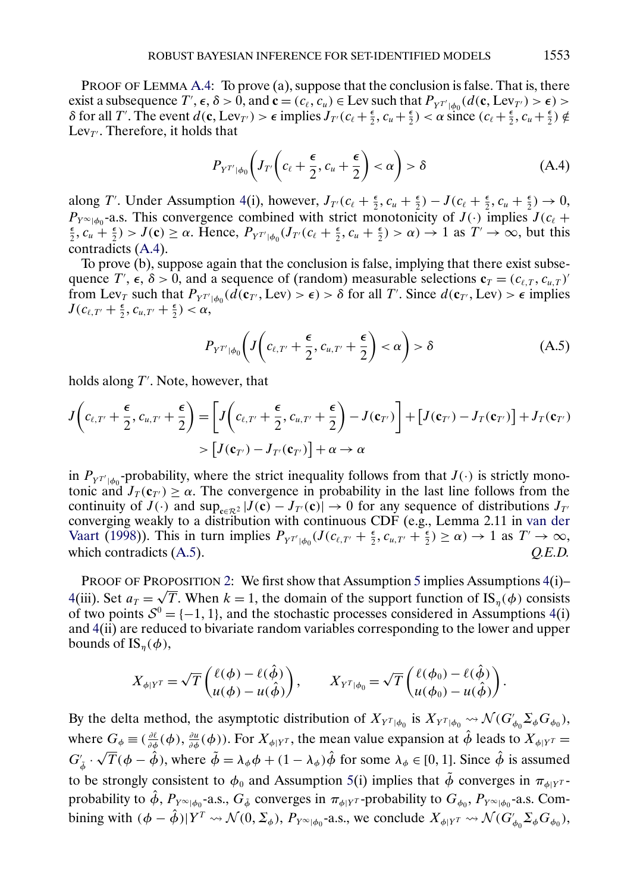<span id="page-34-0"></span>PROOF OF LEMMA [A.4:](#page-33-0) To prove (a), suppose that the conclusion is false. That is, there exist a subsequence  $T', \epsilon, \delta > 0$ , and  $\mathbf{c} = (c_{\ell}, c_u) \in \text{Lev}$  such that  $P_{Y^{T'}|\phi_0}(d(\mathbf{c}, \text{Lev}_{T'}) > \epsilon) >$  $\delta$  for all *T'*. The event *d*(**c**, Lev<sub>*T'*</sub>) >  $\epsilon$  implies  $J_{T}(c_{\ell} + \frac{\epsilon}{2}, c_{u} + \frac{\epsilon}{2}) < \alpha$  since  $(c_{\ell} + \frac{\epsilon}{2}, c_{u} + \frac{\epsilon}{2}) \notin$ Lev $_{T'}$ . Therefore, it holds that

$$
P_{Y^{T'}|\phi_0}\left(J_{T'}\left(c_{\ell}+\frac{\epsilon}{2},c_u+\frac{\epsilon}{2}\right)<\alpha\right)>\delta\tag{A.4}
$$

along T'. Under Assumption [4\(](#page-12-0)i), however,  $J_{T}(c_{\ell} + \frac{\epsilon}{2}, c_u + \frac{\epsilon}{2}) - J(c_{\ell} + \frac{\epsilon}{2}, c_u + \frac{\epsilon}{2}) \rightarrow 0$ ,  $P_{Y \approx |\phi_0|}$ -a.s. This convergence combined with strict monotonicity of  $J(\cdot)$  implies  $J(c_\ell +$  $\frac{\epsilon}{2}$ ,  $c_u + \frac{\epsilon}{2}$ ) >  $J(c) \ge \alpha$ . Hence,  $P_{Y^{T'}|\phi_0}(J_{T'}(c_\ell + \frac{\epsilon}{2}, c_u + \frac{\epsilon}{2}) > \alpha) \to 1$  as  $T' \to \infty$ , but this contradicts (A.4).

To prove (b), suppose again that the conclusion is false, implying that there exist subsequence T',  $\epsilon$ ,  $\delta > 0$ , and a sequence of (random) measurable selections  $\mathbf{c}_T = (c_{\ell,T}, c_{\mu,T})'$ from Lev<sub>T</sub> such that  $P_{Y^{T'}|\phi_0}(d(\mathbf{c}_T, \text{Lev}) > \epsilon) > \delta$  for all T'. Since  $d(\mathbf{c}_T, \text{Lev}) > \epsilon$  implies  $J(c_{\ell,T'}+\frac{\epsilon}{2},c_{u,T'}+\frac{\epsilon}{2})<\alpha,$ 

$$
P_{Y^{T'}|\phi_0}\left(J\left(c_{\ell,T'}+\frac{\epsilon}{2},c_{u,T'}+\frac{\epsilon}{2}\right)<\alpha\right)>\delta\tag{A.5}
$$

holds along T'. Note, however, that

$$
J\left(c_{\ell,T'}+\frac{\epsilon}{2},c_{u,T'}+\frac{\epsilon}{2}\right) = \left[J\left(c_{\ell,T'}+\frac{\epsilon}{2},c_{u,T'}+\frac{\epsilon}{2}\right)-J(\mathbf{c}_{T'})\right] + \left[J(\mathbf{c}_{T'})-J_T(\mathbf{c}_{T'})\right] + J_T(\mathbf{c}_{T'})
$$

$$
> \left[J(\mathbf{c}_{T'})-J_{T'}(\mathbf{c}_{T'})\right] + \alpha \to \alpha
$$

in  $P_{Y^{T'}|\phi_0}$ -probability, where the strict inequality follows from that  $J(\cdot)$  is strictly monotonic and  $J_T(\mathbf{c}_T) \geq \alpha$ . The convergence in probability in the last line follows from the continuity of  $J(\cdot)$  and  $\sup_{\mathbf{c}\in\mathcal{R}^2} |J(\mathbf{c}) - J_T(\mathbf{c})| \to 0$  for any sequence of distributions  $J_T$ converging weakly to a distribution with continuous CDF (e.g., Lemma 2.11 in [van der](#page-37-0) [Vaart](#page-37-0) [\(1998\)](#page-37-0)). This in turn implies  $P_{Y^{T'}|\phi_0}(J(c_{\ell,T'}+\frac{\epsilon}{2},c_{u,T'}+\frac{\epsilon}{2}) \ge \alpha) \to 1$  as  $T' \to \infty$ , which contradicts (A.5).  $Q.E.D.$ 

PROOF OF PROPOSITION [2:](#page-14-0) We first show that Assumption [5](#page-14-0) implies Assumptions [4\(](#page-12-0)i)– **PROOF OF PROPOSITION 2:** We first show that Assumption 5 implies Assumptions [4\(](#page-12-0)1)–<br>4(iii). Set  $a_T = \sqrt{T}$ . When  $k = 1$ , the domain of the support function of  $\text{IS}_{\eta}(\phi)$  consists of two points  $S^0 = \{-1, 1\}$ , and the stochastic processes considered in Assumptions [4\(](#page-12-0)i) and [4\(](#page-12-0)ii) are reduced to bivariate random variables corresponding to the lower and upper bounds of  $IS_n(\phi)$ ,

$$
X_{\phi|Y^T} = \sqrt{T} \begin{pmatrix} \ell(\phi) - \ell(\hat{\phi}) \\ u(\phi) - u(\hat{\phi}) \end{pmatrix}, \qquad X_{Y^T|\phi_0} = \sqrt{T} \begin{pmatrix} \ell(\phi_0) - \ell(\hat{\phi}) \\ u(\phi_0) - u(\hat{\phi}) \end{pmatrix}.
$$

By the delta method, the asymptotic distribution of  $X_{Y^T|\phi_0}$  is  $X_{Y^T|\phi_0} \leadsto \mathcal{N}(G'_{\phi_0} \Sigma_{\phi} G_{\phi_0}),$ where  $G_{\phi} \equiv (\frac{\partial \ell}{\partial \phi}(\phi), \frac{\partial u}{\partial \phi}(\phi))$ . For  $X_{\phi|Y^T}$ , the mean value expansion at  $\hat{\phi}$  leads to  $X_{\phi|Y^T} =$  $G_{\tilde{\phi}} \cdot \sqrt{T}(\phi - \hat{\phi})$ , where  $\tilde{\phi} = \lambda_{\phi} \phi + (1 - \lambda_{\phi})\hat{\phi}$  for some  $\lambda_{\phi} \in [0, 1]$ . Since  $\hat{\phi}$  is assumed to be strongly consistent to  $\phi_0$  and Assumption [5\(](#page-14-0)i) implies that  $\tilde{\phi}$  converges in  $\pi_{\phi|Y}$ <sup>T</sup>probability to  $\hat{\phi}$ ,  $P_{Y^{\infty}|\phi_0}$ -a.s.,  $G_{\tilde{\phi}}$  converges in  $\pi_{\phi|Y^T}$ -probability to  $G_{\phi_0}$ ,  $P_{Y^{\infty}|\phi_0}$ -a.s. Combining with  $(\phi - \hat{\phi}) | Y^T \leadsto \mathcal{N}(0, \Sigma_{\phi}), P_{Y^{\infty}|\phi_0}$ -a.s., we conclude  $X_{\phi|Y^T} \leadsto \mathcal{N}(G'_{\phi_0} \Sigma_{\phi} G_{\phi_0}),$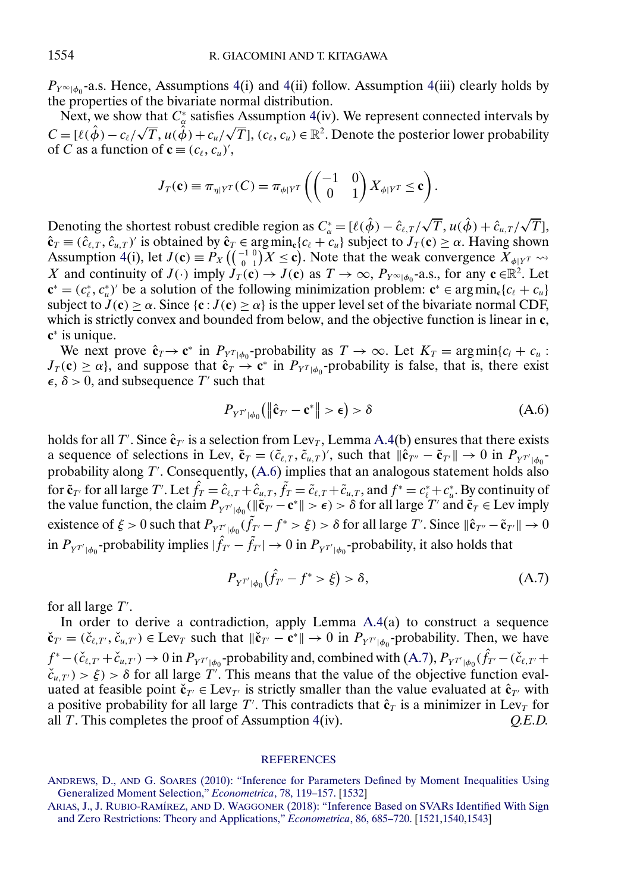<span id="page-35-0"></span> $P_{Y^{\infty}|\phi_0}$ -a.s. Hence, Assumptions [4\(](#page-12-0)i) and 4(ii) follow. Assumption 4(iii) clearly holds by the properties of the bivariate normal distribution.

Next, we show that  $C^*_{\alpha}$  satisfies Assumption [4\(](#page-12-0)iv). We represent connected intervals by  $C = [\ell(\hat{\phi}) - c_{\ell}/\sqrt{T}, u(\hat{\phi}) + c_u/\sqrt{T}]$ ,  $(c_{\ell}, c_u) \in \mathbb{R}^2$ . Denote the posterior lower probability of C as a function of  $\mathbf{c} \equiv (c_{\ell}, c_{\mu})'$ ,

$$
J_T(\mathbf{c}) \equiv \pi_{\eta|Y^T}(C) = \pi_{\phi|Y^T}\left(\begin{pmatrix} -1 & 0\\ 0 & 1 \end{pmatrix} X_{\phi|Y^T} \leq \mathbf{c}\right).
$$

Denoting the shortest robust credible region as  $C^*_{\alpha} = [\ell(\hat{\phi}) - \hat{c}_{\ell,T}/\sqrt{T}, u(\hat{\phi}) + \hat{c}_{u,T}/\sqrt{T}]$ T],  $\hat{\mathbf{c}}_T \equiv (\hat{c}_{\ell,T}, \hat{c}_{u,T})'$  is obtained by  $\hat{\mathbf{c}}_T \in \arg\min_{\mathbf{c}} \{c_{\ell} + c_u\}$  subject to  $J_T(\mathbf{c}) \geq \alpha$ . Having shown Assumption [4\(](#page-12-0)i), let  $J(\mathbf{c}) \equiv P_X \left( \begin{smallmatrix} -1 & 0 \\ 0 & 1 \end{smallmatrix} \right)$  $\binom{1}{0}^{1}$   $(1)^{1}$   $(X \le c)$ . Note that the weak convergence  $X_{\phi|Y^T} \leadsto$ X and continuity of  $J(\cdot)$  imply  $J_T(\mathbf{c}) \to J(\mathbf{c})$  as  $T \to \infty$ ,  $P_{Y^{\infty}|\phi_0}$ -a.s., for any  $\mathbf{c} \in \mathbb{R}^2$ . Let  $\mathbf{c}^* = (c_\ell^*, c_u^*)'$  be a solution of the following minimization problem:  $\mathbf{c}^* \in \arg\min_{\mathbf{c}} \{c_\ell + c_u\}$ subject to  $J(c) \ge \alpha$ . Since  $\{c : J(c) \ge \alpha\}$  is the upper level set of the bivariate normal CDF, which is strictly convex and bounded from below, and the objective function is linear in **c**, **c**<sup>∗</sup> is unique.

We next prove  $\hat{\mathbf{c}}_T \to \mathbf{c}^*$  in  $P_{Y^T | \phi_0}$ -probability as  $T \to \infty$ . Let  $K_T = \arg \min \{c_l + c_u :$  $J_T(\mathbf{c}) \geq \alpha$ , and suppose that  $\hat{\mathbf{c}}_T \to \mathbf{c}^*$  in  $P_{Y^T|\phi_0}$ -probability is false, that is, there exist  $\epsilon$ ,  $\delta$  > 0, and subsequence T' such that

$$
P_{Y^{T'}|\phi_0}(\|\hat{\mathbf{c}}_{T'} - \mathbf{c}^*\| > \epsilon) > \delta \tag{A.6}
$$

holds for all T'. Since  $\hat{\mathbf{c}}_{T'}$  is a selection from Lev<sub>T</sub>, Lemma [A.4\(](#page-33-0)b) ensures that there exists a sequence of selections in Lev,  $\tilde{\mathbf{c}}_T = (\tilde{c}_{\ell,T}, \tilde{c}_{u,T})'$ , such that  $\|\hat{\mathbf{c}}_{T''} - \tilde{\mathbf{c}}_{T'}\| \to 0$  in  $P_{Y^{T'}|\phi_0}$ probability along  $T'$ . Consequently,  $(A.6)$  implies that an analogous statement holds also for  $\tilde{\mathbf{c}}_{T'}$  for all large T'. Let  $\hat{f}_T = \hat{c}_{\ell,T} + \hat{c}_{u,T}$ ,  $\tilde{f}_T = \tilde{c}_{\ell,T} + \tilde{c}_{u,T}$ , and  $f^* = c^*_{\ell} + c^*_{u}$ . By continuity of the value function, the claim  $P_{Y^{T'}|\phi_0}(\|\tilde{\mathbf{c}}_{T'} - \mathbf{c}^*\| > \epsilon) > \delta$  for all large T' and  $\tilde{\mathbf{c}}_T \in \text{Lev}$  imply existence of  $\xi > 0$  such that  $P_{Y^{T'}|\phi_0}(\tilde{f}_{T'} - f^* > \xi) > \delta$  for all large T'. Since  $\|\hat{\mathbf{c}}_{T''} - \tilde{\mathbf{c}}_{T'}\| \to 0$ in  $P_{Y^{T'}|\phi_0}$ -probability implies  $|\hat{f}_{T'} - \tilde{f}_{T'}| \to 0$  in  $P_{Y^{T'}|\phi_0}$ -probability, it also holds that

$$
P_{Y^{T'}|\phi_0}(\hat{f}_{T'} - f^* > \xi) > \delta,
$$
\n(A.7)

for all large T'.

In order to derive a contradiction, apply Lemma [A.4\(](#page-33-0)a) to construct a sequence  $\check{\mathbf{c}}_{T'} = (\check{c}_{\ell,T'}, \check{c}_{u,T'}) \in \text{Lev}_T$  such that  $\|\check{\mathbf{c}}_{T'} - \mathbf{c}^*\| \to 0$  in  $P_{Y^{T'}|\phi_0}$ -probability. Then, we have  $f^* - (\check{c}_{\ell,T'} + \check{c}_{u,T'}) \to 0$  in  $P_{Y^{T'}|\phi_0}$ -probability and, combined with  $(A.7)$ ,  $P_{Y^{T'}|\phi_0}(\hat{f}_{T'} - (\check{c}_{\ell,T'} +$  $\check{c}_{u,T'}$ ) >  $\xi$ ) >  $\delta$  for all large T'. This means that the value of the objective function evaluated at feasible point  $\mathbf{\check{c}}_{T'} \in \text{Lev}_{T'}$  is strictly smaller than the value evaluated at  $\mathbf{\hat{c}}_{T'}$  with a positive probability for all large  $T'$ . This contradicts that  $\hat{\mathbf{c}}_T$  is a minimizer in Lev<sub>T</sub> for all T. This completes the proof of Assumption [4\(](#page-12-0)iv). *Q.E.D.*

#### **[REFERENCES](http://www.e-publications.org/srv/ecta/linkserver/setprefs?rfe_id=urn:sici%2F0012-9682%282021%2989%3A4%3C1519%3ARBIFSI%3E2.0.CO%3B2-T)**

ANDREWS, D., AND G. SOARES [\(2010\): "Inference for Parameters Defined by Moment Inequalities Using](http://www.e-publications.org/srv/ecta/linkserver/openurl?rft_dat=bib:1/AS10&rfe_id=urn:sici%2F0012-9682%282021%2989%3A4%3C1519%3ARBIFSI%3E2.0.CO%3B2-T) [Generalized Moment Selection,"](http://www.e-publications.org/srv/ecta/linkserver/openurl?rft_dat=bib:1/AS10&rfe_id=urn:sici%2F0012-9682%282021%2989%3A4%3C1519%3ARBIFSI%3E2.0.CO%3B2-T) *Econometrica*, 78, 119–157. [\[1532\]](#page-13-0)

ARIAS, J., J. RUBIO-RAMÍREZ, AND D. WAGGONER [\(2018\): "Inference Based on SVARs Identified With Sign](http://www.e-publications.org/srv/ecta/linkserver/openurl?rft_dat=bib:2/ARW13&rfe_id=urn:sici%2F0012-9682%282021%2989%3A4%3C1519%3ARBIFSI%3E2.0.CO%3B2-T) [and Zero Restrictions: Theory and Applications,"](http://www.e-publications.org/srv/ecta/linkserver/openurl?rft_dat=bib:2/ARW13&rfe_id=urn:sici%2F0012-9682%282021%2989%3A4%3C1519%3ARBIFSI%3E2.0.CO%3B2-T) *Econometrica*, 86, 685–720. [\[1521](#page-2-0)[,1540](#page-21-0)[,1543\]](#page-24-0)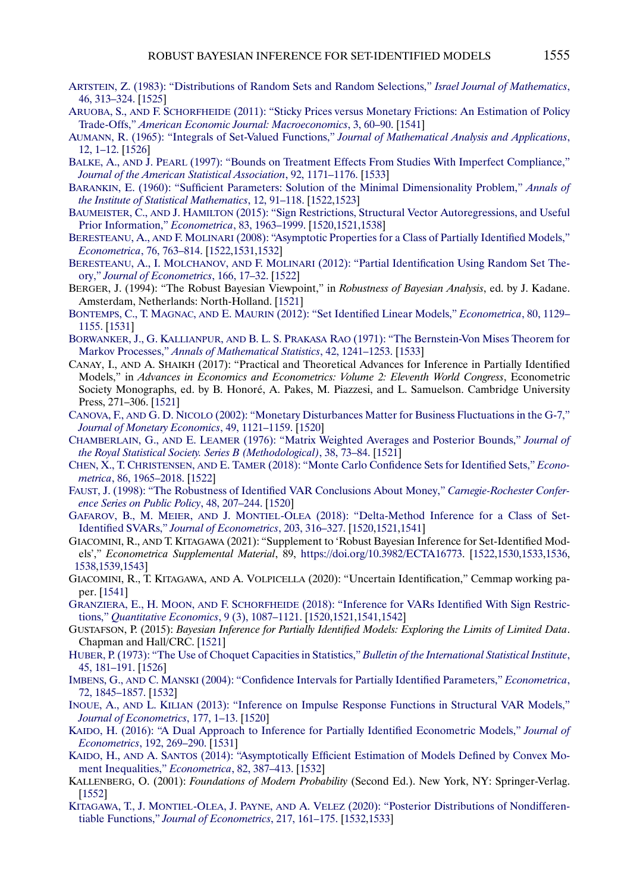- <span id="page-36-0"></span>[ARTSTEIN, Z. \(1983\): "Distributions of Random Sets and Random Selections,"](http://www.e-publications.org/srv/ecta/linkserver/openurl?rft_dat=bib:3/Artstein83&rfe_id=urn:sici%2F0012-9682%282021%2989%3A4%3C1519%3ARBIFSI%3E2.0.CO%3B2-T) *Israel Journal of Mathematics*, [46, 313–324.](http://www.e-publications.org/srv/ecta/linkserver/openurl?rft_dat=bib:3/Artstein83&rfe_id=urn:sici%2F0012-9682%282021%2989%3A4%3C1519%3ARBIFSI%3E2.0.CO%3B2-T) [\[1525\]](#page-6-0)
- ARUOBA, S., AND F. SCHORFHEIDE [\(2011\): "Sticky Prices versus Monetary Frictions: An Estimation of Policy](http://www.e-publications.org/srv/ecta/linkserver/openurl?rft_dat=bib:4/AS11&rfe_id=urn:sici%2F0012-9682%282021%2989%3A4%3C1519%3ARBIFSI%3E2.0.CO%3B2-T) Trade-Offs," *[American Economic Journal: Macroeconomics](http://www.e-publications.org/srv/ecta/linkserver/openurl?rft_dat=bib:4/AS11&rfe_id=urn:sici%2F0012-9682%282021%2989%3A4%3C1519%3ARBIFSI%3E2.0.CO%3B2-T)*, 3, 60–90. [\[1541\]](#page-22-0)
- [AUMANN, R. \(1965\): "Integrals of Set-Valued Functions,"](http://www.e-publications.org/srv/ecta/linkserver/openurl?rft_dat=bib:5/Aumann65&rfe_id=urn:sici%2F0012-9682%282021%2989%3A4%3C1519%3ARBIFSI%3E2.0.CO%3B2-T) *Journal of Mathematical Analysis and Applications*, [12, 1–12.](http://www.e-publications.org/srv/ecta/linkserver/openurl?rft_dat=bib:5/Aumann65&rfe_id=urn:sici%2F0012-9682%282021%2989%3A4%3C1519%3ARBIFSI%3E2.0.CO%3B2-T) [\[1526\]](#page-7-0)
- BALKE, A., AND J. PEARL [\(1997\): "Bounds on Treatment Effects From Studies With Imperfect Compliance,"](http://www.e-publications.org/srv/ecta/linkserver/openurl?rft_dat=bib:6/BP97&rfe_id=urn:sici%2F0012-9682%282021%2989%3A4%3C1519%3ARBIFSI%3E2.0.CO%3B2-T) *[Journal of the American Statistical Association](http://www.e-publications.org/srv/ecta/linkserver/openurl?rft_dat=bib:6/BP97&rfe_id=urn:sici%2F0012-9682%282021%2989%3A4%3C1519%3ARBIFSI%3E2.0.CO%3B2-T)*, 92, 1171–1176. [\[1533\]](#page-14-0)
- [BARANKIN, E. \(1960\): "Sufficient Parameters: Solution of the Minimal Dimensionality Problem,"](http://www.e-publications.org/srv/ecta/linkserver/openurl?rft_dat=bib:7/Barankin60&rfe_id=urn:sici%2F0012-9682%282021%2989%3A4%3C1519%3ARBIFSI%3E2.0.CO%3B2-T) *Annals of [the Institute of Statistical Mathematics](http://www.e-publications.org/srv/ecta/linkserver/openurl?rft_dat=bib:7/Barankin60&rfe_id=urn:sici%2F0012-9682%282021%2989%3A4%3C1519%3ARBIFSI%3E2.0.CO%3B2-T)*, 12, 91–118. [\[1522](#page-3-0)[,1523\]](#page-4-0)
- BAUMEISTER, C., AND J. HAMILTON [\(2015\): "Sign Restrictions, Structural Vector Autoregressions, and Useful](http://www.e-publications.org/srv/ecta/linkserver/openurl?rft_dat=bib:8/BH13&rfe_id=urn:sici%2F0012-9682%282021%2989%3A4%3C1519%3ARBIFSI%3E2.0.CO%3B2-T) [Prior Information,"](http://www.e-publications.org/srv/ecta/linkserver/openurl?rft_dat=bib:8/BH13&rfe_id=urn:sici%2F0012-9682%282021%2989%3A4%3C1519%3ARBIFSI%3E2.0.CO%3B2-T) *Econometrica*, 83, 1963–1999. [\[1520,](#page-1-0)[1521,](#page-2-0)[1538\]](#page-19-0)
- BERESTEANU, A., AND F. MOLINARI [\(2008\): "Asymptotic Properties for a Class of Partially Identified Models,"](http://www.e-publications.org/srv/ecta/linkserver/openurl?rft_dat=bib:9/BM08&rfe_id=urn:sici%2F0012-9682%282021%2989%3A4%3C1519%3ARBIFSI%3E2.0.CO%3B2-T) *[Econometrica](http://www.e-publications.org/srv/ecta/linkserver/openurl?rft_dat=bib:9/BM08&rfe_id=urn:sici%2F0012-9682%282021%2989%3A4%3C1519%3ARBIFSI%3E2.0.CO%3B2-T)*, 76, 763–814. [\[1522](#page-3-0)[,1531](#page-12-0)[,1532\]](#page-13-0)
- BERESTEANU, A., I. MOLCHANOV, AND F. MOLINARI [\(2012\): "Partial Identification Using Random Set The](http://www.e-publications.org/srv/ecta/linkserver/openurl?rft_dat=bib:10/BMM12&rfe_id=urn:sici%2F0012-9682%282021%2989%3A4%3C1519%3ARBIFSI%3E2.0.CO%3B2-T)ory," *[Journal of Econometrics](http://www.e-publications.org/srv/ecta/linkserver/openurl?rft_dat=bib:10/BMM12&rfe_id=urn:sici%2F0012-9682%282021%2989%3A4%3C1519%3ARBIFSI%3E2.0.CO%3B2-T)*, 166, 17–32. [\[1522\]](#page-3-0)
- BERGER, J. (1994): "The Robust Bayesian Viewpoint," in *Robustness of Bayesian Analysis*, ed. by J. Kadane. Amsterdam, Netherlands: North-Holland. [\[1521\]](#page-2-0)
- BONTEMPS, C., T. MAGNAC, AND E. MAURIN [\(2012\): "Set Identified Linear Models,"](http://www.e-publications.org/srv/ecta/linkserver/openurl?rft_dat=bib:12/BMM12Ecta&rfe_id=urn:sici%2F0012-9682%282021%2989%3A4%3C1519%3ARBIFSI%3E2.0.CO%3B2-T) *Econometrica*, 80, 1129– [1155.](http://www.e-publications.org/srv/ecta/linkserver/openurl?rft_dat=bib:12/BMM12Ecta&rfe_id=urn:sici%2F0012-9682%282021%2989%3A4%3C1519%3ARBIFSI%3E2.0.CO%3B2-T) [\[1531\]](#page-12-0)
- BORWANKER, J., G. KALLIANPUR, AND B. L. S. PRAKASA RAO [\(1971\): "The Bernstein-Von Mises Theorem for](http://www.e-publications.org/srv/ecta/linkserver/openurl?rft_dat=bib:13/BKP71&rfe_id=urn:sici%2F0012-9682%282021%2989%3A4%3C1519%3ARBIFSI%3E2.0.CO%3B2-T) Markov Processes," *[Annals of Mathematical Statistics](http://www.e-publications.org/srv/ecta/linkserver/openurl?rft_dat=bib:13/BKP71&rfe_id=urn:sici%2F0012-9682%282021%2989%3A4%3C1519%3ARBIFSI%3E2.0.CO%3B2-T)*, 42, 1241–1253. [\[1533\]](#page-14-0)
- CANAY, I., AND A. SHAIKH (2017): "Practical and Theoretical Advances for Inference in Partially Identified Models," in *Advances in Economics and Econometrics: Volume 2: Eleventh World Congress*, Econometric Society Monographs, ed. by B. Honoré, A. Pakes, M. Piazzesi, and L. Samuelson. Cambridge University Press, 271–306. [\[1521\]](#page-2-0)
- CANOVA, F., AND G. D. NICOLO [\(2002\): "Monetary Disturbances Matter for Business Fluctuations in the G-7,"](http://www.e-publications.org/srv/ecta/linkserver/openurl?rft_dat=bib:15/CD02&rfe_id=urn:sici%2F0012-9682%282021%2989%3A4%3C1519%3ARBIFSI%3E2.0.CO%3B2-T) *[Journal of Monetary Economics](http://www.e-publications.org/srv/ecta/linkserver/openurl?rft_dat=bib:15/CD02&rfe_id=urn:sici%2F0012-9682%282021%2989%3A4%3C1519%3ARBIFSI%3E2.0.CO%3B2-T)*, 49, 1121–1159. [\[1520\]](#page-1-0)
- CHAMBERLAIN, G., AND E. LEAMER [\(1976\): "Matrix Weighted Averages and Posterior Bounds,"](http://www.e-publications.org/srv/ecta/linkserver/openurl?rft_dat=bib:16/CL76&rfe_id=urn:sici%2F0012-9682%282021%2989%3A4%3C1519%3ARBIFSI%3E2.0.CO%3B2-T) *Journal of [the Royal Statistical Society. Series B \(Methodological\)](http://www.e-publications.org/srv/ecta/linkserver/openurl?rft_dat=bib:16/CL76&rfe_id=urn:sici%2F0012-9682%282021%2989%3A4%3C1519%3ARBIFSI%3E2.0.CO%3B2-T)*, 38, 73–84. [\[1521\]](#page-2-0)
- CHEN, X., T. CHRISTENSEN, AND E. TAMER [\(2018\): "Monte Carlo Confidence Sets for Identified Sets,"](http://www.e-publications.org/srv/ecta/linkserver/openurl?rft_dat=bib:17/CCT18&rfe_id=urn:sici%2F0012-9682%282021%2989%3A4%3C1519%3ARBIFSI%3E2.0.CO%3B2-T) *Econometrica*[, 86, 1965–2018.](http://www.e-publications.org/srv/ecta/linkserver/openurl?rft_dat=bib:17/CCT18&rfe_id=urn:sici%2F0012-9682%282021%2989%3A4%3C1519%3ARBIFSI%3E2.0.CO%3B2-T) [\[1522\]](#page-3-0)
- [FAUST, J. \(1998\): "The Robustness of Identified VAR Conclusions About Money,"](http://www.e-publications.org/srv/ecta/linkserver/openurl?rft_dat=bib:18/Faust98&rfe_id=urn:sici%2F0012-9682%282021%2989%3A4%3C1519%3ARBIFSI%3E2.0.CO%3B2-T) *Carnegie-Rochester Confer[ence Series on Public Policy](http://www.e-publications.org/srv/ecta/linkserver/openurl?rft_dat=bib:18/Faust98&rfe_id=urn:sici%2F0012-9682%282021%2989%3A4%3C1519%3ARBIFSI%3E2.0.CO%3B2-T)*, 48, 207–244. [\[1520\]](#page-1-0)
- GAFAROV, B., M. MEIER, AND J. MONTIEL-OLEA [\(2018\): "Delta-Method Inference for a Class of Set-](http://www.e-publications.org/srv/ecta/linkserver/openurl?rft_dat=bib:19/GafarovOlea14&rfe_id=urn:sici%2F0012-9682%282021%2989%3A4%3C1519%3ARBIFSI%3E2.0.CO%3B2-T)Identified SVARs," *[Journal of Econometrics](http://www.e-publications.org/srv/ecta/linkserver/openurl?rft_dat=bib:19/GafarovOlea14&rfe_id=urn:sici%2F0012-9682%282021%2989%3A4%3C1519%3ARBIFSI%3E2.0.CO%3B2-T)*, 203, 316–327. [\[1520,](#page-1-0)[1521,](#page-2-0)[1541\]](#page-22-0)
- GIACOMINI, R., AND T. KITAGAWA (2021): "Supplement to 'Robust Bayesian Inference for Set-Identified Models'," *Econometrica Supplemental Material*, 89, [https://doi.org/10.3982/ECTA16773.](https://doi.org/10.3982/ECTA16773) [\[1522](#page-3-0)[,1530](#page-11-0)[,1533](#page-14-0)[,1536,](#page-17-0) [1538,](#page-19-0)[1539,](#page-20-0)[1543\]](#page-24-0)
- GIACOMINI, R., T. KITAGAWA, AND A. VOLPICELLA (2020): "Uncertain Identification," Cemmap working paper. [\[1541\]](#page-22-0)
- GRANZIERA, E., H. MOON, AND F. SCHORFHEIDE [\(2018\): "Inference for VARs Identified With Sign Restric](http://www.e-publications.org/srv/ecta/linkserver/openurl?rft_dat=bib:22/MSG13&rfe_id=urn:sici%2F0012-9682%282021%2989%3A4%3C1519%3ARBIFSI%3E2.0.CO%3B2-T)tions," *[Quantitative Economics](http://www.e-publications.org/srv/ecta/linkserver/openurl?rft_dat=bib:22/MSG13&rfe_id=urn:sici%2F0012-9682%282021%2989%3A4%3C1519%3ARBIFSI%3E2.0.CO%3B2-T)*, 9 (3), 1087–1121. [\[1520,](#page-1-0)[1521,](#page-2-0)[1541,](#page-22-0)[1542\]](#page-23-0)
- GUSTAFSON, P. (2015): *Bayesian Inference for Partially Identified Models: Exploring the Limits of Limited Data*. Chapman and Hall/CRC. [\[1521\]](#page-2-0)
- [HUBER, P. \(1973\): "The Use of Choquet Capacities in Statistics,"](http://www.e-publications.org/srv/ecta/linkserver/openurl?rft_dat=bib:24/Huber73&rfe_id=urn:sici%2F0012-9682%282021%2989%3A4%3C1519%3ARBIFSI%3E2.0.CO%3B2-T) *Bulletin of the International Statistical Institute*, [45, 181–191.](http://www.e-publications.org/srv/ecta/linkserver/openurl?rft_dat=bib:24/Huber73&rfe_id=urn:sici%2F0012-9682%282021%2989%3A4%3C1519%3ARBIFSI%3E2.0.CO%3B2-T) [\[1526\]](#page-7-0)
- IMBENS, G., AND C. MANSKI [\(2004\): "Confidence Intervals for Partially Identified Parameters,"](http://www.e-publications.org/srv/ecta/linkserver/openurl?rft_dat=bib:25/IM04&rfe_id=urn:sici%2F0012-9682%282021%2989%3A4%3C1519%3ARBIFSI%3E2.0.CO%3B2-T) *Econometrica*, [72, 1845–1857.](http://www.e-publications.org/srv/ecta/linkserver/openurl?rft_dat=bib:25/IM04&rfe_id=urn:sici%2F0012-9682%282021%2989%3A4%3C1519%3ARBIFSI%3E2.0.CO%3B2-T) [\[1532\]](#page-13-0)
- INOUE, A., AND L. KILIAN [\(2013\): "Inference on Impulse Response Functions in Structural VAR Models,"](http://www.e-publications.org/srv/ecta/linkserver/openurl?rft_dat=bib:26/IK13&rfe_id=urn:sici%2F0012-9682%282021%2989%3A4%3C1519%3ARBIFSI%3E2.0.CO%3B2-T) *[Journal of Econometrics](http://www.e-publications.org/srv/ecta/linkserver/openurl?rft_dat=bib:26/IK13&rfe_id=urn:sici%2F0012-9682%282021%2989%3A4%3C1519%3ARBIFSI%3E2.0.CO%3B2-T)*, 177, 1–13. [\[1520\]](#page-1-0)
- [KAIDO, H. \(2016\): "A Dual Approach to Inference for Partially Identified Econometric Models,"](http://www.e-publications.org/srv/ecta/linkserver/openurl?rft_dat=bib:27/Kaido16&rfe_id=urn:sici%2F0012-9682%282021%2989%3A4%3C1519%3ARBIFSI%3E2.0.CO%3B2-T) *Journal of Econometrics*[, 192, 269–290.](http://www.e-publications.org/srv/ecta/linkserver/openurl?rft_dat=bib:27/Kaido16&rfe_id=urn:sici%2F0012-9682%282021%2989%3A4%3C1519%3ARBIFSI%3E2.0.CO%3B2-T) [\[1531\]](#page-12-0)
- KAIDO, H., AND A. SANTOS [\(2014\): "Asymptotically Efficient Estimation of Models Defined by Convex Mo](http://www.e-publications.org/srv/ecta/linkserver/openurl?rft_dat=bib:28/KS14&rfe_id=urn:sici%2F0012-9682%282021%2989%3A4%3C1519%3ARBIFSI%3E2.0.CO%3B2-T)[ment Inequalities,"](http://www.e-publications.org/srv/ecta/linkserver/openurl?rft_dat=bib:28/KS14&rfe_id=urn:sici%2F0012-9682%282021%2989%3A4%3C1519%3ARBIFSI%3E2.0.CO%3B2-T) *Econometrica*, 82, 387–413. [\[1532\]](#page-13-0)
- KALLENBERG, O. (2001): *Foundations of Modern Probability* (Second Ed.). New York, NY: Springer-Verlag. [\[1552\]](#page-33-0)
- KITAGAWA, T., J. MONTIEL-OLEA, J. PAYNE, AND A. VELEZ [\(2020\): "Posterior Distributions of Nondifferen](http://www.e-publications.org/srv/ecta/linkserver/openurl?rft_dat=bib:30/KMP17&rfe_id=urn:sici%2F0012-9682%282021%2989%3A4%3C1519%3ARBIFSI%3E2.0.CO%3B2-T)tiable Functions," *[Journal of Econometrics](http://www.e-publications.org/srv/ecta/linkserver/openurl?rft_dat=bib:30/KMP17&rfe_id=urn:sici%2F0012-9682%282021%2989%3A4%3C1519%3ARBIFSI%3E2.0.CO%3B2-T)*, 217, 161–175. [\[1532,](#page-13-0)[1533\]](#page-14-0)